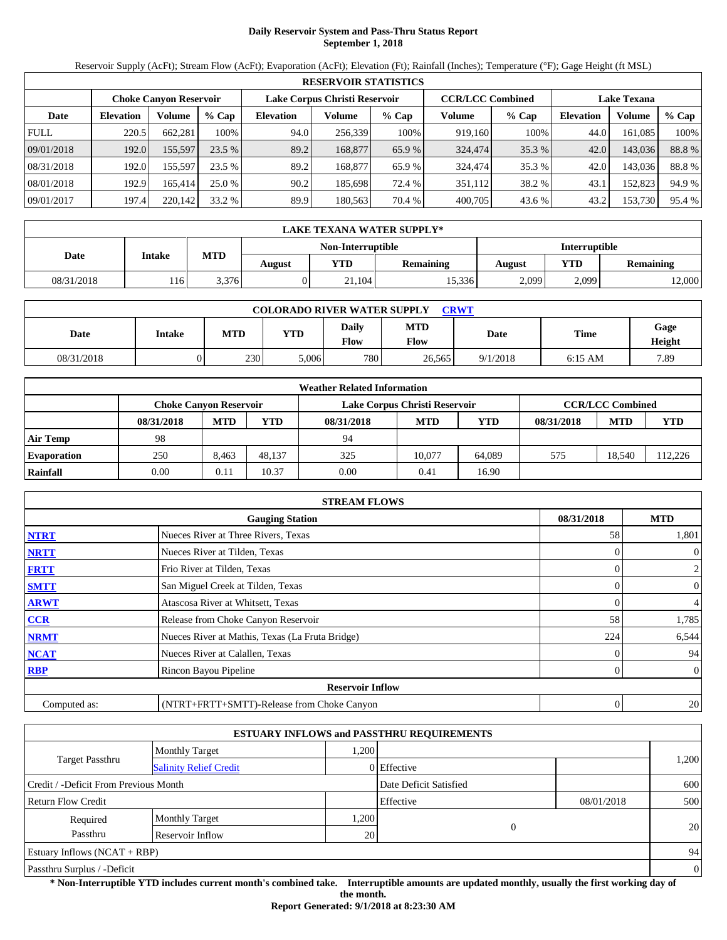# **Daily Reservoir System and Pass-Thru Status Report September 1, 2018**

Reservoir Supply (AcFt); Stream Flow (AcFt); Evaporation (AcFt); Elevation (Ft); Rainfall (Inches); Temperature (°F); Gage Height (ft MSL)

|             | <b>RESERVOIR STATISTICS</b> |                               |         |                  |                               |         |                         |         |                  |                    |        |  |  |
|-------------|-----------------------------|-------------------------------|---------|------------------|-------------------------------|---------|-------------------------|---------|------------------|--------------------|--------|--|--|
|             |                             | <b>Choke Canyon Reservoir</b> |         |                  | Lake Corpus Christi Reservoir |         | <b>CCR/LCC Combined</b> |         |                  | <b>Lake Texana</b> |        |  |  |
| Date        | <b>Elevation</b>            | Volume                        | $%$ Cap | <b>Elevation</b> | Volume                        | $%$ Cap | Volume                  | $%$ Cap | <b>Elevation</b> | Volume             | % Cap  |  |  |
| <b>FULL</b> | 220.5                       | 662.281                       | 100%    | 94.0             | 256,339                       | 100%    | 919,160                 | 100%    | 44.0             | 161.085            | 100%   |  |  |
| 09/01/2018  | 192.0                       | 155,597                       | 23.5%   | 89.2             | 168,877                       | 65.9 %  | 324,474                 | 35.3 %  | 42.0             | 143,036            | 88.8%  |  |  |
| 08/31/2018  | 192.0                       | 155.597                       | 23.5 %  | 89.2             | 168,877                       | 65.9 %  | 324,474                 | 35.3 %  | 42.0             | 143.036            | 88.8%  |  |  |
| 08/01/2018  | 192.9                       | 165.414                       | 25.0 %  | 90.2             | 185.698                       | 72.4 %  | 351,112                 | 38.2 %  | 43.1             | 152,823            | 94.9 % |  |  |
| 09/01/2017  | 197.4                       | 220,142                       | 33.2 %  | 89.9             | 180.563                       | 70.4 %  | 400,705                 | 43.6 %  | 43.2             | 153,730            | 95.4 % |  |  |

|            | LAKE TEXANA WATER SUPPLY* |            |        |                   |                  |               |       |                  |  |  |  |
|------------|---------------------------|------------|--------|-------------------|------------------|---------------|-------|------------------|--|--|--|
|            |                           |            |        | Non-Interruptible |                  | Interruptible |       |                  |  |  |  |
| Date       | <b>Intake</b>             | <b>MTD</b> | August | <b>YTD</b>        | <b>Remaining</b> | August        | YTD   | <b>Remaining</b> |  |  |  |
| 08/31/2018 | 116'                      | 3.376      |        | 21,104            | 15.336           | 2,099         | 2,099 | 2,000            |  |  |  |

| <b>COLORADO RIVER WATER SUPPLY</b><br><b>CRWT</b> |        |            |       |               |                           |             |             |                |  |  |  |
|---------------------------------------------------|--------|------------|-------|---------------|---------------------------|-------------|-------------|----------------|--|--|--|
| Date                                              | Intake | <b>MTD</b> | YTD   | Daily<br>Flow | <b>MTD</b><br><b>Flow</b> | <b>Date</b> | <b>Time</b> | Gage<br>Height |  |  |  |
| 08/31/2018                                        |        | 230        | 5,006 | 780           | 26.565                    | 9/1/2018    | 6:15 AM     | 7.89           |  |  |  |

|                    |                               |            |        | <b>Weather Related Information</b> |                               |            |            |                         |        |
|--------------------|-------------------------------|------------|--------|------------------------------------|-------------------------------|------------|------------|-------------------------|--------|
|                    | <b>Choke Canvon Reservoir</b> |            |        |                                    | Lake Corpus Christi Reservoir |            |            | <b>CCR/LCC Combined</b> |        |
|                    | 08/31/2018                    | <b>MTD</b> | YTD    | 08/31/2018                         | <b>MTD</b>                    | <b>YTD</b> | 08/31/2018 | <b>MTD</b>              | YTD    |
| <b>Air Temp</b>    | 98                            |            |        | 94                                 |                               |            |            |                         |        |
| <b>Evaporation</b> | 250                           | 8.463      | 48.137 | 325                                | 10.077                        | 64,089     | 575        | 18.540                  | 12,226 |
| Rainfall           | 0.00                          | 0.11       | 10.37  | 0.00                               | 0.41                          | 16.90      |            |                         |        |

|              | <b>STREAM FLOWS</b>                             |                |                |
|--------------|-------------------------------------------------|----------------|----------------|
|              | <b>Gauging Station</b>                          | 08/31/2018     | <b>MTD</b>     |
| <b>NTRT</b>  | Nueces River at Three Rivers, Texas             | 58             | 1,801          |
| <b>NRTT</b>  | Nueces River at Tilden, Texas                   |                | $\overline{0}$ |
| <b>FRTT</b>  | Frio River at Tilden, Texas                     |                | $\overline{2}$ |
| <b>SMTT</b>  | San Miguel Creek at Tilden, Texas               | 0              | $\overline{0}$ |
| <b>ARWT</b>  | Atascosa River at Whitsett, Texas               | 0              | $\overline{4}$ |
| CCR          | Release from Choke Canyon Reservoir             | 58             | 1,785          |
| <b>NRMT</b>  | Nueces River at Mathis, Texas (La Fruta Bridge) | 224            | 6,544          |
| <b>NCAT</b>  | Nueces River at Calallen, Texas                 |                | 94             |
| <b>RBP</b>   | Rincon Bayou Pipeline                           | 0              | $\overline{0}$ |
|              | <b>Reservoir Inflow</b>                         |                |                |
| Computed as: | (NTRT+FRTT+SMTT)-Release from Choke Canyon      | $\overline{0}$ | 20             |

|                                       |                               |      | <b>ESTUARY INFLOWS and PASSTHRU REQUIREMENTS</b> |            |                |
|---------------------------------------|-------------------------------|------|--------------------------------------------------|------------|----------------|
|                                       | <b>Monthly Target</b>         | .200 |                                                  |            |                |
| Target Passthru                       | <b>Salinity Relief Credit</b> |      | 0 Effective                                      |            | 1,200          |
| Credit / -Deficit From Previous Month |                               |      | Date Deficit Satisfied                           |            | 600            |
| <b>Return Flow Credit</b>             |                               |      | Effective                                        | 08/01/2018 | 500            |
| Required                              | <b>Monthly Target</b>         | ,200 |                                                  |            |                |
| Passthru                              | Reservoir Inflow              | 20   | 0                                                |            | 20             |
| <b>Estuary Inflows (NCAT + RBP)</b>   |                               |      |                                                  |            | 94             |
| Passthru Surplus / -Deficit           |                               |      |                                                  |            | $\overline{0}$ |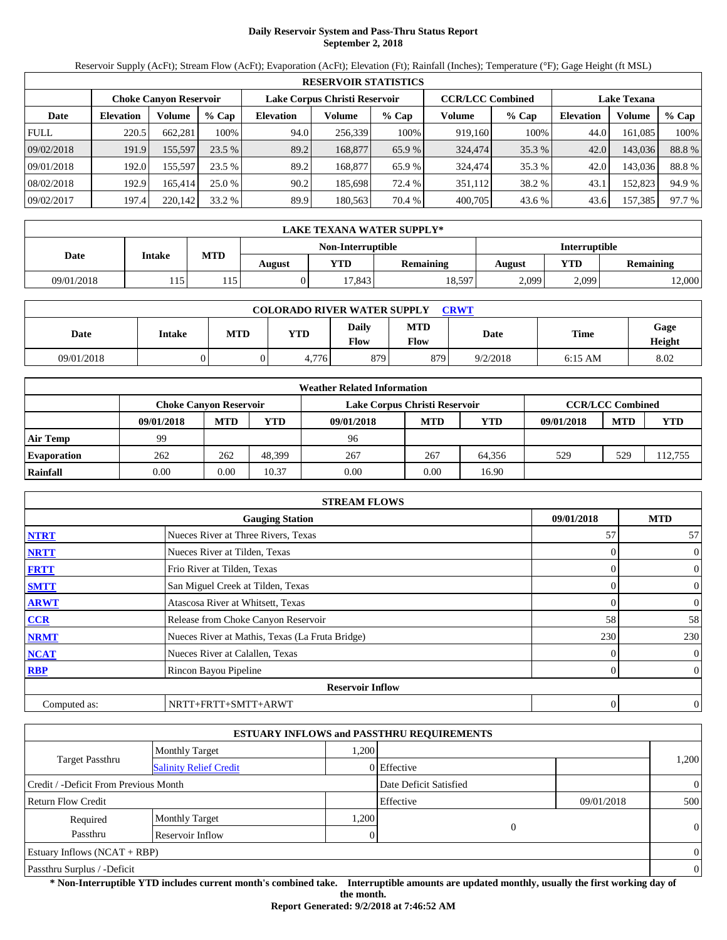# **Daily Reservoir System and Pass-Thru Status Report September 2, 2018**

Reservoir Supply (AcFt); Stream Flow (AcFt); Evaporation (AcFt); Elevation (Ft); Rainfall (Inches); Temperature (°F); Gage Height (ft MSL)

|             | <b>RESERVOIR STATISTICS</b> |                               |         |                  |                               |         |                         |         |                  |                    |        |  |  |
|-------------|-----------------------------|-------------------------------|---------|------------------|-------------------------------|---------|-------------------------|---------|------------------|--------------------|--------|--|--|
|             |                             | <b>Choke Canyon Reservoir</b> |         |                  | Lake Corpus Christi Reservoir |         | <b>CCR/LCC Combined</b> |         |                  | <b>Lake Texana</b> |        |  |  |
| Date        | <b>Elevation</b>            | Volume                        | $%$ Cap | <b>Elevation</b> | Volume                        | $%$ Cap | Volume                  | $%$ Cap | <b>Elevation</b> | Volume             | % Cap  |  |  |
| <b>FULL</b> | 220.5                       | 662.281                       | 100%    | 94.0             | 256,339                       | 100%    | 919,160                 | 100%    | 44.0             | 161.085            | 100%   |  |  |
| 09/02/2018  | 191.9                       | 155,597                       | 23.5%   | 89.2             | 168,877                       | 65.9 %  | 324,474                 | 35.3 %  | 42.0             | 143,036            | 88.8%  |  |  |
| 09/01/2018  | 192.0                       | 155.597                       | 23.5 %  | 89.2             | 168,877                       | 65.9 %  | 324,474                 | 35.3 %  | 42.0             | 143.036            | 88.8%  |  |  |
| 08/02/2018  | 192.9                       | 165.414                       | 25.0 %  | 90.2             | 185.698                       | 72.4 %  | 351,112                 | 38.2 %  | 43.1             | 152,823            | 94.9 % |  |  |
| 09/02/2017  | 197.4                       | 220,142                       | 33.2 %  | 89.9             | 180.563                       | 70.4 %  | 400,705                 | 43.6 %  | 43.6             | 157,385            | 97.7 % |  |  |

|             | LAKE TEXANA WATER SUPPLY* |            |        |                   |                  |               |            |                  |  |  |  |
|-------------|---------------------------|------------|--------|-------------------|------------------|---------------|------------|------------------|--|--|--|
|             |                           |            |        | Non-Interruptible |                  | Interruptible |            |                  |  |  |  |
| <b>Date</b> | Intake                    | <b>MTD</b> | August | YTD               | <b>Remaining</b> | August        | <b>YTD</b> | <b>Remaining</b> |  |  |  |
| 09/01/2018  | 115                       |            |        | 7.843             | 18,597           | 2,099         | 2,099      | 12,000           |  |  |  |

| <b>COLORADO RIVER WATER SUPPLY</b><br><b>CRWT</b> |               |            |       |               |                           |          |           |                |  |  |  |
|---------------------------------------------------|---------------|------------|-------|---------------|---------------------------|----------|-----------|----------------|--|--|--|
| Date                                              | <b>Intake</b> | <b>MTD</b> | YTD   | Daily<br>Flow | <b>MTD</b><br><b>Flow</b> | Date     | Time      | Gage<br>Height |  |  |  |
| 09/01/2018                                        |               |            | 4.776 | 879           | 879                       | 9/2/2018 | $6:15$ AM | 8.02           |  |  |  |

|                    |                               |            |        | <b>Weather Related Information</b> |            |        |            |                         |         |
|--------------------|-------------------------------|------------|--------|------------------------------------|------------|--------|------------|-------------------------|---------|
|                    | <b>Choke Canvon Reservoir</b> |            |        | Lake Corpus Christi Reservoir      |            |        |            | <b>CCR/LCC Combined</b> |         |
|                    | 09/01/2018                    | <b>MTD</b> | YTD    | 09/01/2018                         | <b>MTD</b> | YTD    | 09/01/2018 | <b>MTD</b>              | YTD     |
| <b>Air Temp</b>    | 99                            |            |        | 96                                 |            |        |            |                         |         |
| <b>Evaporation</b> | 262                           | 262        | 48.399 | 267                                | 267        | 64,356 | 529        | 529                     | 112,755 |
| Rainfall           | 0.00                          | 0.00       | 10.37  | 0.00                               | 0.00       | 16.90  |            |                         |         |

|              | <b>STREAM FLOWS</b>                             |              |                |
|--------------|-------------------------------------------------|--------------|----------------|
|              | <b>Gauging Station</b>                          | 09/01/2018   | <b>MTD</b>     |
| <b>NTRT</b>  | Nueces River at Three Rivers, Texas             | 57           | 57             |
| <b>NRTT</b>  | Nueces River at Tilden, Texas                   | 0            | $\mathbf{0}$   |
| <b>FRTT</b>  | Frio River at Tilden, Texas                     | $\Omega$     | $\mathbf{0}$   |
| <b>SMTT</b>  | San Miguel Creek at Tilden, Texas               | $\Omega$     | $\mathbf{0}$   |
| <b>ARWT</b>  | Atascosa River at Whitsett, Texas               | 0            | $\mathbf{0}$   |
| <b>CCR</b>   | Release from Choke Canyon Reservoir             | 58           | 58             |
| <b>NRMT</b>  | Nueces River at Mathis, Texas (La Fruta Bridge) | 230          | 230            |
| <b>NCAT</b>  | Nueces River at Calallen, Texas                 |              | $\overline{0}$ |
| <b>RBP</b>   | Rincon Bayou Pipeline                           | 0            | $\overline{0}$ |
|              | <b>Reservoir Inflow</b>                         |              |                |
| Computed as: | NRTT+FRTT+SMTT+ARWT                             | $\mathbf{0}$ | $\theta$       |

|                                       |                               |      | <b>ESTUARY INFLOWS and PASSTHRU REQUIREMENTS</b> |            |                |
|---------------------------------------|-------------------------------|------|--------------------------------------------------|------------|----------------|
|                                       | <b>Monthly Target</b>         | ,200 |                                                  |            |                |
| <b>Target Passthru</b>                | <b>Salinity Relief Credit</b> |      | 0 Effective                                      |            | 1,200          |
| Credit / -Deficit From Previous Month |                               |      | Date Deficit Satisfied                           |            | $\overline{0}$ |
| <b>Return Flow Credit</b>             |                               |      | Effective                                        | 09/01/2018 | 500            |
| Required                              | <b>Monthly Target</b>         | ,200 |                                                  |            |                |
| Passthru                              | Reservoir Inflow              |      | 0                                                |            | $\theta$       |
| Estuary Inflows $(NCAT + RBP)$        |                               |      |                                                  |            | $\overline{0}$ |
| Passthru Surplus / -Deficit           |                               |      |                                                  |            | $\theta$       |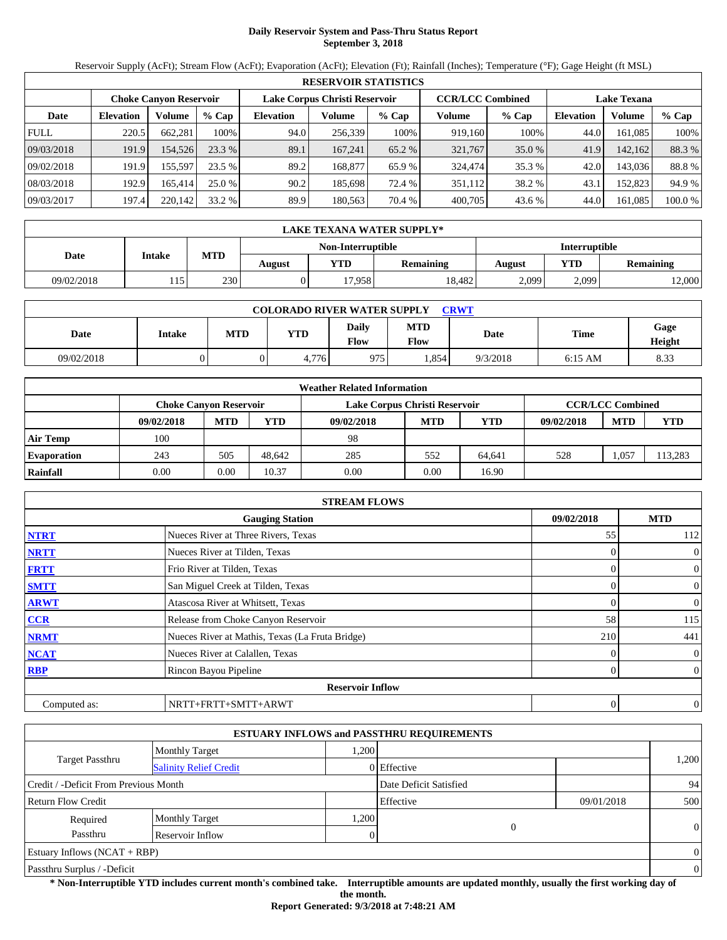# **Daily Reservoir System and Pass-Thru Status Report September 3, 2018**

Reservoir Supply (AcFt); Stream Flow (AcFt); Evaporation (AcFt); Elevation (Ft); Rainfall (Inches); Temperature (°F); Gage Height (ft MSL)

|             | <b>RESERVOIR STATISTICS</b>                                                                                     |         |         |                  |         |         |         |          |                  |         |         |  |
|-------------|-----------------------------------------------------------------------------------------------------------------|---------|---------|------------------|---------|---------|---------|----------|------------------|---------|---------|--|
|             | Lake Corpus Christi Reservoir<br><b>CCR/LCC Combined</b><br><b>Lake Texana</b><br><b>Choke Canvon Reservoir</b> |         |         |                  |         |         |         |          |                  |         |         |  |
| Date        | <b>Elevation</b>                                                                                                | Volume  | $%$ Cap | <b>Elevation</b> | Volume  | $%$ Cap | Volume  | % Cap    | <b>Elevation</b> | Volume  | $%$ Cap |  |
| <b>FULL</b> | 220.5                                                                                                           | 662.281 | 100%    | 94.0             | 256,339 | 100%    | 919,160 | 100%     | 44.0             | 161.085 | 100%    |  |
| 09/03/2018  | 191.9                                                                                                           | 154,526 | 23.3%   | 89.1             | 167.241 | 65.2 %  | 321,767 | $35.0\%$ | 41.9             | 142.162 | 88.3 %  |  |
| 09/02/2018  | 191.9                                                                                                           | 155.597 | 23.5 %  | 89.2             | 168,877 | 65.9 %  | 324,474 | 35.3 %   | 42.0             | 143.036 | 88.8%   |  |
| 08/03/2018  | 192.9                                                                                                           | 165.414 | 25.0 %  | 90.2             | 185,698 | 72.4 %  | 351.112 | 38.2 %   | 43.1             | 152.823 | 94.9 %  |  |
| 09/03/2017  | 197.4                                                                                                           | 220,142 | 33.2 %  | 89.9             | 180.563 | 70.4 %  | 400,705 | 43.6 %   | 44.0             | 161.085 | 100.0 % |  |

|            | <b>LAKE TEXANA WATER SUPPLY*</b> |     |        |                   |                  |               |       |                  |  |  |  |
|------------|----------------------------------|-----|--------|-------------------|------------------|---------------|-------|------------------|--|--|--|
|            |                                  |     |        | Non-Interruptible |                  | Interruptible |       |                  |  |  |  |
| Date       | <b>Intake</b>                    | MTD | August | VTD -             | <b>Remaining</b> | August        | YTD   | <b>Remaining</b> |  |  |  |
| 09/02/2018 | . 15                             | 230 |        | 17,958            | 18.482           | 2,099         | 2,099 | 12,000           |  |  |  |

| <b>COLORADO RIVER WATER SUPPLY</b><br><b>CRWT</b> |        |            |       |               |             |          |           |                |  |  |
|---------------------------------------------------|--------|------------|-------|---------------|-------------|----------|-----------|----------------|--|--|
| Date                                              | Intake | <b>MTD</b> | YTD   | Daily<br>Flow | MTD<br>Flow | Date     | Time      | Gage<br>Height |  |  |
| 09/02/2018                                        |        |            | 4.776 | 975           | .854        | 9/3/2018 | $6:15$ AM | 8.33           |  |  |

|                    |                               |            |        | <b>Weather Related Information</b> |            |        |            |                         |         |
|--------------------|-------------------------------|------------|--------|------------------------------------|------------|--------|------------|-------------------------|---------|
|                    | <b>Choke Canvon Reservoir</b> |            |        | Lake Corpus Christi Reservoir      |            |        |            | <b>CCR/LCC Combined</b> |         |
|                    | 09/02/2018                    | <b>MTD</b> | YTD    | 09/02/2018                         | <b>MTD</b> | YTD    | 09/02/2018 | <b>MTD</b>              | YTD     |
| <b>Air Temp</b>    | 100                           |            |        | 98                                 |            |        |            |                         |         |
| <b>Evaporation</b> | 243                           | 505        | 48.642 | 285                                | 552        | 64.641 | 528        | 0.057                   | 113,283 |
| Rainfall           | 0.00                          | 0.00       | 10.37  | 0.00                               | 0.00       | 16.90  |            |                         |         |

|              | <b>STREAM FLOWS</b>                             |            |     |                |
|--------------|-------------------------------------------------|------------|-----|----------------|
|              | <b>Gauging Station</b>                          | 09/02/2018 |     | <b>MTD</b>     |
| <b>NTRT</b>  | Nueces River at Three Rivers, Texas             |            | 55  | 112            |
| <b>NRTT</b>  | Nueces River at Tilden, Texas                   |            |     | $\mathbf{0}$   |
| <b>FRTT</b>  | Frio River at Tilden, Texas                     |            |     | $\mathbf{0}$   |
| <b>SMTT</b>  | San Miguel Creek at Tilden, Texas               |            | 0   | $\mathbf{0}$   |
| <b>ARWT</b>  | Atascosa River at Whitsett, Texas               |            |     | $\mathbf{0}$   |
| <b>CCR</b>   | Release from Choke Canyon Reservoir             |            | 58  | 115            |
| <b>NRMT</b>  | Nueces River at Mathis, Texas (La Fruta Bridge) |            | 210 | 441            |
| <b>NCAT</b>  | Nueces River at Calallen, Texas                 |            |     | $\overline{0}$ |
| <b>RBP</b>   | Rincon Bayou Pipeline                           |            |     | $\overline{0}$ |
|              | <b>Reservoir Inflow</b>                         |            |     |                |
| Computed as: | NRTT+FRTT+SMTT+ARWT                             |            | 0   | $\mathbf{0}$   |

|                                       |                               |      | <b>ESTUARY INFLOWS and PASSTHRU REQUIREMENTS</b> |            |          |
|---------------------------------------|-------------------------------|------|--------------------------------------------------|------------|----------|
|                                       | <b>Monthly Target</b>         | ,200 |                                                  |            |          |
| Target Passthru                       | <b>Salinity Relief Credit</b> |      | 0 Effective                                      |            | 1,200    |
| Credit / -Deficit From Previous Month |                               |      | Date Deficit Satisfied                           |            | 94       |
| Return Flow Credit                    |                               |      | Effective                                        | 09/01/2018 | 500      |
| Required                              | <b>Monthly Target</b>         | .200 |                                                  |            |          |
| Passthru                              | Reservoir Inflow              |      | 0                                                |            | $\theta$ |
| Estuary Inflows $(NCAT + RBP)$        |                               |      |                                                  |            | $\Omega$ |
| Passthru Surplus / -Deficit           |                               |      |                                                  |            | $\Omega$ |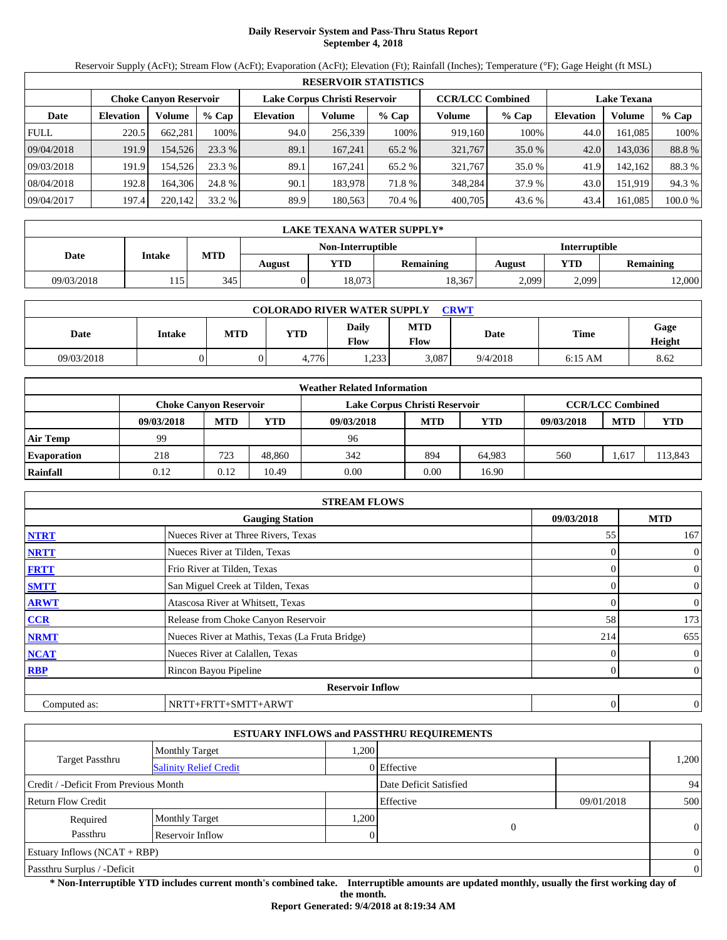# **Daily Reservoir System and Pass-Thru Status Report September 4, 2018**

Reservoir Supply (AcFt); Stream Flow (AcFt); Evaporation (AcFt); Elevation (Ft); Rainfall (Inches); Temperature (°F); Gage Height (ft MSL)

|             | <b>RESERVOIR STATISTICS</b> |                               |         |                  |                               |         |                         |         |                  |                    |         |  |
|-------------|-----------------------------|-------------------------------|---------|------------------|-------------------------------|---------|-------------------------|---------|------------------|--------------------|---------|--|
|             |                             | <b>Choke Canyon Reservoir</b> |         |                  | Lake Corpus Christi Reservoir |         | <b>CCR/LCC Combined</b> |         |                  | <b>Lake Texana</b> |         |  |
| Date        | <b>Elevation</b>            | Volume                        | $%$ Cap | <b>Elevation</b> | Volume                        | $%$ Cap | Volume                  | $%$ Cap | <b>Elevation</b> | Volume             | % Cap   |  |
| <b>FULL</b> | 220.5                       | 662.281                       | 100%    | 94.0             | 256.339                       | 100%    | 919,160                 | 100%    | 44.0             | 161.085            | 100%    |  |
| 09/04/2018  | 191.9                       | 154.526                       | 23.3 %  | 89.1             | 167.241                       | 65.2 %  | 321,767                 | 35.0 %  | 42.0             | 143,036            | 88.8%   |  |
| 09/03/2018  | 191.9                       | 154.526                       | 23.3 %  | 89.1             | 167.241                       | 65.2 %  | 321.767                 | 35.0 %  | 41.9             | 142.162            | 88.3 %  |  |
| 08/04/2018  | 192.8                       | 164.306                       | 24.8 %  | 90.1             | 183.978                       | 71.8%   | 348,284                 | 37.9 %  | 43.0             | 151.919            | 94.3 %  |  |
| 09/04/2017  | 197.4                       | 220.142                       | 33.2 %  | 89.9             | 180,563                       | 70.4 %  | 400,705                 | 43.6 %  | 43.4             | 161.085            | 100.0 % |  |

|            | LAKE TEXANA WATER SUPPLY* |     |        |                   |                  |                      |       |           |  |  |  |
|------------|---------------------------|-----|--------|-------------------|------------------|----------------------|-------|-----------|--|--|--|
|            |                           |     |        | Non-Interruptible |                  | <b>Interruptible</b> |       |           |  |  |  |
| Date       | <b>Intake</b>             | MTD | August | VTD -             | <b>Remaining</b> | August               | YTD   | Remaining |  |  |  |
| 09/03/2018 | 115                       | 345 |        | 18.073            | 18,367           | 2,099                | 2,099 | 2,000     |  |  |  |

| <b>COLORADO RIVER WATER SUPPLY</b><br>CRWT |        |            |            |               |                           |          |           |                |  |  |
|--------------------------------------------|--------|------------|------------|---------------|---------------------------|----------|-----------|----------------|--|--|
| Date                                       | Intake | <b>MTD</b> | <b>YTD</b> | Daily<br>Flow | <b>MTD</b><br><b>Flow</b> | Date     | Time      | Gage<br>Height |  |  |
| 09/03/2018                                 |        |            | 4,776      | .233          | 3,087                     | 9/4/2018 | $6:15$ AM | 8.62           |  |  |

|                    |            |                               |        | <b>Weather Related Information</b> |            |            |            |                         |            |
|--------------------|------------|-------------------------------|--------|------------------------------------|------------|------------|------------|-------------------------|------------|
|                    |            | <b>Choke Canvon Reservoir</b> |        | Lake Corpus Christi Reservoir      |            |            |            | <b>CCR/LCC Combined</b> |            |
|                    | 09/03/2018 | <b>MTD</b>                    | YTD    | 09/03/2018                         | <b>MTD</b> | <b>YTD</b> | 09/03/2018 | <b>MTD</b>              | <b>YTD</b> |
| <b>Air Temp</b>    | 99         |                               |        | 96                                 |            |            |            |                         |            |
| <b>Evaporation</b> | 218        | 723                           | 48.860 | 342                                | 894        | 64.983     | 560        | .617                    | 113,843    |
| Rainfall           | 0.12       | 0.12                          | 10.49  | 0.00                               | 0.00       | 16.90      |            |                         |            |

|              | <b>STREAM FLOWS</b>                             |                |                |
|--------------|-------------------------------------------------|----------------|----------------|
|              | <b>Gauging Station</b>                          | 09/03/2018     | <b>MTD</b>     |
| <b>NTRT</b>  | Nueces River at Three Rivers, Texas             | 55             | 167            |
| <b>NRTT</b>  | Nueces River at Tilden, Texas                   | $\Omega$       | $\mathbf{0}$   |
| <b>FRTT</b>  | Frio River at Tilden, Texas                     | 0              | $\overline{0}$ |
| <b>SMTT</b>  | San Miguel Creek at Tilden, Texas               | $\Omega$       | $\mathbf{0}$   |
| <b>ARWT</b>  | Atascosa River at Whitsett, Texas               | 0              | $\overline{0}$ |
| <b>CCR</b>   | Release from Choke Canyon Reservoir             | 58             | 173            |
| <b>NRMT</b>  | Nueces River at Mathis, Texas (La Fruta Bridge) | 214            | 655            |
| <b>NCAT</b>  | Nueces River at Calallen, Texas                 | 0              | $\overline{0}$ |
| <b>RBP</b>   | Rincon Bayou Pipeline                           | $\overline{0}$ | $\overline{0}$ |
|              | <b>Reservoir Inflow</b>                         |                |                |
| Computed as: | NRTT+FRTT+SMTT+ARWT                             | 0              | $\theta$       |

|                                       |                               |      | <b>ESTUARY INFLOWS and PASSTHRU REQUIREMENTS</b> |            |                |
|---------------------------------------|-------------------------------|------|--------------------------------------------------|------------|----------------|
|                                       | <b>Monthly Target</b>         | ,200 |                                                  |            |                |
| <b>Target Passthru</b>                | <b>Salinity Relief Credit</b> |      | 0 Effective                                      |            | 1,200          |
| Credit / -Deficit From Previous Month |                               |      | Date Deficit Satisfied                           |            | 94             |
| <b>Return Flow Credit</b>             |                               |      | Effective                                        | 09/01/2018 | 500            |
| Required                              | <b>Monthly Target</b>         | ,200 |                                                  |            |                |
| Passthru                              | Reservoir Inflow              |      | 0                                                |            | $\theta$       |
| Estuary Inflows $(NCAT + RBP)$        |                               |      |                                                  |            | $\overline{0}$ |
| Passthru Surplus / -Deficit           |                               |      |                                                  |            | $\theta$       |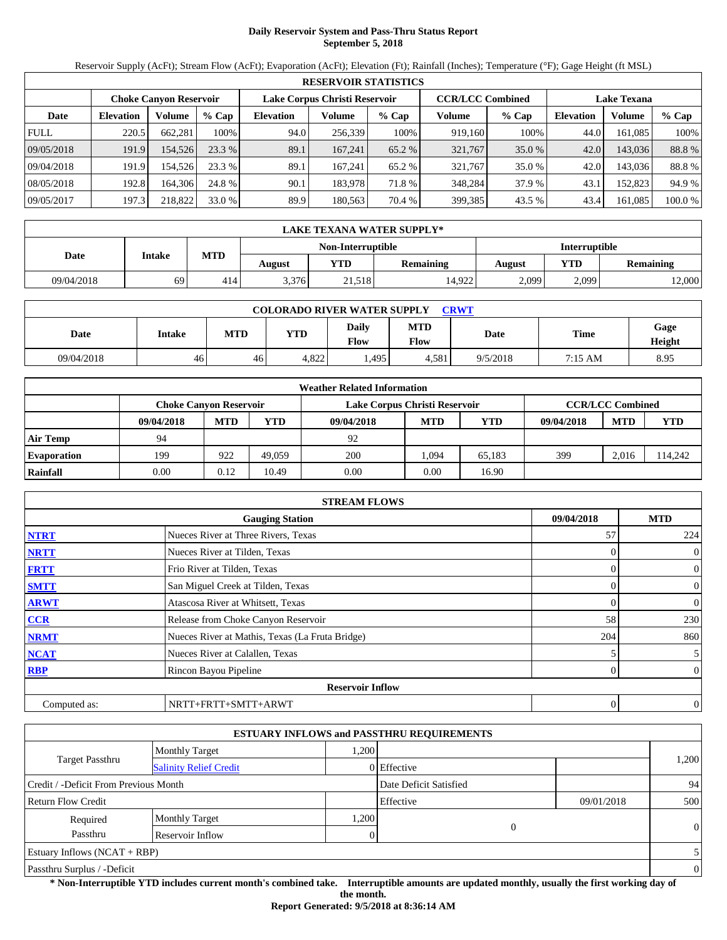# **Daily Reservoir System and Pass-Thru Status Report September 5, 2018**

Reservoir Supply (AcFt); Stream Flow (AcFt); Evaporation (AcFt); Elevation (Ft); Rainfall (Inches); Temperature (°F); Gage Height (ft MSL)

|             | <b>RESERVOIR STATISTICS</b> |                               |         |                  |                               |         |                         |          |                    |         |         |  |
|-------------|-----------------------------|-------------------------------|---------|------------------|-------------------------------|---------|-------------------------|----------|--------------------|---------|---------|--|
|             |                             | <b>Choke Canvon Reservoir</b> |         |                  | Lake Corpus Christi Reservoir |         | <b>CCR/LCC Combined</b> |          | <b>Lake Texana</b> |         |         |  |
| Date        | <b>Elevation</b>            | Volume                        | $%$ Cap | <b>Elevation</b> | Volume                        | $%$ Cap | Volume                  | % Cap    | <b>Elevation</b>   | Volume  | $%$ Cap |  |
| <b>FULL</b> | 220.5                       | 662.281                       | 100%    | 94.0             | 256,339                       | 100%    | 919,160                 | 100%     | 44.0               | 161.085 | 100%    |  |
| 09/05/2018  | 191.9                       | 154,526                       | 23.3%   | 89.1             | 167.241                       | 65.2 %  | 321,767                 | $35.0\%$ | 42.0               | 143.036 | 88.8%   |  |
| 09/04/2018  | 191.9                       | 154.526                       | 23.3 %  | 89.1             | 167.241                       | 65.2 %  | 321,767                 | 35.0 %   | 42.0               | 143.036 | 88.8%   |  |
| 08/05/2018  | 192.8                       | 164.306                       | 24.8 %  | 90.1             | 183.978                       | 71.8 %  | 348.284                 | 37.9 %   | 43.1               | 152.823 | 94.9 %  |  |
| 09/05/2017  | 197.3                       | 218,822                       | 33.0 %  | 89.9             | 180.563                       | 70.4 %  | 399,385                 | 43.5 %   | 43.4               | 161.085 | 100.0 % |  |

|            | LAKE TEXANA WATER SUPPLY*          |     |        |            |           |        |       |           |  |  |  |
|------------|------------------------------------|-----|--------|------------|-----------|--------|-------|-----------|--|--|--|
|            | Interruptible<br>Non-Interruptible |     |        |            |           |        |       |           |  |  |  |
| Date       | <b>Intake</b>                      | MTD | August | <b>YTD</b> | Remaining | August | YTD   | Remaining |  |  |  |
| 09/04/2018 | 69                                 | 414 | 3,376  | 21,518     | 14,922    | 2,099  | 2,099 | 2,000     |  |  |  |

| <b>COLORADO RIVER WATER SUPPLY</b><br>CRWT |        |     |            |               |                           |          |             |                |  |  |
|--------------------------------------------|--------|-----|------------|---------------|---------------------------|----------|-------------|----------------|--|--|
| Date                                       | Intake | MTD | <b>YTD</b> | Dailv<br>Flow | <b>MTD</b><br><b>Flow</b> | Date     | <b>Time</b> | Gage<br>Height |  |  |
| 09/04/2018                                 | 46     | 46  | 4,822      | .495          | 4.581                     | 9/5/2018 | 7:15 AM     | 8.95           |  |  |

|                    |                               |            |        | <b>Weather Related Information</b> |            |            |            |                         |            |
|--------------------|-------------------------------|------------|--------|------------------------------------|------------|------------|------------|-------------------------|------------|
|                    | <b>Choke Canvon Reservoir</b> |            |        | Lake Corpus Christi Reservoir      |            |            |            | <b>CCR/LCC Combined</b> |            |
|                    | 09/04/2018                    | <b>MTD</b> | YTD    | 09/04/2018                         | <b>MTD</b> | <b>YTD</b> | 09/04/2018 | <b>MTD</b>              | <b>YTD</b> |
| <b>Air Temp</b>    | 94                            |            |        | 92                                 |            |            |            |                         |            |
| <b>Evaporation</b> | 199                           | 922        | 49.059 | 200                                | 1.094      | 65.183     | 399        | 2.016                   | 114.242    |
| Rainfall           | 0.00                          | 0.12       | 10.49  | 0.00                               | 0.00       | 16.90      |            |                         |            |

|              | <b>STREAM FLOWS</b>                             |              |                |
|--------------|-------------------------------------------------|--------------|----------------|
|              | <b>Gauging Station</b>                          | 09/04/2018   | <b>MTD</b>     |
| <b>NTRT</b>  | Nueces River at Three Rivers, Texas             | 57           | 224            |
| <b>NRTT</b>  | Nueces River at Tilden, Texas                   | 0            | $\mathbf{0}$   |
| <b>FRTT</b>  | Frio River at Tilden, Texas                     | $\Omega$     | $\mathbf{0}$   |
| <b>SMTT</b>  | San Miguel Creek at Tilden, Texas               | $\Omega$     | $\mathbf{0}$   |
| <b>ARWT</b>  | Atascosa River at Whitsett, Texas               | 0            | $\mathbf{0}$   |
| <b>CCR</b>   | Release from Choke Canyon Reservoir             | 58           | 230            |
| <b>NRMT</b>  | Nueces River at Mathis, Texas (La Fruta Bridge) | 204          | 860            |
| <b>NCAT</b>  | Nueces River at Calallen, Texas                 |              | 5              |
| <b>RBP</b>   | Rincon Bayou Pipeline                           | 0            | $\overline{0}$ |
|              | <b>Reservoir Inflow</b>                         |              |                |
| Computed as: | NRTT+FRTT+SMTT+ARWT                             | $\mathbf{0}$ | $\theta$       |

|                                       |                               |      | <b>ESTUARY INFLOWS and PASSTHRU REQUIREMENTS</b> |            |                |
|---------------------------------------|-------------------------------|------|--------------------------------------------------|------------|----------------|
|                                       | Monthly Target                | .200 |                                                  |            |                |
| <b>Target Passthru</b>                | <b>Salinity Relief Credit</b> |      | 0 Effective                                      |            | 1,200          |
| Credit / -Deficit From Previous Month |                               |      | Date Deficit Satisfied                           |            | 94             |
| <b>Return Flow Credit</b>             |                               |      | Effective                                        | 09/01/2018 | 500            |
| Required                              | <b>Monthly Target</b>         | ,200 |                                                  |            |                |
| Passthru                              | Reservoir Inflow              |      | 0                                                |            | $\theta$       |
| Estuary Inflows $(NCAT + RBP)$        |                               |      |                                                  |            | 5              |
| Passthru Surplus / -Deficit           |                               |      |                                                  |            | $\overline{0}$ |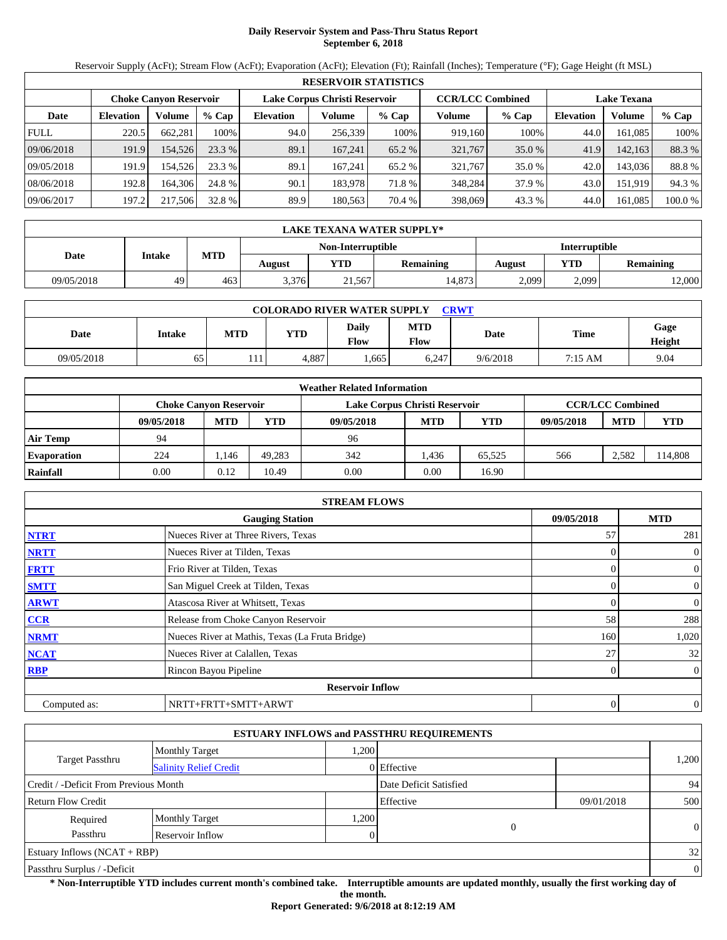# **Daily Reservoir System and Pass-Thru Status Report September 6, 2018**

Reservoir Supply (AcFt); Stream Flow (AcFt); Evaporation (AcFt); Elevation (Ft); Rainfall (Inches); Temperature (°F); Gage Height (ft MSL)

|             | <b>RESERVOIR STATISTICS</b> |                               |         |                  |                               |         |                         |          |                    |         |         |  |
|-------------|-----------------------------|-------------------------------|---------|------------------|-------------------------------|---------|-------------------------|----------|--------------------|---------|---------|--|
|             |                             | <b>Choke Canvon Reservoir</b> |         |                  | Lake Corpus Christi Reservoir |         | <b>CCR/LCC Combined</b> |          | <b>Lake Texana</b> |         |         |  |
| Date        | <b>Elevation</b>            | Volume                        | $%$ Cap | <b>Elevation</b> | Volume                        | $%$ Cap | Volume                  | $%$ Cap  | <b>Elevation</b>   | Volume  | % Cap   |  |
| <b>FULL</b> | 220.5                       | 662.281                       | 100%    | 94.0             | 256,339                       | 100%    | 919.160                 | 100%     | 44.0               | 161.085 | 100%    |  |
| 09/06/2018  | 191.9                       | 154.526                       | 23.3 %  | 89.1             | 167.241                       | 65.2 %  | 321,767                 | $35.0\%$ | 41.9               | 142.163 | 88.3 %  |  |
| 09/05/2018  | 191.9                       | 154.526                       | 23.3 %  | 89.1             | 167.241                       | 65.2 %  | 321.767                 | 35.0 %   | 42.0               | 143.036 | 88.8%   |  |
| 08/06/2018  | 192.8                       | 164.306                       | 24.8 %  | 90.1             | 183.978                       | 71.8 %  | 348,284                 | 37.9 %   | 43.0               | 151.919 | 94.3 %  |  |
| 09/06/2017  | 197.2                       | 217,506                       | 32.8 %  | 89.9             | 180.563                       | 70.4 %  | 398,069                 | 43.3 %   | 44.0               | 161.085 | 100.0 % |  |

|            | <b>LAKE TEXANA WATER SUPPLY*</b> |     |        |                   |                  |               |       |           |  |  |  |
|------------|----------------------------------|-----|--------|-------------------|------------------|---------------|-------|-----------|--|--|--|
|            |                                  |     |        | Non-Interruptible |                  | Interruptible |       |           |  |  |  |
| Date       | Intake                           | MTD | August | YTD               | <b>Remaining</b> | August        | YTD   | Remaining |  |  |  |
| 09/05/2018 | 49                               | 463 | 3,376  | 21,567            | 14,873           | 2,099         | 2,099 | 2,000     |  |  |  |

| <b>COLORADO RIVER WATER SUPPLY</b><br><b>CRWT</b> |        |     |            |                      |             |          |         |                |  |  |  |
|---------------------------------------------------|--------|-----|------------|----------------------|-------------|----------|---------|----------------|--|--|--|
| Date                                              | Intake | MTD | <b>YTD</b> | <b>Daily</b><br>Flow | MTD<br>Flow | Date     | Time    | Gage<br>Height |  |  |  |
| 09/05/2018                                        | 65     | 111 | 4,887      | .,665                | 6,247       | 9/6/2018 | 7:15 AM | 9.04           |  |  |  |

|                    |            |                               |        | <b>Weather Related Information</b> |            |            |            |                         |            |
|--------------------|------------|-------------------------------|--------|------------------------------------|------------|------------|------------|-------------------------|------------|
|                    |            | <b>Choke Canvon Reservoir</b> |        | Lake Corpus Christi Reservoir      |            |            |            | <b>CCR/LCC Combined</b> |            |
|                    | 09/05/2018 | <b>MTD</b>                    | YTD    | 09/05/2018                         | <b>MTD</b> | <b>YTD</b> | 09/05/2018 | <b>MTD</b>              | <b>YTD</b> |
| <b>Air Temp</b>    | 94         |                               |        | 96                                 |            |            |            |                         |            |
| <b>Evaporation</b> | 224        | 146.،                         | 49.283 | 342                                | l.436      | 65.525     | 566        | 2.582                   | 114,808    |
| Rainfall           | 0.00       | 0.12                          | 10.49  | 0.00                               | 0.00       | 16.90      |            |                         |            |

|              | <b>STREAM FLOWS</b>                             |                |                |
|--------------|-------------------------------------------------|----------------|----------------|
|              | <b>Gauging Station</b>                          | 09/05/2018     | <b>MTD</b>     |
| <b>NTRT</b>  | Nueces River at Three Rivers, Texas             | 57             | 281            |
| <b>NRTT</b>  | Nueces River at Tilden, Texas                   | $\Omega$       | $\mathbf{0}$   |
| <b>FRTT</b>  | Frio River at Tilden, Texas                     | 0              | $\overline{0}$ |
| <b>SMTT</b>  | San Miguel Creek at Tilden, Texas               | $\Omega$       | $\mathbf{0}$   |
| <b>ARWT</b>  | Atascosa River at Whitsett, Texas               | 0              | $\overline{0}$ |
| <b>CCR</b>   | Release from Choke Canyon Reservoir             | 58             | 288            |
| <b>NRMT</b>  | Nueces River at Mathis, Texas (La Fruta Bridge) | 160            | 1,020          |
| <b>NCAT</b>  | Nueces River at Calallen, Texas                 | 27             | 32             |
| <b>RBP</b>   | Rincon Bayou Pipeline                           | $\overline{0}$ | $\overline{0}$ |
|              | <b>Reservoir Inflow</b>                         |                |                |
| Computed as: | NRTT+FRTT+SMTT+ARWT                             | 0              | $\theta$       |

|                                       |                               |       | <b>ESTUARY INFLOWS and PASSTHRU REQUIREMENTS</b> |            |                |
|---------------------------------------|-------------------------------|-------|--------------------------------------------------|------------|----------------|
|                                       | <b>Monthly Target</b>         | .200  |                                                  |            |                |
| Target Passthru                       | <b>Salinity Relief Credit</b> |       | 0 Effective                                      |            | 1,200          |
| Credit / -Deficit From Previous Month |                               |       | Date Deficit Satisfied                           |            | 94             |
| <b>Return Flow Credit</b>             |                               |       | Effective                                        | 09/01/2018 | 500            |
| Required                              | <b>Monthly Target</b>         | 0.200 |                                                  |            |                |
| Passthru                              | Reservoir Inflow              |       | $\overline{0}$                                   |            | $\Omega$       |
| <b>Estuary Inflows (NCAT + RBP)</b>   |                               |       |                                                  |            | 32             |
| Passthru Surplus / -Deficit           |                               |       |                                                  |            | $\overline{0}$ |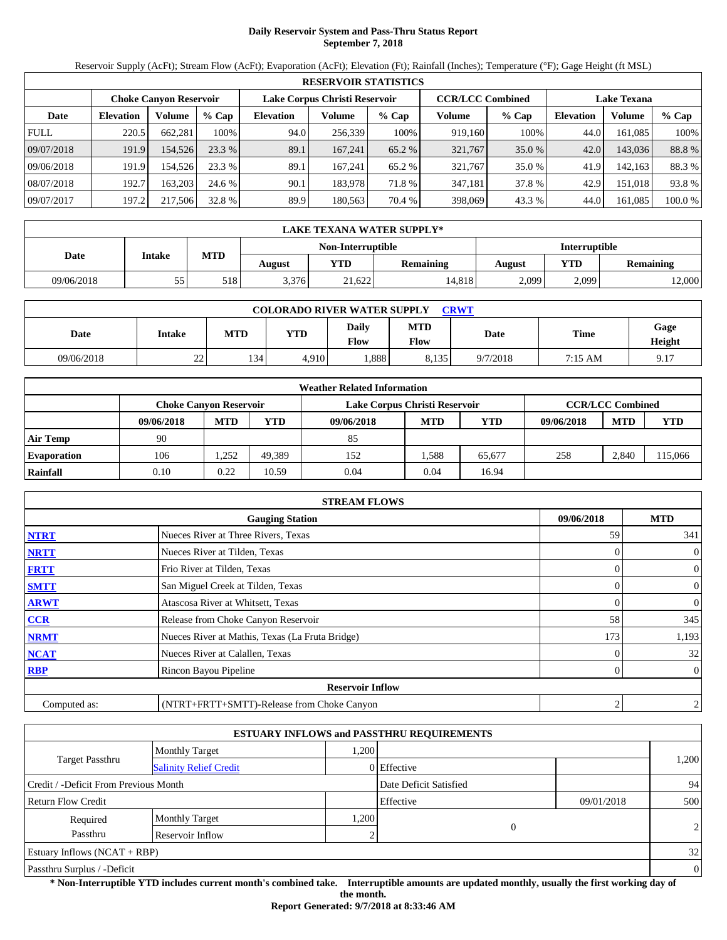# **Daily Reservoir System and Pass-Thru Status Report September 7, 2018**

Reservoir Supply (AcFt); Stream Flow (AcFt); Evaporation (AcFt); Elevation (Ft); Rainfall (Inches); Temperature (°F); Gage Height (ft MSL)

|             |                  |                               |         |                               | <b>RESERVOIR STATISTICS</b> |         |                         |          |                    |         |         |
|-------------|------------------|-------------------------------|---------|-------------------------------|-----------------------------|---------|-------------------------|----------|--------------------|---------|---------|
|             |                  | <b>Choke Canvon Reservoir</b> |         | Lake Corpus Christi Reservoir |                             |         | <b>CCR/LCC Combined</b> |          | <b>Lake Texana</b> |         |         |
| Date        | <b>Elevation</b> | Volume                        | $%$ Cap | <b>Elevation</b>              | Volume                      | $%$ Cap | Volume                  | % Cap    | <b>Elevation</b>   | Volume  | $%$ Cap |
| <b>FULL</b> | 220.5            | 662.281                       | 100%    | 94.0                          | 256,339                     | 100%    | 919,160                 | 100%     | 44.0               | 161.085 | 100%    |
| 09/07/2018  | 191.9            | 154,526                       | 23.3%   | 89.1                          | 167.241                     | 65.2 %  | 321,767                 | $35.0\%$ | 42.0               | 143.036 | 88.8%   |
| 09/06/2018  | 191.9            | 154.526                       | 23.3 %  | 89.1                          | 167.241                     | 65.2 %  | 321,767                 | 35.0 %   | 41.9               | 142.163 | 88.3 %  |
| 08/07/2018  | 192.7            | 163.203                       | 24.6 %  | 90.1                          | 183.978                     | 71.8%   | 347.181                 | 37.8 %   | 42.9               | 151.018 | 93.8%   |
| 09/07/2017  | 197.2            | 217,506                       | 32.8 %  | 89.9                          | 180.563                     | 70.4 %  | 398,069                 | 43.3 %   | 44.0               | 161.085 | 100.0 % |

|            | LAKE TEXANA WATER SUPPLY* |     |        |                   |                  |               |       |                  |  |  |
|------------|---------------------------|-----|--------|-------------------|------------------|---------------|-------|------------------|--|--|
|            |                           |     |        | Non-Interruptible |                  | Interruptible |       |                  |  |  |
| Date       | MTD<br>Intake             |     | August | <b>YTD</b>        | <b>Remaining</b> | August        | YTD   | <b>Remaining</b> |  |  |
| 09/06/2018 | 55                        | 518 | 3,376  | 21,622            | 14,818           | 2,099         | 2,099 | 2,000            |  |  |

| <b>COLORADO RIVER WATER SUPPLY</b><br><b>CRWT</b> |         |     |            |               |             |          |         |                |  |  |
|---------------------------------------------------|---------|-----|------------|---------------|-------------|----------|---------|----------------|--|--|
| Date                                              | Intake  | MTD | <b>YTD</b> | Daily<br>Flow | MTD<br>Flow | Date     | Time    | Gage<br>Height |  |  |
| 09/06/2018                                        | າາ<br>∸ | 134 | 4,910      | .888          | 8,135       | 9/7/2018 | 7:15 AM | 9.17           |  |  |

|                    |                               |            |        | <b>Weather Related Information</b> |            |        |            |                         |         |
|--------------------|-------------------------------|------------|--------|------------------------------------|------------|--------|------------|-------------------------|---------|
|                    | <b>Choke Canvon Reservoir</b> |            |        | Lake Corpus Christi Reservoir      |            |        |            | <b>CCR/LCC Combined</b> |         |
|                    | 09/06/2018                    | <b>MTD</b> | YTD    | 09/06/2018                         | <b>MTD</b> | YTD    | 09/06/2018 | <b>MTD</b>              | YTD     |
| <b>Air Temp</b>    | 90                            |            |        | 85                                 |            |        |            |                         |         |
| <b>Evaporation</b> | 106                           | .252       | 49.389 | 152                                | .588       | 65.677 | 258        | 2.840                   | 115.066 |
| Rainfall           | 0.10                          | 0.22       | 10.59  | 0.04                               | 0.04       | 16.94  |            |                         |         |

|              | <b>STREAM FLOWS</b>                             |            |                |
|--------------|-------------------------------------------------|------------|----------------|
|              | <b>Gauging Station</b>                          | 09/06/2018 | <b>MTD</b>     |
| <b>NTRT</b>  | Nueces River at Three Rivers, Texas             | 59         | 341            |
| <b>NRTT</b>  | Nueces River at Tilden, Texas                   |            | $\overline{0}$ |
| <b>FRTT</b>  | Frio River at Tilden, Texas                     |            | $\overline{0}$ |
| <b>SMTT</b>  | San Miguel Creek at Tilden, Texas               | 0          | $\overline{0}$ |
| <b>ARWT</b>  | Atascosa River at Whitsett, Texas               | 0          | $\overline{0}$ |
| CCR          | Release from Choke Canyon Reservoir             | 58         | 345            |
| <b>NRMT</b>  | Nueces River at Mathis, Texas (La Fruta Bridge) | 173        | 1,193          |
| <b>NCAT</b>  | Nueces River at Calallen, Texas                 |            | 32             |
| <b>RBP</b>   | Rincon Bayou Pipeline                           | 0          | $\overline{0}$ |
|              | <b>Reservoir Inflow</b>                         |            |                |
| Computed as: | (NTRT+FRTT+SMTT)-Release from Choke Canyon      | 2          | $\overline{2}$ |

|                                                         |                       |      | <b>ESTUARY INFLOWS and PASSTHRU REQUIREMENTS</b> |            |                |
|---------------------------------------------------------|-----------------------|------|--------------------------------------------------|------------|----------------|
|                                                         | <b>Monthly Target</b> | .200 |                                                  |            |                |
| <b>Target Passthru</b><br><b>Salinity Relief Credit</b> |                       |      | 0 Effective                                      |            | 1,200          |
| Credit / -Deficit From Previous Month                   |                       |      | Date Deficit Satisfied                           |            | 94             |
| <b>Return Flow Credit</b>                               |                       |      | Effective                                        | 09/01/2018 | 500            |
| Required                                                | <b>Monthly Target</b> | .200 |                                                  |            |                |
| Passthru                                                | Reservoir Inflow      |      | 0                                                |            | 2              |
| Estuary Inflows $(NCAT + RBP)$                          |                       |      |                                                  |            | 32             |
| Passthru Surplus / -Deficit                             |                       |      |                                                  |            | $\overline{0}$ |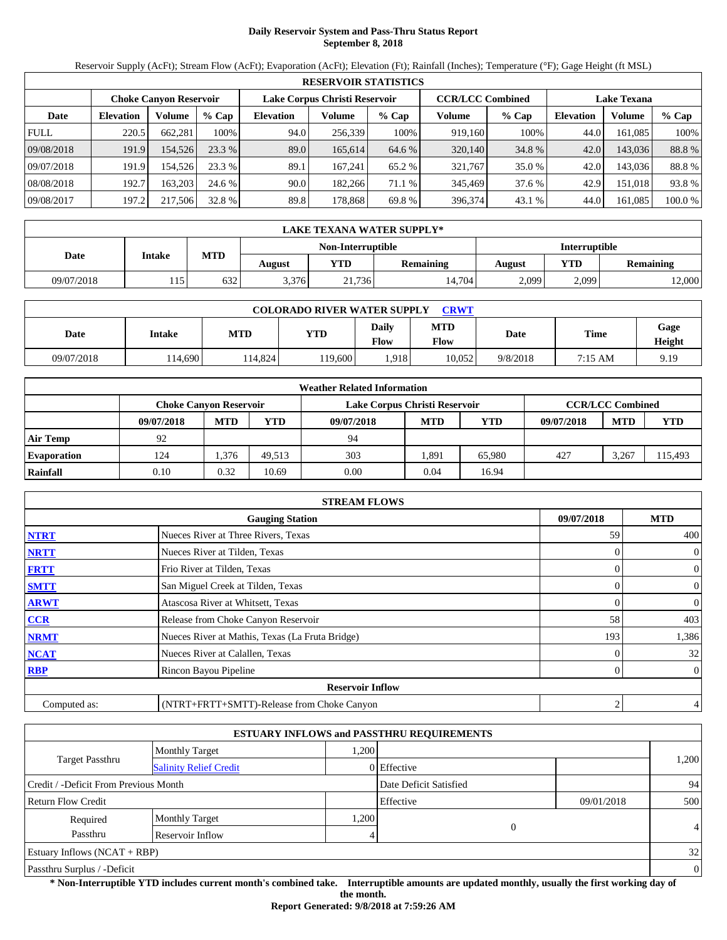# **Daily Reservoir System and Pass-Thru Status Report September 8, 2018**

Reservoir Supply (AcFt); Stream Flow (AcFt); Evaporation (AcFt); Elevation (Ft); Rainfall (Inches); Temperature (°F); Gage Height (ft MSL)

|             |                  |                               |         |                  | <b>RESERVOIR STATISTICS</b>   |         |                         |         |                    |         |         |
|-------------|------------------|-------------------------------|---------|------------------|-------------------------------|---------|-------------------------|---------|--------------------|---------|---------|
|             |                  | <b>Choke Canvon Reservoir</b> |         |                  | Lake Corpus Christi Reservoir |         | <b>CCR/LCC Combined</b> |         | <b>Lake Texana</b> |         |         |
| Date        | <b>Elevation</b> | Volume                        | $%$ Cap | <b>Elevation</b> | Volume                        | $%$ Cap | Volume                  | $%$ Cap | <b>Elevation</b>   | Volume  | % Cap   |
| <b>FULL</b> | 220.5            | 662.281                       | 100%    | 94.0             | 256,339                       | 100%    | 919.160                 | 100%    | 44.0               | 161.085 | 100%    |
| 09/08/2018  | 191.9            | 154.526                       | 23.3 %  | 89.0             | 165,614                       | 64.6 %  | 320,140                 | 34.8 %  | 42.0               | 143.036 | 88.8%   |
| 09/07/2018  | 191.9            | 154.526                       | 23.3 %  | 89.1             | 167.241                       | 65.2 %  | 321,767                 | 35.0 %  | 42.0               | 143.036 | 88.8%   |
| 08/08/2018  | 192.7            | 163.203                       | 24.6 %  | 90.0             | 182.266                       | 71.1 %  | 345,469                 | 37.6 %  | 42.9               | 151.018 | 93.8%   |
| 09/08/2017  | 197.2            | 217,506                       | 32.8 %  | 89.8             | 178.868                       | 69.8 %  | 396,374                 | 43.1 %  | 44.0               | 161.085 | 100.0 % |

|            | LAKE TEXANA WATER SUPPLY*      |     |       |                   |        |                      |           |       |  |
|------------|--------------------------------|-----|-------|-------------------|--------|----------------------|-----------|-------|--|
|            |                                |     |       | Non-Interruptible |        | <b>Interruptible</b> |           |       |  |
| Date       | <b>MTD</b><br>Intake<br>August |     | VTD - | Remaining         | August | <b>YTD</b>           | Remaining |       |  |
| 09/07/2018 | 115'                           | 632 | 3,376 | 21.736            | 14,704 | 2,099                | 2,099     | 2,000 |  |

|            | <b>COLORADO RIVER WATER SUPPLY</b><br><b>CRWT</b> |            |         |                             |                    |          |         |                |  |  |
|------------|---------------------------------------------------|------------|---------|-----------------------------|--------------------|----------|---------|----------------|--|--|
| Date       | Intake                                            | <b>MTD</b> | YTD     | <b>Daily</b><br><b>Flow</b> | <b>MTD</b><br>Flow | Date     | Time    | Gage<br>Height |  |  |
| 09/07/2018 | 114,690                                           | 14.824     | 119,600 | .918                        | 10.052             | 9/8/2018 | 7:15 AM | 9.19           |  |  |

|                    |                               |            |        | <b>Weather Related Information</b> |            |            |            |                         |            |
|--------------------|-------------------------------|------------|--------|------------------------------------|------------|------------|------------|-------------------------|------------|
|                    | <b>Choke Canvon Reservoir</b> |            |        | Lake Corpus Christi Reservoir      |            |            |            | <b>CCR/LCC Combined</b> |            |
|                    | 09/07/2018                    | <b>MTD</b> | YTD    | 09/07/2018                         | <b>MTD</b> | <b>YTD</b> | 09/07/2018 | <b>MTD</b>              | <b>YTD</b> |
| <b>Air Temp</b>    | 92                            |            |        | 94                                 |            |            |            |                         |            |
| <b>Evaporation</b> | 124                           | .376       | 49.513 | 303                                | .891       | 65.980     | 427        | 3,267                   | 15,493     |
| Rainfall           | 0.10                          | 0.32       | 10.69  | 0.00                               | 0.04       | 16.94      |            |                         |            |

|              | <b>STREAM FLOWS</b>                             |                |                |
|--------------|-------------------------------------------------|----------------|----------------|
|              | <b>Gauging Station</b>                          | 09/07/2018     | <b>MTD</b>     |
| <b>NTRT</b>  | Nueces River at Three Rivers, Texas             | 59             | 400            |
| <b>NRTT</b>  | Nueces River at Tilden, Texas                   |                | $\mathbf{0}$   |
| <b>FRTT</b>  | Frio River at Tilden, Texas                     |                | $\overline{0}$ |
| <b>SMTT</b>  | San Miguel Creek at Tilden, Texas               | 0              | $\overline{0}$ |
| <b>ARWT</b>  | Atascosa River at Whitsett, Texas               | $\overline{0}$ | $\overline{0}$ |
| CCR          | Release from Choke Canyon Reservoir             | 58             | 403            |
| <b>NRMT</b>  | Nueces River at Mathis, Texas (La Fruta Bridge) | 193            | 1,386          |
| <b>NCAT</b>  | Nueces River at Calallen, Texas                 |                | 32             |
| <b>RBP</b>   | Rincon Bayou Pipeline                           | 0              | $\overline{0}$ |
|              | <b>Reservoir Inflow</b>                         |                |                |
| Computed as: | (NTRT+FRTT+SMTT)-Release from Choke Canyon      | 2              | $\overline{4}$ |

|                                                  |                       |      | <b>ESTUARY INFLOWS and PASSTHRU REQUIREMENTS</b> |            |                |
|--------------------------------------------------|-----------------------|------|--------------------------------------------------|------------|----------------|
|                                                  | <b>Monthly Target</b> | .200 |                                                  |            |                |
| Target Passthru<br><b>Salinity Relief Credit</b> |                       |      | 0 Effective                                      |            | 1,200          |
| Credit / -Deficit From Previous Month            |                       |      | Date Deficit Satisfied                           |            | 94             |
| <b>Return Flow Credit</b>                        |                       |      | Effective                                        | 09/01/2018 | 500            |
| Required                                         | <b>Monthly Target</b> | ,200 |                                                  |            |                |
| Passthru                                         | Reservoir Inflow      |      | 0                                                |            | $\overline{4}$ |
| <b>Estuary Inflows (NCAT + RBP)</b>              |                       |      |                                                  |            | 32             |
| Passthru Surplus / -Deficit                      |                       |      |                                                  |            | $\mathbf{0}$   |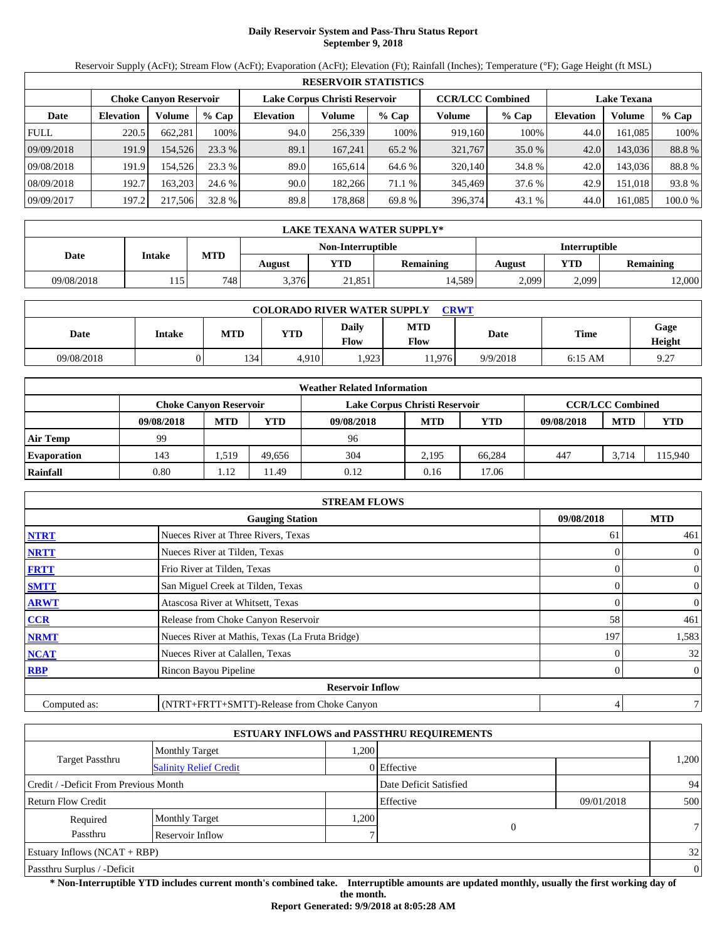# **Daily Reservoir System and Pass-Thru Status Report September 9, 2018**

Reservoir Supply (AcFt); Stream Flow (AcFt); Evaporation (AcFt); Elevation (Ft); Rainfall (Inches); Temperature (°F); Gage Height (ft MSL)

|             | <b>RESERVOIR STATISTICS</b> |                               |         |                               |         |         |                         |          |                    |         |         |  |  |
|-------------|-----------------------------|-------------------------------|---------|-------------------------------|---------|---------|-------------------------|----------|--------------------|---------|---------|--|--|
|             |                             | <b>Choke Canvon Reservoir</b> |         | Lake Corpus Christi Reservoir |         |         | <b>CCR/LCC Combined</b> |          | <b>Lake Texana</b> |         |         |  |  |
| Date        | <b>Elevation</b>            | Volume                        | $%$ Cap | <b>Elevation</b>              | Volume  | $%$ Cap | Volume                  | $%$ Cap  | <b>Elevation</b>   | Volume  | % Cap   |  |  |
| <b>FULL</b> | 220.5                       | 662.281                       | 100%    | 94.0                          | 256,339 | 100%    | 919.160                 | 100%     | 44.0               | 161.085 | 100%    |  |  |
| 09/09/2018  | 191.9                       | 154.526                       | 23.3 %  | 89.1                          | 167.241 | 65.2 %  | 321,767                 | $35.0\%$ | 42.0               | 143.036 | 88.8%   |  |  |
| 09/08/2018  | 191.9                       | 154.526                       | 23.3 %  | 89.0                          | 165.614 | 64.6 %  | 320,140                 | 34.8 %   | 42.0               | 143.036 | 88.8%   |  |  |
| 08/09/2018  | 192.7                       | 163.203                       | 24.6 %  | 90.0                          | 182.266 | 71.1 %  | 345,469                 | 37.6 %   | 42.9               | 151.018 | 93.8%   |  |  |
| 09/09/2017  | 197.2                       | 217,506                       | 32.8 %  | 89.8                          | 178.868 | 69.8 %  | 396,374                 | 43.1 %   | 44.0               | 161.085 | 100.0 % |  |  |

|                                    | LAKE TEXANA WATER SUPPLY* |                  |        |        |                  |        |            |           |  |  |  |
|------------------------------------|---------------------------|------------------|--------|--------|------------------|--------|------------|-----------|--|--|--|
| Interruptible<br>Non-Interruptible |                           |                  |        |        |                  |        |            |           |  |  |  |
| Date                               | Intake                    | MTD              | August | YTD    | <b>Remaining</b> | August | <b>YTD</b> | Remaining |  |  |  |
| 09/08/2018                         | 15                        | 748 <sub>1</sub> | 3,376  | 21,851 | 14,589           | 2,099  | 2,099      | 2,000     |  |  |  |

| <b>COLORADO RIVER WATER SUPPLY</b><br>CRWT |        |            |            |                             |             |          |             |                |  |  |  |
|--------------------------------------------|--------|------------|------------|-----------------------------|-------------|----------|-------------|----------------|--|--|--|
| Date                                       | Intake | <b>MTD</b> | <b>YTD</b> | <b>Daily</b><br><b>Flow</b> | MTD<br>Flow | Date     | <b>Time</b> | Gage<br>Height |  |  |  |
| 09/08/2018                                 |        | 134        | 4.910      | 1.923                       | 1.976       | 9/9/2018 | $6:15$ AM   | 97<br>$\cdot$  |  |  |  |

|                    | <b>Weather Related Information</b> |            |        |                               |            |        |            |                         |         |  |  |  |
|--------------------|------------------------------------|------------|--------|-------------------------------|------------|--------|------------|-------------------------|---------|--|--|--|
|                    | Choke Canvon Reservoir             |            |        | Lake Corpus Christi Reservoir |            |        |            | <b>CCR/LCC Combined</b> |         |  |  |  |
|                    | 09/08/2018                         | <b>MTD</b> | YTD    | 09/08/2018                    | <b>MTD</b> | YTD    | 09/08/2018 | <b>MTD</b>              | YTD     |  |  |  |
| <b>Air Temp</b>    | 99                                 |            |        | 96                            |            |        |            |                         |         |  |  |  |
| <b>Evaporation</b> | 143                                | .519       | 49.656 | 304                           | 2.195      | 66.284 | 447        | 3.714                   | 115,940 |  |  |  |
| Rainfall           | 0.80                               | 1.12       | 1.49   | 0.12                          | 0.16       | 17.06  |            |                         |         |  |  |  |

|              | <b>STREAM FLOWS</b>                             |            |                |
|--------------|-------------------------------------------------|------------|----------------|
|              | <b>Gauging Station</b>                          | 09/08/2018 | <b>MTD</b>     |
| <b>NTRT</b>  | Nueces River at Three Rivers, Texas             | 61         | 461            |
| <b>NRTT</b>  | Nueces River at Tilden, Texas                   |            | $\mathbf{0}$   |
| <b>FRTT</b>  | Frio River at Tilden, Texas                     |            | $\mathbf{0}$   |
| <b>SMTT</b>  | San Miguel Creek at Tilden, Texas               | $\theta$   | $\mathbf{0}$   |
| <b>ARWT</b>  | Atascosa River at Whitsett, Texas               | 0          | $\mathbf{0}$   |
| CCR          | Release from Choke Canyon Reservoir             | 58         | 461            |
| <b>NRMT</b>  | Nueces River at Mathis, Texas (La Fruta Bridge) | 197        | 1,583          |
| <b>NCAT</b>  | Nueces River at Calallen, Texas                 |            | 32             |
| <b>RBP</b>   | Rincon Bayou Pipeline                           |            | $\overline{0}$ |
|              | <b>Reservoir Inflow</b>                         |            |                |
| Computed as: | (NTRT+FRTT+SMTT)-Release from Choke Canyon      | 4          | 7.             |

|                                       |                               |      | <b>ESTUARY INFLOWS and PASSTHRU REQUIREMENTS</b> |            |              |
|---------------------------------------|-------------------------------|------|--------------------------------------------------|------------|--------------|
|                                       | <b>Monthly Target</b>         | .200 |                                                  |            |              |
| Target Passthru                       | <b>Salinity Relief Credit</b> |      | 0 Effective                                      |            | 1,200        |
| Credit / -Deficit From Previous Month |                               |      | Date Deficit Satisfied                           |            | 94           |
| <b>Return Flow Credit</b>             |                               |      | Effective                                        | 09/01/2018 | 500          |
| Required                              | <b>Monthly Target</b>         | ,200 |                                                  |            |              |
| Passthru                              | Reservoir Inflow              |      | 0                                                |            | $\tau$       |
| <b>Estuary Inflows (NCAT + RBP)</b>   |                               |      |                                                  |            | 32           |
| Passthru Surplus / -Deficit           |                               |      |                                                  |            | $\mathbf{0}$ |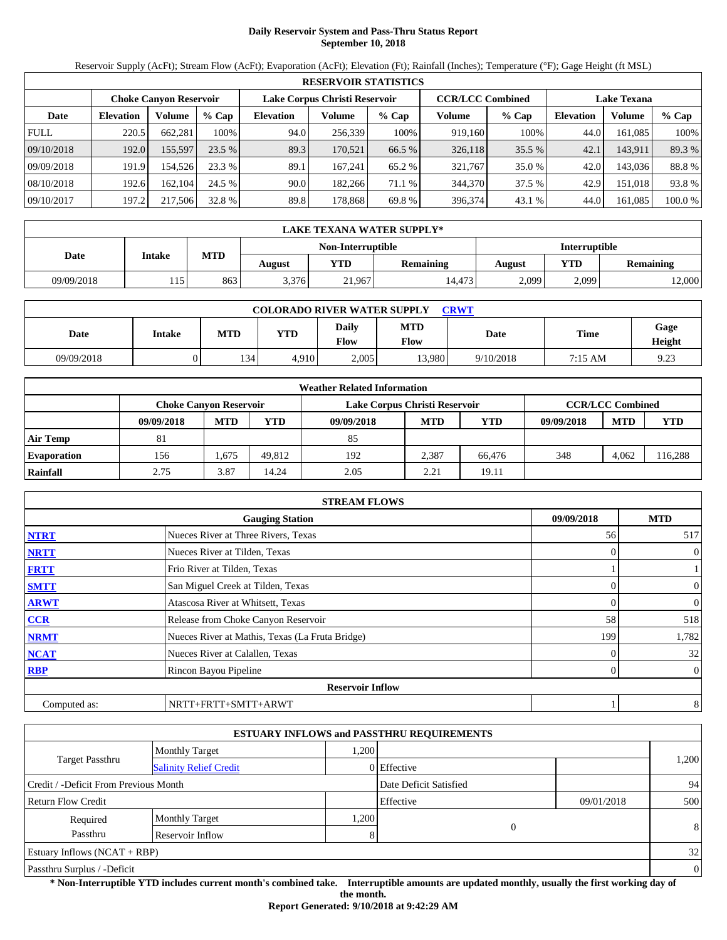# **Daily Reservoir System and Pass-Thru Status Report September 10, 2018**

Reservoir Supply (AcFt); Stream Flow (AcFt); Evaporation (AcFt); Elevation (Ft); Rainfall (Inches); Temperature (°F); Gage Height (ft MSL)

|             | <b>RESERVOIR STATISTICS</b> |                               |         |                               |         |         |                         |         |                    |         |         |  |  |
|-------------|-----------------------------|-------------------------------|---------|-------------------------------|---------|---------|-------------------------|---------|--------------------|---------|---------|--|--|
|             |                             | <b>Choke Canvon Reservoir</b> |         | Lake Corpus Christi Reservoir |         |         | <b>CCR/LCC Combined</b> |         | <b>Lake Texana</b> |         |         |  |  |
| Date        | <b>Elevation</b>            | Volume                        | $%$ Cap | <b>Elevation</b>              | Volume  | $%$ Cap | Volume                  | $%$ Cap | <b>Elevation</b>   | Volume  | % Cap   |  |  |
| <b>FULL</b> | 220.5                       | 662.281                       | 100%    | 94.0                          | 256,339 | 100%    | 919.160                 | 100%    | 44.0               | 161.085 | 100%    |  |  |
| 09/10/2018  | 192.0                       | 155,597                       | 23.5 %  | 89.3                          | 170.521 | 66.5 %  | 326,118                 | 35.5 %  | 42.1               | 143.911 | 89.3 %  |  |  |
| 09/09/2018  | 191.9                       | 154.526                       | 23.3 %  | 89.1                          | 167.241 | 65.2 %  | 321,767                 | 35.0 %  | 42.0               | 143.036 | 88.8%   |  |  |
| 08/10/2018  | 192.6                       | 162.104                       | 24.5 %  | 90.0                          | 182.266 | 71.1 %  | 344,370                 | 37.5 %  | 42.9               | 151.018 | 93.8%   |  |  |
| 09/10/2017  | 197.2                       | 217,506                       | 32.8 %  | 89.8                          | 178.868 | 69.8 %  | 396,374                 | 43.1 %  | 44.0               | 161.085 | 100.0 % |  |  |

|            | LAKE TEXANA WATER SUPPLY*          |     |        |        |                  |        |            |           |  |  |  |
|------------|------------------------------------|-----|--------|--------|------------------|--------|------------|-----------|--|--|--|
|            | Non-Interruptible<br>Interruptible |     |        |        |                  |        |            |           |  |  |  |
| Date       | Intake                             | MTD | August | YTD    | <b>Remaining</b> | August | <b>YTD</b> | Remaining |  |  |  |
| 09/09/2018 | 15                                 | 863 | 3.376  | 21,967 | 14.473           | 2,099  | 2,099      | 2,000     |  |  |  |

| <b>COLORADO RIVER WATER SUPPLY</b><br><b>CRWT</b> |        |            |            |                             |                    |           |             |                |  |  |  |
|---------------------------------------------------|--------|------------|------------|-----------------------------|--------------------|-----------|-------------|----------------|--|--|--|
| Date                                              | Intake | <b>MTD</b> | <b>YTD</b> | <b>Daily</b><br><b>Flow</b> | <b>MTD</b><br>Flow | Date      | <b>Time</b> | Gage<br>Height |  |  |  |
| 09/09/2018                                        |        | 134        | 4.910      | 2.005                       | 3.980              | 9/10/2018 | 7:15 AM     | 9.23           |  |  |  |

|                    | <b>Weather Related Information</b> |            |        |                               |            |        |            |                         |         |  |  |  |
|--------------------|------------------------------------|------------|--------|-------------------------------|------------|--------|------------|-------------------------|---------|--|--|--|
|                    | Choke Canvon Reservoir             |            |        | Lake Corpus Christi Reservoir |            |        |            | <b>CCR/LCC Combined</b> |         |  |  |  |
|                    | 09/09/2018                         | <b>MTD</b> | YTD    | 09/09/2018                    | <b>MTD</b> | YTD    | 09/09/2018 | <b>MTD</b>              | YTD     |  |  |  |
| <b>Air Temp</b>    | 81                                 |            |        | 85                            |            |        |            |                         |         |  |  |  |
| <b>Evaporation</b> | 156                                | .,675      | 49.812 | 192                           | 2,387      | 66.476 | 348        | 4.062                   | 116,288 |  |  |  |
| Rainfall           | 2.75                               | 3.87       | 14.24  | 2.05                          | 2.21       | 19.11  |            |                         |         |  |  |  |

|              | <b>STREAM FLOWS</b>                             |            |                                |
|--------------|-------------------------------------------------|------------|--------------------------------|
|              | <b>Gauging Station</b>                          | 09/09/2018 | <b>MTD</b>                     |
| <b>NTRT</b>  | Nueces River at Three Rivers, Texas             | 56         | 517                            |
| <b>NRTT</b>  | Nueces River at Tilden, Texas                   |            | $\overline{0}$<br>$\Omega$     |
| <b>FRTT</b>  | Frio River at Tilden, Texas                     |            |                                |
| <b>SMTT</b>  | San Miguel Creek at Tilden, Texas               |            | $\mathbf{0}$<br>$\Omega$       |
| <b>ARWT</b>  | Atascosa River at Whitsett, Texas               |            | $\overline{0}$<br>0            |
| CCR          | Release from Choke Canyon Reservoir             | 58         | 518                            |
| <b>NRMT</b>  | Nueces River at Mathis, Texas (La Fruta Bridge) | 199        | 1,782                          |
| <b>NCAT</b>  | Nueces River at Calallen, Texas                 |            | 32                             |
| <b>RBP</b>   | Rincon Bayou Pipeline                           |            | $\mathbf{0}$<br>$\overline{0}$ |
|              | <b>Reservoir Inflow</b>                         |            |                                |
| Computed as: | NRTT+FRTT+SMTT+ARWT                             |            | 8                              |

|                                       |                               |      | <b>ESTUARY INFLOWS and PASSTHRU REQUIREMENTS</b> |            |          |
|---------------------------------------|-------------------------------|------|--------------------------------------------------|------------|----------|
|                                       | <b>Monthly Target</b>         | .200 |                                                  |            |          |
| <b>Target Passthru</b>                | <b>Salinity Relief Credit</b> |      | 0 Effective                                      |            | 1,200    |
| Credit / -Deficit From Previous Month |                               |      | Date Deficit Satisfied                           |            | 94       |
| <b>Return Flow Credit</b>             |                               |      | Effective                                        | 09/01/2018 | 500      |
| Required                              | <b>Monthly Target</b>         | .200 |                                                  |            |          |
| Passthru                              | Reservoir Inflow              | 8    | $\overline{0}$                                   |            | 8        |
| Estuary Inflows $(NCAT + RBP)$        |                               |      |                                                  |            | 32       |
| Passthru Surplus / -Deficit           |                               |      |                                                  |            | $\theta$ |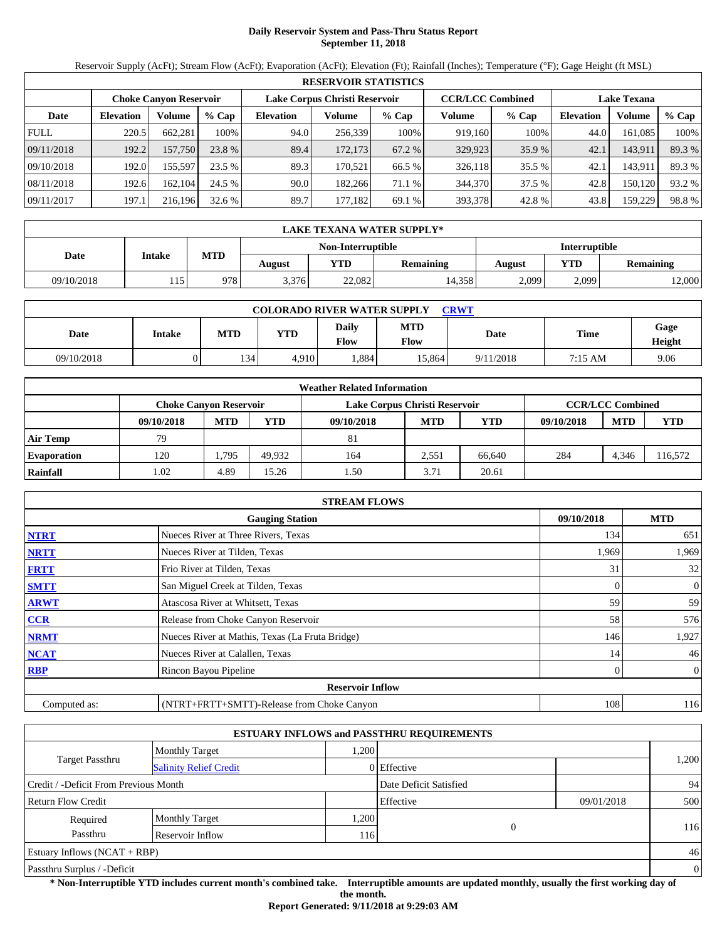# **Daily Reservoir System and Pass-Thru Status Report September 11, 2018**

Reservoir Supply (AcFt); Stream Flow (AcFt); Evaporation (AcFt); Elevation (Ft); Rainfall (Inches); Temperature (°F); Gage Height (ft MSL)

|             |                  |                        |         |                  | <b>RESERVOIR STATISTICS</b>   |         |                         |         |                    |         |        |
|-------------|------------------|------------------------|---------|------------------|-------------------------------|---------|-------------------------|---------|--------------------|---------|--------|
|             |                  | Choke Canvon Reservoir |         |                  | Lake Corpus Christi Reservoir |         | <b>CCR/LCC Combined</b> |         | <b>Lake Texana</b> |         |        |
| Date        | <b>Elevation</b> | Volume                 | $%$ Cap | <b>Elevation</b> | Volume                        | $%$ Cap | Volume                  | $%$ Cap | <b>Elevation</b>   | Volume  | % Cap  |
| <b>FULL</b> | 220.5            | 662,281                | 100%    | 94.0             | 256,339                       | 100%    | 919.160                 | 100%    | 44.0               | 161,085 | 100%   |
| 09/11/2018  | 192.2            | 157,750                | 23.8 %  | 89.4             | 172,173                       | 67.2 %  | 329,923                 | 35.9 %  | 42.1               | 143,911 | 89.3 % |
| 09/10/2018  | 192.0            | 155,597                | 23.5 %  | 89.3             | 170.521                       | 66.5 %  | 326,118                 | 35.5 %  | 42.1               | 143,911 | 89.3 % |
| 08/11/2018  | 192.6            | 162.104                | 24.5 %  | 90.0             | 182,266                       | 71.1 %  | 344,370                 | 37.5 %  | 42.8               | 150,120 | 93.2 % |
| 09/11/2017  | 197.1            | 216,196                | 32.6%   | 89.7             | 177,182                       | 69.1 %  | 393,378                 | 42.8%   | 43.8               | 159,229 | 98.8%  |

|            | LAKE TEXANA WATER SUPPLY* |     |        |                   |           |               |            |           |  |
|------------|---------------------------|-----|--------|-------------------|-----------|---------------|------------|-----------|--|
|            |                           |     |        | Non-Interruptible |           | Interruptible |            |           |  |
| Date       | <b>Intake</b>             | MTD | August | VTD -             | Remaining | August        | <b>YTD</b> | Remaining |  |
| 09/10/2018 | 115                       | 978 | 3,376  | 22,082            | 14,358    | 2,099         | 2,099      | 2,000     |  |

| <b>COLORADO RIVER WATER SUPPLY</b><br><b>CRWT</b> |        |            |            |                             |                    |           |         |                |  |  |
|---------------------------------------------------|--------|------------|------------|-----------------------------|--------------------|-----------|---------|----------------|--|--|
| Date                                              | Intake | <b>MTD</b> | <b>YTD</b> | <b>Daily</b><br><b>Flow</b> | <b>MTD</b><br>Flow | Date      | Time    | Gage<br>Height |  |  |
| 09/10/2018                                        |        | 134        | 4.910      | .884                        | 15.864             | 9/11/2018 | 7:15 AM | 9.06           |  |  |

|                    |            |                               |        | <b>Weather Related Information</b> |            |            |            |                         |            |
|--------------------|------------|-------------------------------|--------|------------------------------------|------------|------------|------------|-------------------------|------------|
|                    |            | <b>Choke Canvon Reservoir</b> |        | Lake Corpus Christi Reservoir      |            |            |            | <b>CCR/LCC Combined</b> |            |
|                    | 09/10/2018 | <b>MTD</b>                    | YTD    | 09/10/2018                         | <b>MTD</b> | <b>YTD</b> | 09/10/2018 | <b>MTD</b>              | <b>YTD</b> |
| <b>Air Temp</b>    | 79         |                               |        | 81                                 |            |            |            |                         |            |
| <b>Evaporation</b> | 120        | . 795                         | 49.932 | 164                                | 2.551      | 66.640     | 284        | 4.346                   | 116,572    |
| Rainfall           | .02        | 4.89                          | 15.26  | l.50                               | 3.71       | 20.61      |            |                         |            |

|              | <b>STREAM FLOWS</b>                             |            |                |
|--------------|-------------------------------------------------|------------|----------------|
|              | <b>Gauging Station</b>                          | 09/10/2018 | <b>MTD</b>     |
| <b>NTRT</b>  | Nueces River at Three Rivers, Texas             | 134        | 651            |
| <b>NRTT</b>  | Nueces River at Tilden, Texas                   | 1,969      | 1,969          |
| <b>FRTT</b>  | Frio River at Tilden, Texas                     | 31         | 32             |
| <b>SMTT</b>  | San Miguel Creek at Tilden, Texas               | 0          | $\overline{0}$ |
| <b>ARWT</b>  | Atascosa River at Whitsett, Texas               | 59         | 59             |
| CCR          | Release from Choke Canyon Reservoir             | 58         | 576            |
| <b>NRMT</b>  | Nueces River at Mathis, Texas (La Fruta Bridge) | 146        | 1,927          |
| <b>NCAT</b>  | Nueces River at Calallen, Texas                 | 14         | 46             |
| <b>RBP</b>   | Rincon Bayou Pipeline                           | 0          | $\overline{0}$ |
|              | <b>Reservoir Inflow</b>                         |            |                |
| Computed as: | (NTRT+FRTT+SMTT)-Release from Choke Canyon      | 108        | 116            |

|                                                  |                       |       | <b>ESTUARY INFLOWS and PASSTHRU REQUIREMENTS</b> |            |                |
|--------------------------------------------------|-----------------------|-------|--------------------------------------------------|------------|----------------|
|                                                  | <b>Monthly Target</b> | .200  |                                                  |            |                |
| Target Passthru<br><b>Salinity Relief Credit</b> |                       |       | 0 Effective                                      |            | 1,200          |
| Credit / -Deficit From Previous Month            |                       |       | Date Deficit Satisfied                           |            | 94             |
| Return Flow Credit                               |                       |       | Effective                                        | 09/01/2018 | 500            |
| Required                                         | <b>Monthly Target</b> | 1,200 |                                                  |            |                |
| Passthru                                         | Reservoir Inflow      | 116   | $\Omega$                                         |            | 116            |
| Estuary Inflows $(NCAT + RBP)$                   |                       |       |                                                  |            | 46             |
| Passthru Surplus / -Deficit                      |                       |       |                                                  |            | $\overline{0}$ |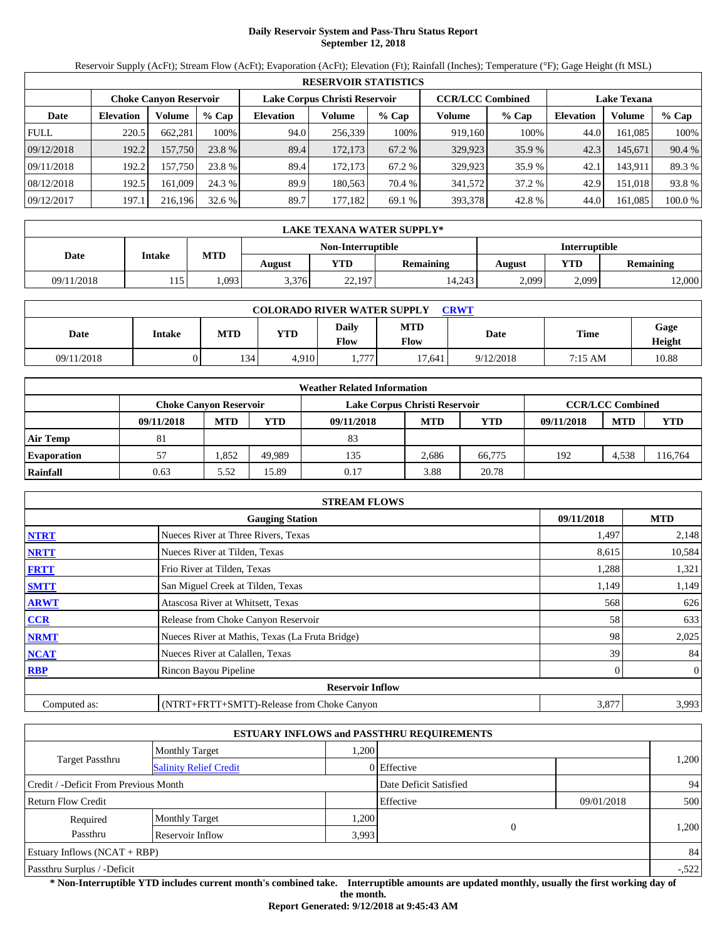# **Daily Reservoir System and Pass-Thru Status Report September 12, 2018**

Reservoir Supply (AcFt); Stream Flow (AcFt); Evaporation (AcFt); Elevation (Ft); Rainfall (Inches); Temperature (°F); Gage Height (ft MSL)

|             | <b>RESERVOIR STATISTICS</b> |                               |         |                               |         |         |                         |         |                    |         |         |
|-------------|-----------------------------|-------------------------------|---------|-------------------------------|---------|---------|-------------------------|---------|--------------------|---------|---------|
|             |                             | <b>Choke Canvon Reservoir</b> |         | Lake Corpus Christi Reservoir |         |         | <b>CCR/LCC Combined</b> |         | <b>Lake Texana</b> |         |         |
| Date        | <b>Elevation</b>            | Volume                        | $%$ Cap | <b>Elevation</b>              | Volume  | $%$ Cap | Volume                  | $%$ Cap | <b>Elevation</b>   | Volume  | % Cap   |
| <b>FULL</b> | 220.5                       | 662.281                       | 100%    | 94.0                          | 256,339 | 100%    | 919.160                 | 100%    | 44.0               | 161.085 | 100%    |
| 09/12/2018  | 192.2                       | 157,750                       | 23.8 %  | 89.4                          | 172.173 | 67.2 %  | 329,923                 | 35.9 %  | 42.3               | 145.671 | 90.4 %  |
| 09/11/2018  | 192.2                       | 157.750                       | 23.8 %  | 89.4                          | 172.173 | 67.2 %  | 329,923                 | 35.9 %  | 42.1               | 143.911 | 89.3 %  |
| 08/12/2018  | 192.5                       | 161.009                       | 24.3 %  | 89.9                          | 180.563 | 70.4 %  | 341,572                 | 37.2 %  | 42.9               | 151.018 | 93.8%   |
| 09/12/2017  | 197.1                       | 216,196                       | 32.6%   | 89.7                          | 177,182 | 69.1 %  | 393,378                 | 42.8 %  | 44.0               | 161.085 | 100.0 % |

|            | LAKE TEXANA WATER SUPPLY* |            |        |                   |                  |               |            |                  |  |  |
|------------|---------------------------|------------|--------|-------------------|------------------|---------------|------------|------------------|--|--|
|            |                           |            |        | Non-Interruptible |                  | Interruptible |            |                  |  |  |
| Date       | <b>Intake</b>             | <b>MTD</b> | August | YTD               | <b>Remaining</b> | <b>August</b> | <b>YTD</b> | <b>Remaining</b> |  |  |
| 09/11/2018 | 15                        | .093       | 3,376  | 22,197            | 14,243           | 2,099         | 2,099      | 2,000            |  |  |

| <b>COLORADO RIVER WATER SUPPLY</b><br><b>CRWT</b> |        |            |            |                             |                    |           |         |                |  |  |
|---------------------------------------------------|--------|------------|------------|-----------------------------|--------------------|-----------|---------|----------------|--|--|
| Date                                              | Intake | <b>MTD</b> | <b>YTD</b> | <b>Daily</b><br><b>Flow</b> | <b>MTD</b><br>Flow | Date      | Time    | Gage<br>Height |  |  |
| 09/11/2018                                        |        | 134        | 4.910      | 777.                        | 17.641             | 9/12/2018 | 7:15 AM | 10.88          |  |  |

|                    |                               |            |        | <b>Weather Related Information</b> |            |            |            |                         |            |
|--------------------|-------------------------------|------------|--------|------------------------------------|------------|------------|------------|-------------------------|------------|
|                    | <b>Choke Canvon Reservoir</b> |            |        | Lake Corpus Christi Reservoir      |            |            |            | <b>CCR/LCC Combined</b> |            |
|                    | 09/11/2018                    | <b>MTD</b> | YTD    | 09/11/2018                         | <b>MTD</b> | <b>YTD</b> | 09/11/2018 | <b>MTD</b>              | <b>YTD</b> |
| <b>Air Temp</b>    | 81                            |            |        | 83                                 |            |            |            |                         |            |
| <b>Evaporation</b> | 57                            | .852       | 49.989 | 135                                | 2.686      | 66,775     | 192        | 4.538                   | 116,764    |
| Rainfall           | 0.63                          | 5.52       | 15.89  | 0.17                               | 3.88       | 20.78      |            |                         |            |

|              | <b>STREAM FLOWS</b>                             |            |                |
|--------------|-------------------------------------------------|------------|----------------|
|              | <b>Gauging Station</b>                          | 09/11/2018 | <b>MTD</b>     |
| <b>NTRT</b>  | Nueces River at Three Rivers, Texas             | 1,497      | 2,148          |
| <b>NRTT</b>  | Nueces River at Tilden, Texas                   | 8,615      | 10,584         |
| <b>FRTT</b>  | Frio River at Tilden, Texas                     | 1,288      | 1,321          |
| <b>SMTT</b>  | San Miguel Creek at Tilden, Texas               | 1,149      | 1,149          |
| <b>ARWT</b>  | Atascosa River at Whitsett, Texas               | 568        | 626            |
| <b>CCR</b>   | Release from Choke Canyon Reservoir             | 58         | 633            |
| <b>NRMT</b>  | Nueces River at Mathis, Texas (La Fruta Bridge) | 98         | 2,025          |
| <b>NCAT</b>  | Nueces River at Calallen, Texas                 | 39         | 84             |
| <b>RBP</b>   | Rincon Bayou Pipeline                           |            | $\overline{0}$ |
|              | <b>Reservoir Inflow</b>                         |            |                |
| Computed as: | (NTRT+FRTT+SMTT)-Release from Choke Canyon      | 3,877      | 3,993          |

|                                       |                               |       | <b>ESTUARY INFLOWS and PASSTHRU REQUIREMENTS</b> |            |         |
|---------------------------------------|-------------------------------|-------|--------------------------------------------------|------------|---------|
|                                       | <b>Monthly Target</b>         | ,200  |                                                  |            |         |
| <b>Target Passthru</b>                | <b>Salinity Relief Credit</b> |       | 0 Effective                                      |            | 1,200   |
| Credit / -Deficit From Previous Month |                               |       | Date Deficit Satisfied                           |            | 94      |
| <b>Return Flow Credit</b>             |                               |       | Effective                                        | 09/01/2018 | 500     |
| Required                              | <b>Monthly Target</b>         | .200  |                                                  |            |         |
| Passthru                              | Reservoir Inflow              | 3,993 | $\Omega$                                         |            | 1,200   |
| Estuary Inflows $(NCAT + RBP)$        |                               |       |                                                  |            | 84      |
| Passthru Surplus / -Deficit           |                               |       |                                                  |            | $-.522$ |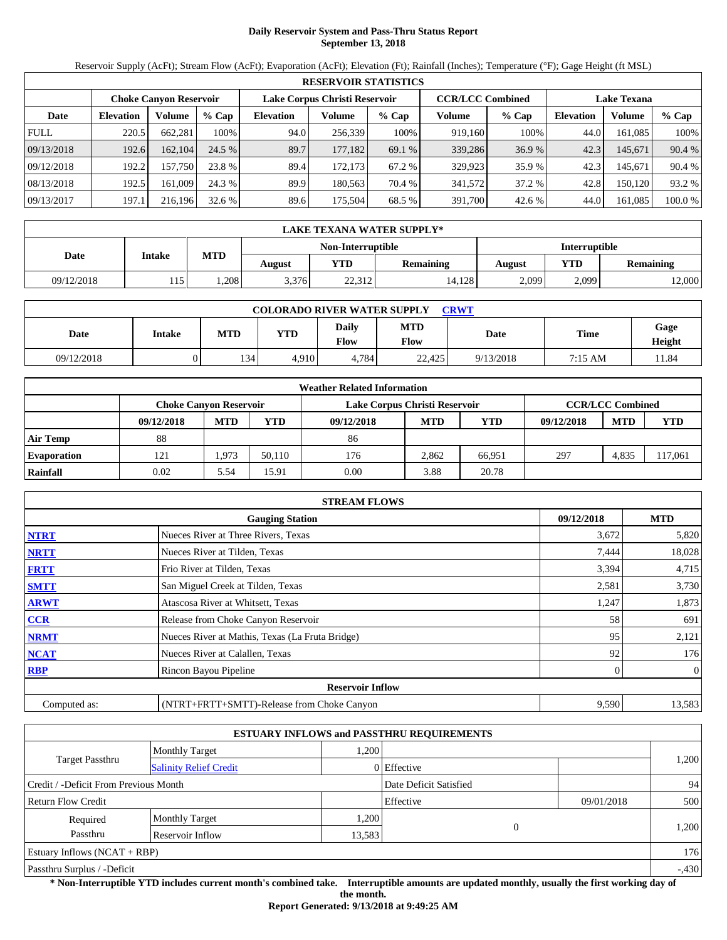# **Daily Reservoir System and Pass-Thru Status Report September 13, 2018**

Reservoir Supply (AcFt); Stream Flow (AcFt); Evaporation (AcFt); Elevation (Ft); Rainfall (Inches); Temperature (°F); Gage Height (ft MSL)

|             | <b>RESERVOIR STATISTICS</b> |                               |         |                  |                               |         |         |                         |                    |         |         |  |  |
|-------------|-----------------------------|-------------------------------|---------|------------------|-------------------------------|---------|---------|-------------------------|--------------------|---------|---------|--|--|
|             |                             | <b>Choke Canvon Reservoir</b> |         |                  | Lake Corpus Christi Reservoir |         |         | <b>CCR/LCC Combined</b> | <b>Lake Texana</b> |         |         |  |  |
| Date        | <b>Elevation</b>            | Volume                        | $%$ Cap | <b>Elevation</b> | Volume                        | $%$ Cap | Volume  | $%$ Cap                 | <b>Elevation</b>   | Volume  | $%$ Cap |  |  |
| <b>FULL</b> | 220.5                       | 662.281                       | 100%    | 94.0             | 256.339                       | 100%    | 919,160 | 100%                    | 44.0               | 161.085 | 100%    |  |  |
| 09/13/2018  | 192.6                       | 162,104                       | 24.5%   | 89.7             | 177.182                       | 69.1 %  | 339,286 | 36.9%                   | 42.3               | 145.671 | 90.4 %  |  |  |
| 09/12/2018  | 192.2                       | 157.750                       | 23.8 %  | 89.4             | 172.173                       | 67.2 %  | 329,923 | 35.9 %                  | 42.3               | 145.671 | 90.4 %  |  |  |
| 08/13/2018  | 192.5                       | 161.009                       | 24.3 %  | 89.9             | 180.563                       | 70.4 %  | 341,572 | 37.2 %                  | 42.8               | 150,120 | 93.2 %  |  |  |
| 09/13/2017  | 197.1                       | 216,196                       | 32.6%   | 89.6             | 175.504                       | 68.5 %  | 391,700 | 42.6 %                  | 44.0               | 161,085 | 100.0 % |  |  |

|             | LAKE TEXANA WATER SUPPLY* |            |        |                   |                  |               |                                |       |  |  |  |
|-------------|---------------------------|------------|--------|-------------------|------------------|---------------|--------------------------------|-------|--|--|--|
|             |                           |            |        | Non-Interruptible |                  | Interruptible |                                |       |  |  |  |
| <b>Date</b> | Intake                    | <b>MTD</b> | August | <b>YTD</b>        | <b>Remaining</b> | August        | <b>YTD</b><br><b>Remaining</b> |       |  |  |  |
| 09/12/2018  | 15                        | .208       | 3,376  | 22,312            | 14,128           | 2,099         | 2,099                          | 2,000 |  |  |  |

| <b>COLORADO RIVER WATER SUPPLY</b><br><b>CRWT</b> |        |            |            |                      |                    |           |         |                |  |  |  |
|---------------------------------------------------|--------|------------|------------|----------------------|--------------------|-----------|---------|----------------|--|--|--|
| Date                                              | Intake | <b>MTD</b> | <b>YTD</b> | Daily<br><b>Flow</b> | <b>MTD</b><br>Flow | Date      | Time    | Gage<br>Height |  |  |  |
| 09/12/2018                                        |        | 134        | 4.910      | 4.784                | 22.425             | 9/13/2018 | 7:15 AM | 11.84          |  |  |  |

|                    |            |                               |        | <b>Weather Related Information</b> |            |            |            |                         |            |
|--------------------|------------|-------------------------------|--------|------------------------------------|------------|------------|------------|-------------------------|------------|
|                    |            | <b>Choke Canvon Reservoir</b> |        | Lake Corpus Christi Reservoir      |            |            |            | <b>CCR/LCC Combined</b> |            |
|                    | 09/12/2018 | <b>MTD</b>                    | YTD    | 09/12/2018                         | <b>MTD</b> | <b>YTD</b> | 09/12/2018 | <b>MTD</b>              | <b>YTD</b> |
| <b>Air Temp</b>    | 88         |                               |        | 86                                 |            |            |            |                         |            |
| <b>Evaporation</b> | 121        | 1,973                         | 50.110 | 176                                | 2.862      | 66.951     | 297        | 4.835                   | 17,061     |
| Rainfall           | 0.02       | 5.54                          | 15.91  | 0.00                               | 3.88       | 20.78      |            |                         |            |

|              | <b>STREAM FLOWS</b>                             |            |                |
|--------------|-------------------------------------------------|------------|----------------|
|              | <b>Gauging Station</b>                          | 09/12/2018 | <b>MTD</b>     |
| <b>NTRT</b>  | Nueces River at Three Rivers, Texas             | 3,672      | 5,820          |
| <b>NRTT</b>  | Nueces River at Tilden, Texas                   | 7,444      | 18,028         |
| <b>FRTT</b>  | Frio River at Tilden, Texas                     | 3,394      | 4,715          |
| <b>SMTT</b>  | San Miguel Creek at Tilden, Texas               | 2,581      | 3,730          |
| <b>ARWT</b>  | Atascosa River at Whitsett, Texas               | 1,247      | 1,873          |
| <b>CCR</b>   | Release from Choke Canyon Reservoir             | 58         | 691            |
| <b>NRMT</b>  | Nueces River at Mathis, Texas (La Fruta Bridge) | 95         | 2,121          |
| <b>NCAT</b>  | Nueces River at Calallen, Texas                 | 92         | 176            |
| <b>RBP</b>   | Rincon Bayou Pipeline                           |            | $\overline{0}$ |
|              | <b>Reservoir Inflow</b>                         |            |                |
| Computed as: | (NTRT+FRTT+SMTT)-Release from Choke Canyon      | 9,590      | 13,583         |

|                                                  |                       |        | <b>ESTUARY INFLOWS and PASSTHRU REQUIREMENTS</b> |            |         |
|--------------------------------------------------|-----------------------|--------|--------------------------------------------------|------------|---------|
|                                                  | <b>Monthly Target</b> | 1.200  |                                                  |            |         |
| Target Passthru<br><b>Salinity Relief Credit</b> |                       |        | 0 Effective                                      |            | 1,200   |
| Credit / -Deficit From Previous Month            |                       |        | Date Deficit Satisfied                           |            | 94      |
| <b>Return Flow Credit</b>                        |                       |        | Effective                                        | 09/01/2018 | 500     |
| Required                                         | <b>Monthly Target</b> | 1,200  |                                                  |            |         |
| Passthru                                         | Reservoir Inflow      | 13,583 | 0                                                |            | 1,200   |
| Estuary Inflows $(NCAT + RBP)$                   |                       |        |                                                  |            | 176     |
| Passthru Surplus / -Deficit                      |                       |        |                                                  |            | $-.430$ |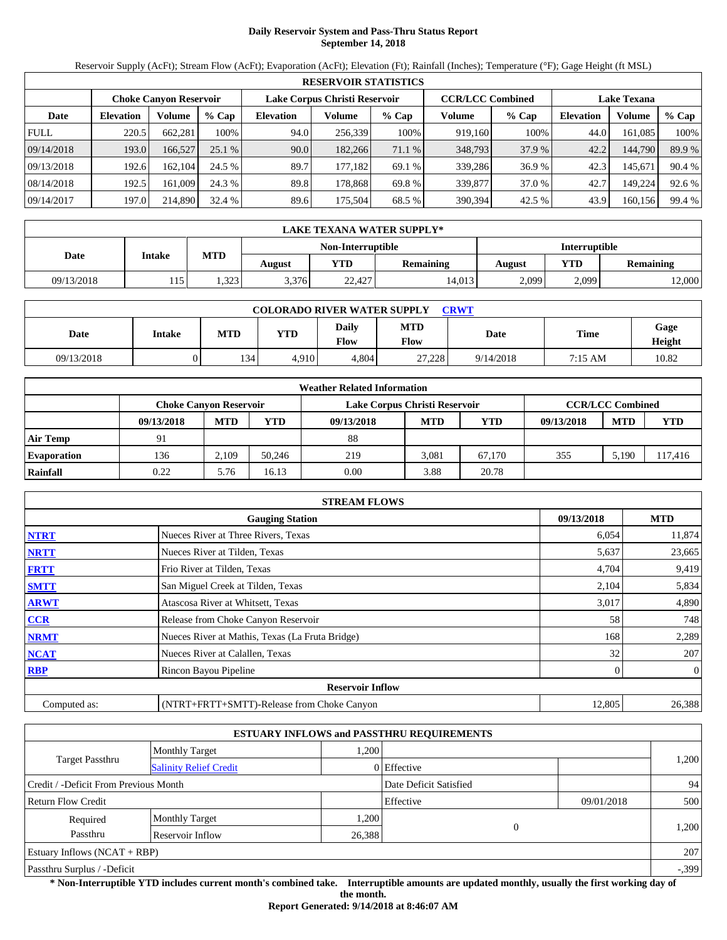# **Daily Reservoir System and Pass-Thru Status Report September 14, 2018**

Reservoir Supply (AcFt); Stream Flow (AcFt); Evaporation (AcFt); Elevation (Ft); Rainfall (Inches); Temperature (°F); Gage Height (ft MSL)

|             | <b>RESERVOIR STATISTICS</b> |                               |         |                  |                               |         |                         |         |                    |         |        |  |  |
|-------------|-----------------------------|-------------------------------|---------|------------------|-------------------------------|---------|-------------------------|---------|--------------------|---------|--------|--|--|
|             |                             | <b>Choke Canyon Reservoir</b> |         |                  | Lake Corpus Christi Reservoir |         | <b>CCR/LCC Combined</b> |         | <b>Lake Texana</b> |         |        |  |  |
| Date        | <b>Elevation</b>            | Volume                        | $%$ Cap | <b>Elevation</b> | Volume                        | $%$ Cap | Volume                  | $%$ Cap | <b>Elevation</b>   | Volume  | % Cap  |  |  |
| <b>FULL</b> | 220.5                       | 662.281                       | 100%    | 94.0             | 256,339                       | 100%    | 919.160                 | 100%    | 44.0               | 161.085 | 100%   |  |  |
| 09/14/2018  | 193.0                       | 166.527                       | 25.1%   | 90.0             | 182.266                       | 71.1 %  | 348,793                 | 37.9 %  | 42.2               | 144,790 | 89.9 % |  |  |
| 09/13/2018  | 192.6                       | 162.104                       | 24.5 %  | 89.7             | 177.182                       | 69.1 %  | 339,286                 | 36.9 %  | 42.3               | 145.671 | 90.4 % |  |  |
| 08/14/2018  | 192.5                       | 161.009                       | 24.3 %  | 89.8             | 178.868                       | 69.8 %  | 339,877                 | 37.0 %  | 42.7               | 149.224 | 92.6 % |  |  |
| 09/14/2017  | 197.0                       | 214,890                       | 32.4 %  | 89.6             | 175,504                       | 68.5 %  | 390,394                 | 42.5 %  | 43.9               | 160,156 | 99.4 % |  |  |

|            | LAKE TEXANA WATER SUPPLY* |            |        |                   |                  |               |       |                  |  |  |  |
|------------|---------------------------|------------|--------|-------------------|------------------|---------------|-------|------------------|--|--|--|
|            |                           |            |        | Non-Interruptible |                  | Interruptible |       |                  |  |  |  |
| Date       | <b>Intake</b>             | <b>MTD</b> | August | YTD               | <b>Remaining</b> | August        | YTD   | <b>Remaining</b> |  |  |  |
| 09/13/2018 | 15<br>1 I J               | .323       | 3.376  | 22,427            | 14.013           | 2,099         | 2,099 | 2,000            |  |  |  |

| <b>COLORADO RIVER WATER SUPPLY</b><br><b>CRWT</b> |        |            |            |                      |                    |           |         |                |  |  |
|---------------------------------------------------|--------|------------|------------|----------------------|--------------------|-----------|---------|----------------|--|--|
| Date                                              | Intake | <b>MTD</b> | <b>YTD</b> | Daily<br><b>Flow</b> | <b>MTD</b><br>Flow | Date      | Time    | Gage<br>Height |  |  |
| 09/13/2018                                        |        | 134        | 4.910      | 4.804                | 27.228             | 9/14/2018 | 7:15 AM | 10.82          |  |  |

|                    | <b>Weather Related Information</b> |            |        |                               |            |        |            |                         |            |  |  |  |
|--------------------|------------------------------------|------------|--------|-------------------------------|------------|--------|------------|-------------------------|------------|--|--|--|
|                    | <b>Choke Canyon Reservoir</b>      |            |        | Lake Corpus Christi Reservoir |            |        |            | <b>CCR/LCC Combined</b> |            |  |  |  |
|                    | 09/13/2018                         | <b>MTD</b> | YTD    | 09/13/2018                    | <b>MTD</b> | YTD    | 09/13/2018 | <b>MTD</b>              | <b>YTD</b> |  |  |  |
| <b>Air Temp</b>    | 91                                 |            |        | 88                            |            |        |            |                         |            |  |  |  |
| <b>Evaporation</b> | 136                                | 2.109      | 50,246 | 219                           | 3,081      | 67.170 | 355        | 5.190                   | 117,416    |  |  |  |
| Rainfall           | 0.22                               | 5.76       | 16.13  | 0.00                          | 3.88       | 20.78  |            |                         |            |  |  |  |

|              | <b>STREAM FLOWS</b>                             |            |                |
|--------------|-------------------------------------------------|------------|----------------|
|              | <b>Gauging Station</b>                          | 09/13/2018 | <b>MTD</b>     |
| <b>NTRT</b>  | Nueces River at Three Rivers, Texas             | 6,054      | 11,874         |
| <b>NRTT</b>  | Nueces River at Tilden, Texas                   | 5,637      | 23,665         |
| <b>FRTT</b>  | Frio River at Tilden, Texas                     | 4,704      | 9,419          |
| <b>SMTT</b>  | San Miguel Creek at Tilden, Texas               | 2,104      | 5,834          |
| <b>ARWT</b>  | Atascosa River at Whitsett, Texas               | 3,017      | 4,890          |
| <b>CCR</b>   | Release from Choke Canyon Reservoir             | 58         | 748            |
| <b>NRMT</b>  | Nueces River at Mathis, Texas (La Fruta Bridge) | 168        | 2,289          |
| <b>NCAT</b>  | Nueces River at Calallen, Texas                 | 32         | 207            |
| <b>RBP</b>   | Rincon Bayou Pipeline                           |            | $\overline{0}$ |
|              | <b>Reservoir Inflow</b>                         |            |                |
| Computed as: | (NTRT+FRTT+SMTT)-Release from Choke Canyon      | 12,805     | 26,388         |

|                                       |                               |        | <b>ESTUARY INFLOWS and PASSTHRU REQUIREMENTS</b> |            |         |
|---------------------------------------|-------------------------------|--------|--------------------------------------------------|------------|---------|
|                                       | <b>Monthly Target</b>         | 1,200  |                                                  |            |         |
| Target Passthru                       | <b>Salinity Relief Credit</b> |        | 0 Effective                                      |            | 1,200   |
| Credit / -Deficit From Previous Month |                               |        | Date Deficit Satisfied                           |            | 94      |
| <b>Return Flow Credit</b>             |                               |        | Effective                                        | 09/01/2018 | 500     |
| Required                              | <b>Monthly Target</b>         | 1,200  |                                                  |            |         |
| Passthru                              | Reservoir Inflow              | 26,388 | $\theta$                                         |            | 1,200   |
| Estuary Inflows $(NCAT + RBP)$        |                               |        |                                                  |            | 207     |
| Passthru Surplus / -Deficit           |                               |        |                                                  |            | $-.399$ |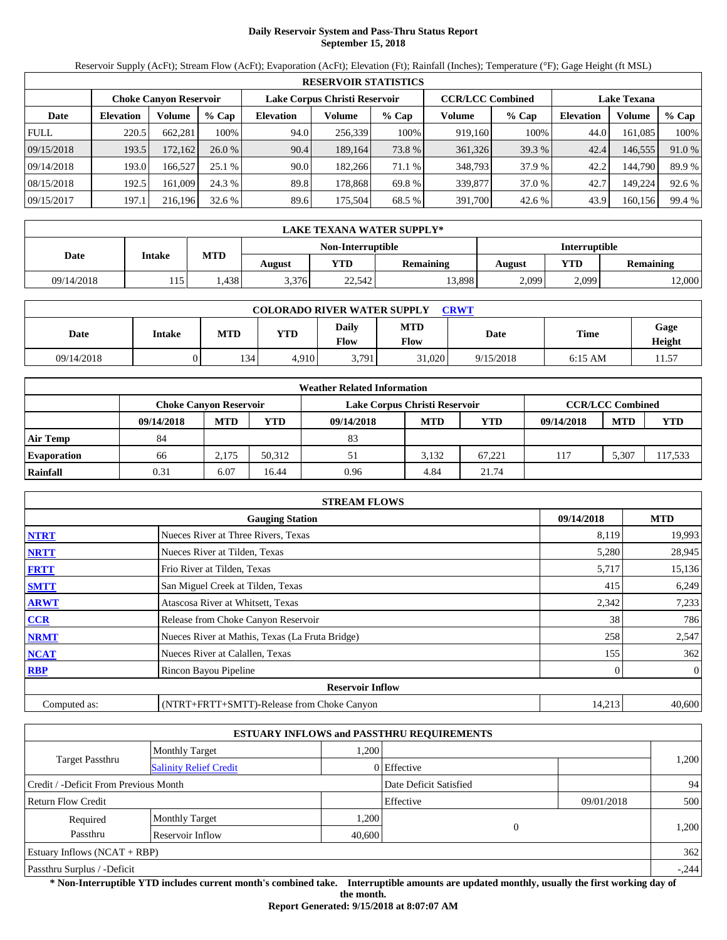# **Daily Reservoir System and Pass-Thru Status Report September 15, 2018**

Reservoir Supply (AcFt); Stream Flow (AcFt); Evaporation (AcFt); Elevation (Ft); Rainfall (Inches); Temperature (°F); Gage Height (ft MSL)

|             | <b>RESERVOIR STATISTICS</b> |         |         |                  |                               |         |         |                         |                  |                    |        |  |
|-------------|-----------------------------|---------|---------|------------------|-------------------------------|---------|---------|-------------------------|------------------|--------------------|--------|--|
|             | Choke Canvon Reservoir      |         |         |                  | Lake Corpus Christi Reservoir |         |         | <b>CCR/LCC Combined</b> |                  | <b>Lake Texana</b> |        |  |
| Date        | <b>Elevation</b>            | Volume  | $%$ Cap | <b>Elevation</b> | Volume                        | $%$ Cap | Volume  | $%$ Cap                 | <b>Elevation</b> | Volume             | % Cap  |  |
| <b>FULL</b> | 220.5                       | 662,281 | 100%    | 94.0             | 256,339                       | 100%    | 919,160 | 100%                    | 44.0             | 161,085            | 100%   |  |
| 09/15/2018  | 193.5                       | 172.162 | 26.0%   | 90.4             | 189.164                       | 73.8 %  | 361,326 | 39.3 %                  | 42.4             | 146,555            | 91.0 % |  |
| 09/14/2018  | 193.0                       | 166.527 | 25.1%   | 90.0             | 182,266                       | 71.1 %  | 348,793 | 37.9 %                  | 42.2             | 144.790            | 89.9 % |  |
| 08/15/2018  | 192.5                       | 161,009 | 24.3 %  | 89.8             | 178.868                       | 69.8%   | 339,877 | 37.0 %                  | 42.7             | 149.224            | 92.6 % |  |
| 09/15/2017  | 197.1                       | 216.196 | 32.6%   | 89.6             | 175.504                       | 68.5 %  | 391,700 | 42.6 %                  | 43.9             | 160,156            | 99.4 % |  |

|            | LAKE TEXANA WATER SUPPLY* |            |        |                   |                  |                      |       |                  |  |  |
|------------|---------------------------|------------|--------|-------------------|------------------|----------------------|-------|------------------|--|--|
|            | Intake                    |            |        | Non-Interruptible |                  | <b>Interruptible</b> |       |                  |  |  |
| Date       |                           | <b>MTD</b> | August | <b>YTD</b>        | <b>Remaining</b> | August               | YTD   | <b>Remaining</b> |  |  |
| 09/14/2018 | 115                       | .438       | 3.376  | 22,542            | 13.898           | 2,099                | 2,099 | 12,000           |  |  |

| <b>COLORADO RIVER WATER SUPPLY</b><br>CRWT |        |            |            |                      |                    |           |           |                |  |  |  |
|--------------------------------------------|--------|------------|------------|----------------------|--------------------|-----------|-----------|----------------|--|--|--|
| Date                                       | Intake | <b>MTD</b> | <b>YTD</b> | Daily<br><b>Flow</b> | <b>MTD</b><br>Flow | Date      | Time      | Gage<br>Height |  |  |  |
| 09/14/2018                                 |        | 134        | 4.910      | 3,791                | 31,020             | 9/15/2018 | $6:15$ AM | .1.57          |  |  |  |

|                    |                               |            |        | <b>Weather Related Information</b> |            |            |            |                         |            |
|--------------------|-------------------------------|------------|--------|------------------------------------|------------|------------|------------|-------------------------|------------|
|                    | <b>Choke Canvon Reservoir</b> |            |        | Lake Corpus Christi Reservoir      |            |            |            | <b>CCR/LCC Combined</b> |            |
|                    | 09/14/2018                    | <b>MTD</b> | YTD    | 09/14/2018                         | <b>MTD</b> | <b>YTD</b> | 09/14/2018 | <b>MTD</b>              | <b>YTD</b> |
| <b>Air Temp</b>    | 84                            |            |        | 83                                 |            |            |            |                         |            |
| <b>Evaporation</b> | 66                            | 2.175      | 50.312 | 51                                 | 3.132      | 67.221     | 117        | 5,307                   | 117,533    |
| Rainfall           | 0.31                          | 6.07       | 16.44  | 0.96                               | 4.84       | 21.74      |            |                         |            |

|              | <b>STREAM FLOWS</b>                             |            |                |
|--------------|-------------------------------------------------|------------|----------------|
|              | <b>Gauging Station</b>                          | 09/14/2018 | <b>MTD</b>     |
| <b>NTRT</b>  | Nueces River at Three Rivers, Texas             | 8,119      | 19,993         |
| <b>NRTT</b>  | Nueces River at Tilden, Texas                   | 5,280      | 28,945         |
| <b>FRTT</b>  | Frio River at Tilden, Texas                     | 5,717      | 15,136         |
| <b>SMTT</b>  | San Miguel Creek at Tilden, Texas               | 415        | 6,249          |
| <b>ARWT</b>  | Atascosa River at Whitsett, Texas               | 2,342      | 7,233          |
| <b>CCR</b>   | Release from Choke Canyon Reservoir             | 38         | 786            |
| <b>NRMT</b>  | Nueces River at Mathis, Texas (La Fruta Bridge) | 258        | 2,547          |
| <b>NCAT</b>  | Nueces River at Calallen, Texas                 | 155        | 362            |
| <b>RBP</b>   | Rincon Bayou Pipeline                           |            | $\overline{0}$ |
|              | <b>Reservoir Inflow</b>                         |            |                |
| Computed as: | (NTRT+FRTT+SMTT)-Release from Choke Canyon      | 14,213     | 40,600         |

|                                       |                               |        | <b>ESTUARY INFLOWS and PASSTHRU REQUIREMENTS</b> |            |         |  |
|---------------------------------------|-------------------------------|--------|--------------------------------------------------|------------|---------|--|
|                                       | <b>Monthly Target</b>         | 1.200  |                                                  |            |         |  |
| Target Passthru                       | <b>Salinity Relief Credit</b> |        | 0 Effective                                      |            | 1,200   |  |
| Credit / -Deficit From Previous Month |                               |        | Date Deficit Satisfied                           |            | 94      |  |
| <b>Return Flow Credit</b>             |                               |        | Effective                                        | 09/01/2018 | 500     |  |
| Required                              | <b>Monthly Target</b>         | 1,200  |                                                  |            |         |  |
| Passthru                              | Reservoir Inflow              | 40,600 | $\sqrt{ }$                                       |            | 1,200   |  |
| Estuary Inflows $(NCAT + RBP)$        |                               |        |                                                  |            | 362     |  |
| Passthru Surplus / -Deficit           |                               |        |                                                  |            | $-.244$ |  |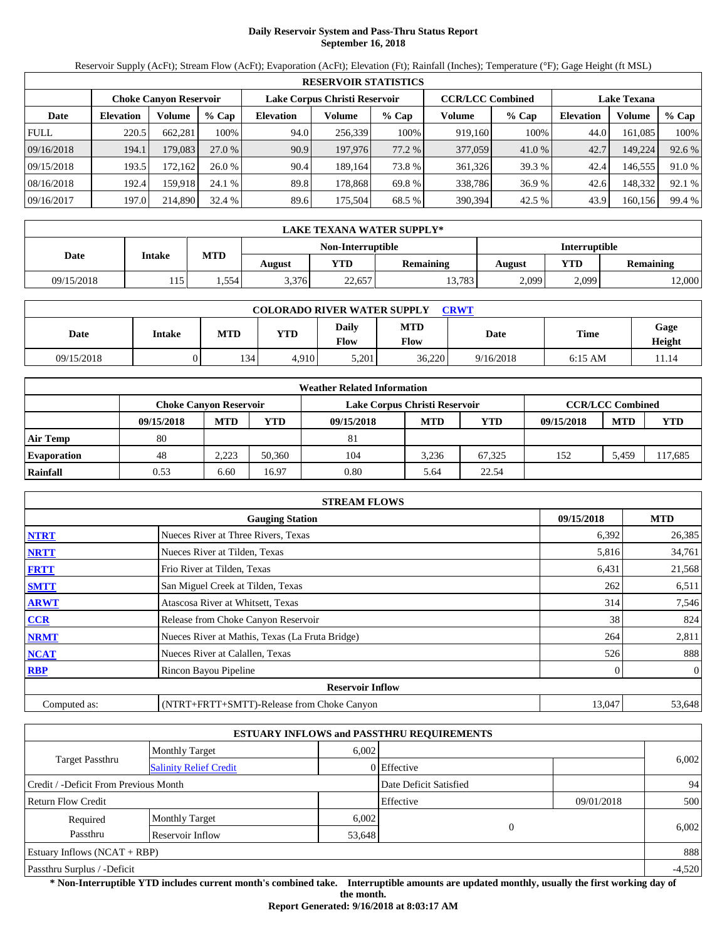# **Daily Reservoir System and Pass-Thru Status Report September 16, 2018**

Reservoir Supply (AcFt); Stream Flow (AcFt); Evaporation (AcFt); Elevation (Ft); Rainfall (Inches); Temperature (°F); Gage Height (ft MSL)

|             | <b>RESERVOIR STATISTICS</b>   |         |         |                               |         |         |                         |         |                    |         |        |  |
|-------------|-------------------------------|---------|---------|-------------------------------|---------|---------|-------------------------|---------|--------------------|---------|--------|--|
|             | <b>Choke Canyon Reservoir</b> |         |         | Lake Corpus Christi Reservoir |         |         | <b>CCR/LCC Combined</b> |         | <b>Lake Texana</b> |         |        |  |
| Date        | <b>Elevation</b>              | Volume  | $%$ Cap | <b>Elevation</b>              | Volume  | $%$ Cap | Volume                  | $%$ Cap | <b>Elevation</b>   | Volume  | % Cap  |  |
| <b>FULL</b> | 220.5                         | 662.281 | 100%    | 94.0                          | 256,339 | 100%    | 919.160                 | 100%    | 44.0               | 161.085 | 100%   |  |
| 09/16/2018  | 194.1                         | 179.083 | 27.0 %  | 90.9                          | 197,976 | 77.2 %  | 377,059                 | 41.0 %  | 42.7               | 149,224 | 92.6 % |  |
| 09/15/2018  | 193.5                         | 172.162 | 26.0%   | 90.4                          | 189.164 | 73.8 %  | 361,326                 | 39.3 %  | 42.4               | 146.555 | 91.0 % |  |
| 08/16/2018  | 192.4                         | 159.918 | 24.1 %  | 89.8                          | 178.868 | 69.8 %  | 338,786                 | 36.9 %  | 42.6               | 148.332 | 92.1 % |  |
| 09/16/2017  | 197.0                         | 214,890 | 32.4 %  | 89.6                          | 175,504 | 68.5 %  | 390,394                 | 42.5 %  | 43.9               | 160,156 | 99.4 % |  |

|            | LAKE TEXANA WATER SUPPLY* |            |        |                   |                  |               |            |                  |  |  |
|------------|---------------------------|------------|--------|-------------------|------------------|---------------|------------|------------------|--|--|
|            | <b>Intake</b>             |            |        | Non-Interruptible |                  | Interruptible |            |                  |  |  |
| Date       |                           | <b>MTD</b> | August | YTD               | <b>Remaining</b> | <b>August</b> | <b>YTD</b> | <b>Remaining</b> |  |  |
| 09/15/2018 | 15                        | .554       | 3,376  | 22,657            | 13,783           | 2,099         | 2,099      | 2,000            |  |  |

| <b>COLORADO RIVER WATER SUPPLY</b><br><b>CRWT</b> |        |            |            |                             |                    |           |           |                |  |  |
|---------------------------------------------------|--------|------------|------------|-----------------------------|--------------------|-----------|-----------|----------------|--|--|
| Date                                              | Intake | <b>MTD</b> | <b>YTD</b> | <b>Daily</b><br><b>Flow</b> | <b>MTD</b><br>Flow | Date      | Time      | Gage<br>Height |  |  |
| 09/15/2018                                        |        | 134        | 4.910      | 5.201                       | 36,220             | 9/16/2018 | $6:15$ AM | 11.14          |  |  |

|                    |                               |            |        | <b>Weather Related Information</b> |            |            |            |                         |            |
|--------------------|-------------------------------|------------|--------|------------------------------------|------------|------------|------------|-------------------------|------------|
|                    | <b>Choke Canvon Reservoir</b> |            |        | Lake Corpus Christi Reservoir      |            |            |            | <b>CCR/LCC Combined</b> |            |
|                    | 09/15/2018                    | <b>MTD</b> | YTD    | 09/15/2018                         | <b>MTD</b> | <b>YTD</b> | 09/15/2018 | <b>MTD</b>              | <b>YTD</b> |
| <b>Air Temp</b>    | 80                            |            |        | 81                                 |            |            |            |                         |            |
| <b>Evaporation</b> | 48                            | 2.223      | 50.360 | 104                                | 3.236      | 67.325     | 152        | 5.459                   | 117,685    |
| Rainfall           | 0.53                          | 6.60       | 16.97  | 0.80                               | 5.64       | 22.54      |            |                         |            |

|              | <b>STREAM FLOWS</b>                             |            |                |
|--------------|-------------------------------------------------|------------|----------------|
|              | <b>Gauging Station</b>                          | 09/15/2018 | <b>MTD</b>     |
| <b>NTRT</b>  | Nueces River at Three Rivers, Texas             | 6,392      | 26,385         |
| <b>NRTT</b>  | Nueces River at Tilden, Texas                   | 5,816      | 34,761         |
| <b>FRTT</b>  | Frio River at Tilden, Texas                     | 6,431      | 21,568         |
| <b>SMTT</b>  | San Miguel Creek at Tilden, Texas               | 262        | 6,511          |
| <b>ARWT</b>  | Atascosa River at Whitsett, Texas               | 314        | 7,546          |
| CCR          | Release from Choke Canyon Reservoir             | 38         | 824            |
| <b>NRMT</b>  | Nueces River at Mathis, Texas (La Fruta Bridge) | 264        | 2,811          |
| <b>NCAT</b>  | Nueces River at Calallen, Texas                 | 526        | 888            |
| <b>RBP</b>   | Rincon Bayou Pipeline                           |            | $\overline{0}$ |
|              | <b>Reservoir Inflow</b>                         |            |                |
| Computed as: | (NTRT+FRTT+SMTT)-Release from Choke Canyon      | 13,047     | 53,648         |

|                                       |                               |                        | <b>ESTUARY INFLOWS and PASSTHRU REQUIREMENTS</b> |            |       |  |
|---------------------------------------|-------------------------------|------------------------|--------------------------------------------------|------------|-------|--|
|                                       | <b>Monthly Target</b>         | 6.002                  |                                                  |            |       |  |
| Target Passthru                       | <b>Salinity Relief Credit</b> |                        | 0 Effective                                      |            | 6,002 |  |
| Credit / -Deficit From Previous Month |                               | Date Deficit Satisfied |                                                  | 94         |       |  |
| Return Flow Credit                    |                               |                        | Effective                                        | 09/01/2018 | 500   |  |
| Required                              | <b>Monthly Target</b>         | 6,002                  |                                                  |            |       |  |
| Passthru<br>Reservoir Inflow          |                               |                        | $\Omega$<br>53,648                               |            | 6,002 |  |
| Estuary Inflows $(NCAT + RBP)$        |                               |                        |                                                  |            | 888   |  |
| Passthru Surplus / -Deficit           |                               |                        |                                                  |            |       |  |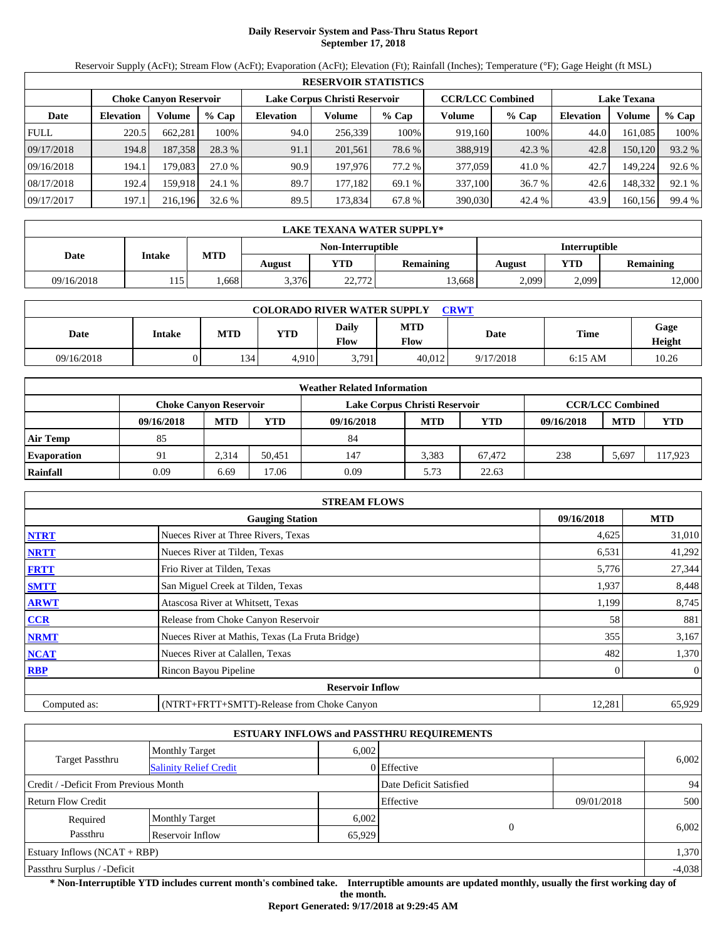# **Daily Reservoir System and Pass-Thru Status Report September 17, 2018**

Reservoir Supply (AcFt); Stream Flow (AcFt); Evaporation (AcFt); Elevation (Ft); Rainfall (Inches); Temperature (°F); Gage Height (ft MSL)

|             | <b>RESERVOIR STATISTICS</b> |                               |         |                               |         |         |                         |         |                    |         |        |  |  |
|-------------|-----------------------------|-------------------------------|---------|-------------------------------|---------|---------|-------------------------|---------|--------------------|---------|--------|--|--|
|             |                             | <b>Choke Canyon Reservoir</b> |         | Lake Corpus Christi Reservoir |         |         | <b>CCR/LCC Combined</b> |         | <b>Lake Texana</b> |         |        |  |  |
| Date        | <b>Elevation</b>            | Volume                        | $%$ Cap | <b>Elevation</b>              | Volume  | $%$ Cap | Volume                  | $%$ Cap | <b>Elevation</b>   | Volume  | % Cap  |  |  |
| <b>FULL</b> | 220.5                       | 662.281                       | 100%    | 94.0                          | 256,339 | 100%    | 919,160                 | 100%    | 44.0               | 161.085 | 100%   |  |  |
| 09/17/2018  | 194.8                       | 187,358                       | 28.3 %  | 91.1                          | 201,561 | 78.6 %  | 388,919                 | 42.3 %  | 42.8               | 150,120 | 93.2 % |  |  |
| 09/16/2018  | 194.1                       | 179.083                       | 27.0 %  | 90.9                          | 197,976 | 77.2 %  | 377,059                 | 41.0 %  | 42.7               | 149.224 | 92.6 % |  |  |
| 08/17/2018  | 192.4                       | 159.918                       | 24.1 %  | 89.7                          | 177.182 | 69.1 %  | 337.100                 | 36.7 %  | 42.6               | 148,332 | 92.1 % |  |  |
| 09/17/2017  | 197.1                       | 216.196                       | 32.6 %  | 89.5                          | 173,834 | 67.8 %  | 390,030                 | 42.4 %  | 43.9               | 160,156 | 99.4 % |  |  |

|            | LAKE TEXANA WATER SUPPLY* |            |        |                   |                  |               |       |                  |  |  |  |
|------------|---------------------------|------------|--------|-------------------|------------------|---------------|-------|------------------|--|--|--|
|            | <b>Intake</b>             |            |        | Non-Interruptible |                  | Interruptible |       |                  |  |  |  |
| Date       |                           | <b>MTD</b> | August | YTD               | <b>Remaining</b> | August        | YTD   | <b>Remaining</b> |  |  |  |
| 09/16/2018 | 15                        | .668       | 3.376  | 22.772<br>22,112  | 13.668           | 2,099         | 2,099 | 2,000            |  |  |  |

| <b>COLORADO RIVER WATER SUPPLY</b><br>CRWT |        |            |            |                      |                    |           |           |                |  |  |  |
|--------------------------------------------|--------|------------|------------|----------------------|--------------------|-----------|-----------|----------------|--|--|--|
| Date                                       | Intake | <b>MTD</b> | <b>YTD</b> | Daily<br><b>Flow</b> | <b>MTD</b><br>Flow | Date      | Time      | Gage<br>Height |  |  |  |
| 09/16/2018                                 |        | 134        | 4.910      | 3,791                | 40.012             | 9/17/2018 | $6:15$ AM | 10.26          |  |  |  |

|                    | <b>Weather Related Information</b> |            |        |                               |            |        |            |                         |            |  |  |  |
|--------------------|------------------------------------|------------|--------|-------------------------------|------------|--------|------------|-------------------------|------------|--|--|--|
|                    | Choke Canvon Reservoir             |            |        | Lake Corpus Christi Reservoir |            |        |            | <b>CCR/LCC Combined</b> |            |  |  |  |
|                    | 09/16/2018                         | <b>MTD</b> | YTD    | 09/16/2018                    | <b>MTD</b> | YTD    | 09/16/2018 | <b>MTD</b>              | <b>YTD</b> |  |  |  |
| <b>Air Temp</b>    | 85                                 |            |        | 84                            |            |        |            |                         |            |  |  |  |
| <b>Evaporation</b> | 91                                 | 2.314      | 50.451 | 147                           | 3.383      | 67.472 | 238        | 5,697                   | 117,923    |  |  |  |
| Rainfall           | 0.09                               | 6.69       | 7.06   | 0.09                          | 5.73       | 22.63  |            |                         |            |  |  |  |

|              | <b>STREAM FLOWS</b>                             |        |                |  |  |  |  |  |
|--------------|-------------------------------------------------|--------|----------------|--|--|--|--|--|
|              | <b>Gauging Station</b>                          |        |                |  |  |  |  |  |
| <b>NTRT</b>  | Nueces River at Three Rivers, Texas             | 4,625  | 31,010         |  |  |  |  |  |
| <b>NRTT</b>  | Nueces River at Tilden, Texas                   | 6,531  | 41,292         |  |  |  |  |  |
| <b>FRTT</b>  | Frio River at Tilden, Texas                     | 5,776  | 27,344         |  |  |  |  |  |
| <b>SMTT</b>  | San Miguel Creek at Tilden, Texas               | 1,937  | 8,448          |  |  |  |  |  |
| <b>ARWT</b>  | Atascosa River at Whitsett, Texas               | 1,199  | 8,745          |  |  |  |  |  |
| <b>CCR</b>   | Release from Choke Canyon Reservoir             | 58     | 881            |  |  |  |  |  |
| <b>NRMT</b>  | Nueces River at Mathis, Texas (La Fruta Bridge) | 355    | 3,167          |  |  |  |  |  |
| <b>NCAT</b>  | Nueces River at Calallen, Texas                 | 482    | 1,370          |  |  |  |  |  |
| <b>RBP</b>   | Rincon Bayou Pipeline                           |        | $\overline{0}$ |  |  |  |  |  |
|              | <b>Reservoir Inflow</b>                         |        |                |  |  |  |  |  |
| Computed as: | (NTRT+FRTT+SMTT)-Release from Choke Canyon      | 12,281 | 65,929         |  |  |  |  |  |

|                                                         |                       |                        | <b>ESTUARY INFLOWS and PASSTHRU REQUIREMENTS</b> |            |          |  |
|---------------------------------------------------------|-----------------------|------------------------|--------------------------------------------------|------------|----------|--|
|                                                         | <b>Monthly Target</b> | 6,002                  |                                                  |            |          |  |
| <b>Target Passthru</b><br><b>Salinity Relief Credit</b> |                       |                        | 0 Effective                                      |            | 6,002    |  |
| Credit / -Deficit From Previous Month                   |                       | Date Deficit Satisfied |                                                  | 94         |          |  |
| <b>Return Flow Credit</b>                               |                       |                        | Effective                                        | 09/01/2018 | 500      |  |
| Required                                                | <b>Monthly Target</b> | 6,002                  |                                                  |            |          |  |
| Passthru                                                | Reservoir Inflow      | 65,929                 | $\Omega$                                         |            | 6,002    |  |
| Estuary Inflows $(NCAT + RBP)$                          |                       |                        |                                                  |            | 1,370    |  |
| Passthru Surplus / -Deficit                             |                       |                        |                                                  |            | $-4,038$ |  |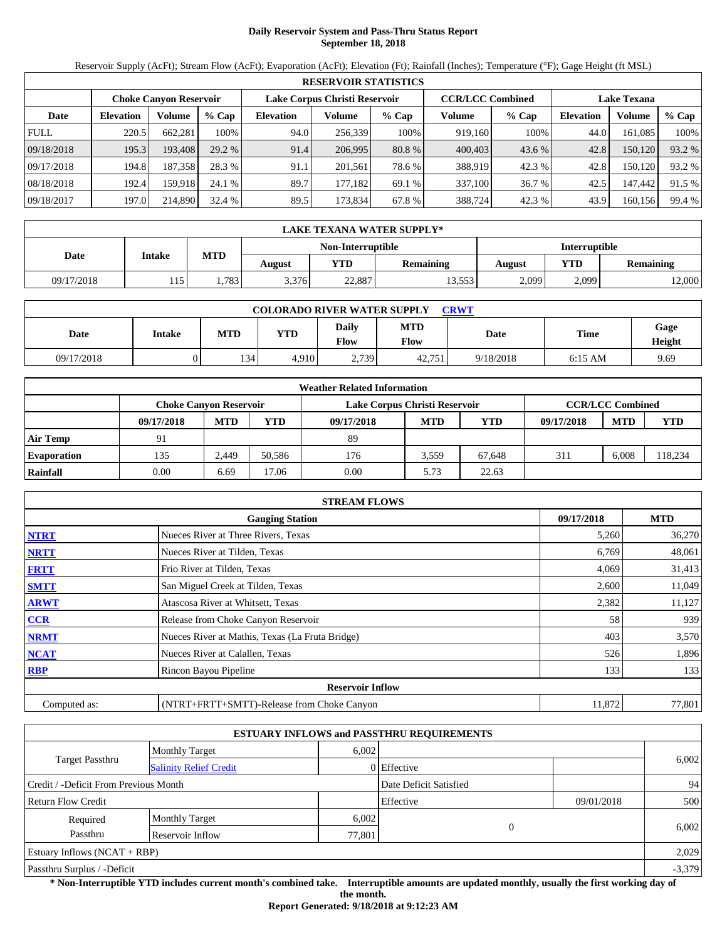# **Daily Reservoir System and Pass-Thru Status Report September 18, 2018**

Reservoir Supply (AcFt); Stream Flow (AcFt); Evaporation (AcFt); Elevation (Ft); Rainfall (Inches); Temperature (°F); Gage Height (ft MSL)

|             | <b>RESERVOIR STATISTICS</b> |                               |         |                               |         |         |                         |         |                    |         |        |  |  |
|-------------|-----------------------------|-------------------------------|---------|-------------------------------|---------|---------|-------------------------|---------|--------------------|---------|--------|--|--|
|             |                             | <b>Choke Canyon Reservoir</b> |         | Lake Corpus Christi Reservoir |         |         | <b>CCR/LCC Combined</b> |         | <b>Lake Texana</b> |         |        |  |  |
| Date        | <b>Elevation</b>            | Volume                        | $%$ Cap | <b>Elevation</b>              | Volume  | $%$ Cap | Volume                  | $%$ Cap | <b>Elevation</b>   | Volume  | % Cap  |  |  |
| <b>FULL</b> | 220.5                       | 662,281                       | 100%    | 94.0                          | 256,339 | 100%    | 919,160                 | 100%    | 44.0               | 161.085 | 100%   |  |  |
| 09/18/2018  | 195.3                       | 193.408                       | 29.2 %  | 91.4                          | 206.995 | 80.8 %  | 400,403                 | 43.6 %  | 42.8               | 150,120 | 93.2 % |  |  |
| 09/17/2018  | 194.8                       | 187.358                       | 28.3 %  | 91.1                          | 201.561 | 78.6 %  | 388,919                 | 42.3 %  | 42.8               | 150.120 | 93.2 % |  |  |
| 08/18/2018  | 192.4                       | 159.918                       | 24.1 %  | 89.7                          | 177.182 | 69.1 %  | 337,100                 | 36.7 %  | 42.5               | 147,442 | 91.5 % |  |  |
| 09/18/2017  | 197.0                       | 214,890                       | 32.4 %  | 89.5                          | 173,834 | 67.8 %  | 388,724                 | 42.3 %  | 43.9               | 160,156 | 99.4 % |  |  |

|            | LAKE TEXANA WATER SUPPLY* |            |        |                   |                  |               |            |                  |  |  |  |
|------------|---------------------------|------------|--------|-------------------|------------------|---------------|------------|------------------|--|--|--|
|            | <b>Intake</b>             |            |        | Non-Interruptible |                  | Interruptible |            |                  |  |  |  |
| Date       |                           | <b>MTD</b> | August | YTD               | <b>Remaining</b> | <b>August</b> | <b>YTD</b> | <b>Remaining</b> |  |  |  |
| 09/17/2018 | 15                        | 783        | 3,376  | 22,887            | 13,553           | 2,099         | 2,099      | 2,000            |  |  |  |

| <b>COLORADO RIVER WATER SUPPLY</b><br><b>CRWT</b> |        |            |            |                             |                    |           |           |                |  |  |
|---------------------------------------------------|--------|------------|------------|-----------------------------|--------------------|-----------|-----------|----------------|--|--|
| Date                                              | Intake | <b>MTD</b> | <b>YTD</b> | <b>Daily</b><br><b>Flow</b> | <b>MTD</b><br>Flow | Date      | Time      | Gage<br>Height |  |  |
| 09/17/2018                                        |        | 134        | 4.910      | 2,739                       | 42.751             | 9/18/2018 | $6:15$ AM | 9.69           |  |  |

|                    | <b>Weather Related Information</b> |            |        |                               |            |            |            |                         |            |  |  |
|--------------------|------------------------------------|------------|--------|-------------------------------|------------|------------|------------|-------------------------|------------|--|--|
|                    | Choke Canvon Reservoir             |            |        | Lake Corpus Christi Reservoir |            |            |            | <b>CCR/LCC Combined</b> |            |  |  |
|                    | 09/17/2018                         | <b>MTD</b> | YTD    | 09/17/2018                    | <b>MTD</b> | <b>YTD</b> | 09/17/2018 | <b>MTD</b>              | <b>YTD</b> |  |  |
| <b>Air Temp</b>    | 91                                 |            |        | 89                            |            |            |            |                         |            |  |  |
| <b>Evaporation</b> | 135                                | 2.449      | 50.586 | 176                           | 3.559      | 67.648     | 311        | 6.008                   | 118,234    |  |  |
| Rainfall           | 0.00                               | 6.69       | 7.06   | 0.00                          | 5.73       | 22.63      |            |                         |            |  |  |

|              | <b>STREAM FLOWS</b>                             |            |        |
|--------------|-------------------------------------------------|------------|--------|
|              | 09/17/2018                                      | <b>MTD</b> |        |
| <b>NTRT</b>  | Nueces River at Three Rivers, Texas             | 5,260      | 36,270 |
| <b>NRTT</b>  | Nueces River at Tilden, Texas                   | 6,769      | 48,061 |
| <b>FRTT</b>  | Frio River at Tilden, Texas                     | 4,069      | 31,413 |
| <b>SMTT</b>  | San Miguel Creek at Tilden, Texas               | 2,600      | 11,049 |
| <b>ARWT</b>  | Atascosa River at Whitsett, Texas               | 2,382      | 11,127 |
| <b>CCR</b>   | Release from Choke Canyon Reservoir             | 58         | 939    |
| <b>NRMT</b>  | Nueces River at Mathis, Texas (La Fruta Bridge) | 403        | 3,570  |
| <b>NCAT</b>  | Nueces River at Calallen, Texas                 | 526        | 1,896  |
| <b>RBP</b>   | Rincon Bayou Pipeline                           | 133        | 133    |
|              | <b>Reservoir Inflow</b>                         |            |        |
| Computed as: | (NTRT+FRTT+SMTT)-Release from Choke Canyon      | 11,872     | 77,801 |

|                                                  |                       |        | <b>ESTUARY INFLOWS and PASSTHRU REQUIREMENTS</b> |            |          |
|--------------------------------------------------|-----------------------|--------|--------------------------------------------------|------------|----------|
|                                                  | <b>Monthly Target</b> | 6,002  |                                                  |            |          |
| Target Passthru<br><b>Salinity Relief Credit</b> |                       |        | 0 Effective                                      |            | 6,002    |
| Credit / -Deficit From Previous Month            |                       |        | Date Deficit Satisfied                           |            | 94       |
| <b>Return Flow Credit</b>                        |                       |        | Effective                                        | 09/01/2018 | 500      |
| Required                                         | <b>Monthly Target</b> | 6,002  |                                                  |            |          |
| Passthru                                         | Reservoir Inflow      | 77,801 | $\Omega$                                         |            | 6,002    |
| Estuary Inflows $(NCAT + RBP)$                   |                       |        |                                                  |            | 2,029    |
| Passthru Surplus / -Deficit                      |                       |        |                                                  |            | $-3,379$ |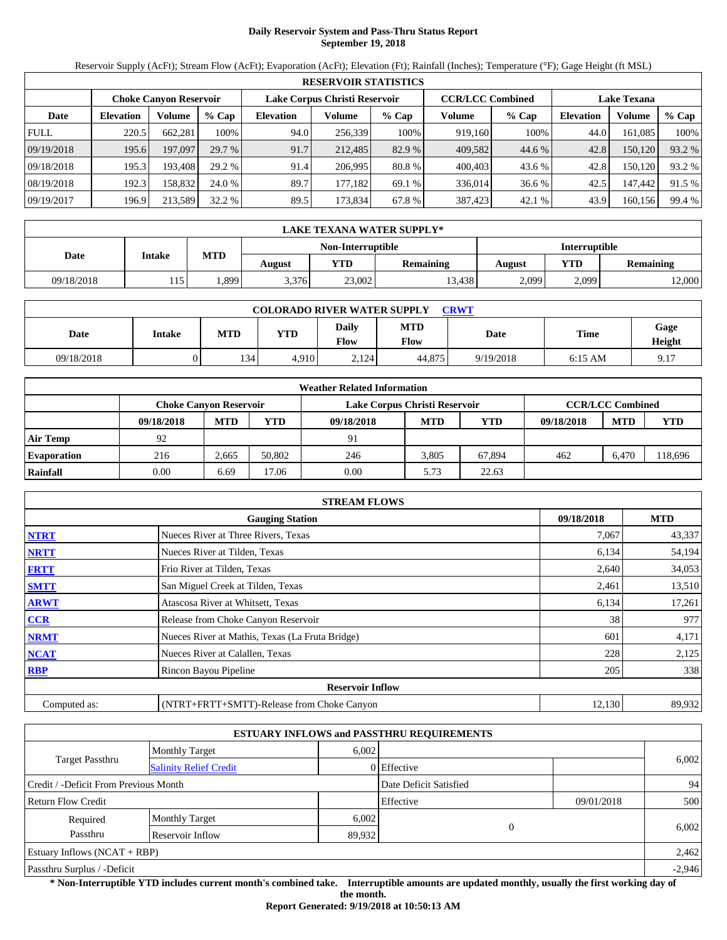# **Daily Reservoir System and Pass-Thru Status Report September 19, 2018**

Reservoir Supply (AcFt); Stream Flow (AcFt); Evaporation (AcFt); Elevation (Ft); Rainfall (Inches); Temperature (°F); Gage Height (ft MSL)

|             |                  |                               |         |                               | <b>RESERVOIR STATISTICS</b> |         |                         |         |                    |         |        |
|-------------|------------------|-------------------------------|---------|-------------------------------|-----------------------------|---------|-------------------------|---------|--------------------|---------|--------|
|             |                  | <b>Choke Canyon Reservoir</b> |         | Lake Corpus Christi Reservoir |                             |         | <b>CCR/LCC Combined</b> |         | <b>Lake Texana</b> |         |        |
| Date        | <b>Elevation</b> | Volume                        | $%$ Cap | <b>Elevation</b>              | Volume                      | $%$ Cap | Volume                  | $%$ Cap | <b>Elevation</b>   | Volume  | % Cap  |
| <b>FULL</b> | 220.5            | 662.281                       | 100%    | 94.0                          | 256,339                     | 100%    | 919.160                 | 100%    | 44.0               | 161.085 | 100%   |
| 09/19/2018  | 195.6            | 197,097                       | 29.7 %  | 91.7                          | 212,485                     | 82.9 %  | 409,582                 | 44.6 %  | 42.8               | 150,120 | 93.2 % |
| 09/18/2018  | 195.3            | 193.408                       | 29.2 %  | 91.4                          | 206.995                     | 80.8 %  | 400,403                 | 43.6 %  | 42.8               | 150.120 | 93.2 % |
| 08/19/2018  | 192.3            | 158.832                       | 24.0 %  | 89.7                          | 177.182                     | 69.1 %  | 336,014                 | 36.6 %  | 42.5               | 147.442 | 91.5 % |
| 09/19/2017  | 196.9            | 213.589                       | 32.2 %  | 89.5                          | 173,834                     | 67.8 %  | 387,423                 | 42.1 %  | 43.9               | 160,156 | 99.4 % |

|            | LAKE TEXANA WATER SUPPLY* |            |        |                   |                  |               |            |                  |  |  |
|------------|---------------------------|------------|--------|-------------------|------------------|---------------|------------|------------------|--|--|
|            | <b>Intake</b>             |            |        | Non-Interruptible |                  | Interruptible |            |                  |  |  |
| Date       |                           | <b>MTD</b> | August | YTD               | <b>Remaining</b> | <b>August</b> | <b>YTD</b> | <b>Remaining</b> |  |  |
| 09/18/2018 | 15                        | .899       | 3,376  | 23,002            | 13.438           | 2,099         | 2,099      | 2,000            |  |  |

| <b>COLORADO RIVER WATER SUPPLY</b><br><b>CRWT</b> |        |            |            |                             |                    |           |           |                |  |  |
|---------------------------------------------------|--------|------------|------------|-----------------------------|--------------------|-----------|-----------|----------------|--|--|
| Date                                              | Intake | <b>MTD</b> | <b>YTD</b> | <b>Daily</b><br><b>Flow</b> | <b>MTD</b><br>Flow | Date      | Time      | Gage<br>Height |  |  |
| 09/18/2018                                        |        | 134        | 4.910      | 2,124                       | 44,875             | 9/19/2018 | $6:15$ AM | 9.17           |  |  |

|                    |            |                               |        | <b>Weather Related Information</b> |                         |            |            |            |            |
|--------------------|------------|-------------------------------|--------|------------------------------------|-------------------------|------------|------------|------------|------------|
|                    |            | <b>Choke Canvon Reservoir</b> |        | Lake Corpus Christi Reservoir      | <b>CCR/LCC Combined</b> |            |            |            |            |
|                    | 09/18/2018 | <b>MTD</b>                    | YTD    | 09/18/2018                         | <b>MTD</b>              | <b>YTD</b> | 09/18/2018 | <b>MTD</b> | <b>YTD</b> |
| <b>Air Temp</b>    | 92         |                               |        | 91                                 |                         |            |            |            |            |
| <b>Evaporation</b> | 216        | 2.665                         | 50.802 | 246                                | 3.805                   | 67.894     | 462        | 6.470      | 18,696     |
| Rainfall           | 0.00       | 6.69                          | 17.06  | 0.00                               | 5.73                    | 22.63      |            |            |            |

|              | <b>STREAM FLOWS</b>                             |            |            |
|--------------|-------------------------------------------------|------------|------------|
|              | <b>Gauging Station</b>                          | 09/18/2018 | <b>MTD</b> |
| <b>NTRT</b>  | Nueces River at Three Rivers, Texas             | 7,067      | 43,337     |
| <b>NRTT</b>  | Nueces River at Tilden, Texas                   | 6,134      | 54,194     |
| <b>FRTT</b>  | Frio River at Tilden, Texas                     | 2,640      | 34,053     |
| <b>SMTT</b>  | San Miguel Creek at Tilden, Texas               | 2,461      | 13,510     |
| <b>ARWT</b>  | Atascosa River at Whitsett, Texas               | 6,134      | 17,261     |
| <b>CCR</b>   | Release from Choke Canyon Reservoir             | 38         | 977        |
| <b>NRMT</b>  | Nueces River at Mathis, Texas (La Fruta Bridge) | 601        | 4,171      |
| <b>NCAT</b>  | Nueces River at Calallen, Texas                 | 228        | 2,125      |
| <b>RBP</b>   | Rincon Bayou Pipeline                           | 205        | 338        |
|              | <b>Reservoir Inflow</b>                         |            |            |
| Computed as: | (NTRT+FRTT+SMTT)-Release from Choke Canyon      | 12,130     | 89,932     |

|                                       |                               |                        | <b>ESTUARY INFLOWS and PASSTHRU REQUIREMENTS</b> |            |          |
|---------------------------------------|-------------------------------|------------------------|--------------------------------------------------|------------|----------|
|                                       | <b>Monthly Target</b>         | 6.002                  |                                                  |            |          |
| Target Passthru                       | <b>Salinity Relief Credit</b> |                        | 0 Effective                                      |            | 6,002    |
| Credit / -Deficit From Previous Month |                               | Date Deficit Satisfied |                                                  | 94         |          |
| <b>Return Flow Credit</b>             |                               |                        | Effective                                        | 09/01/2018 | 500      |
| Required                              | <b>Monthly Target</b>         | 6,002                  |                                                  |            |          |
| Passthru                              | Reservoir Inflow              | 89,932                 | $\Omega$                                         |            | 6,002    |
| Estuary Inflows $(NCAT + RBP)$        |                               |                        |                                                  |            | 2,462    |
| Passthru Surplus / -Deficit           |                               |                        |                                                  |            | $-2,946$ |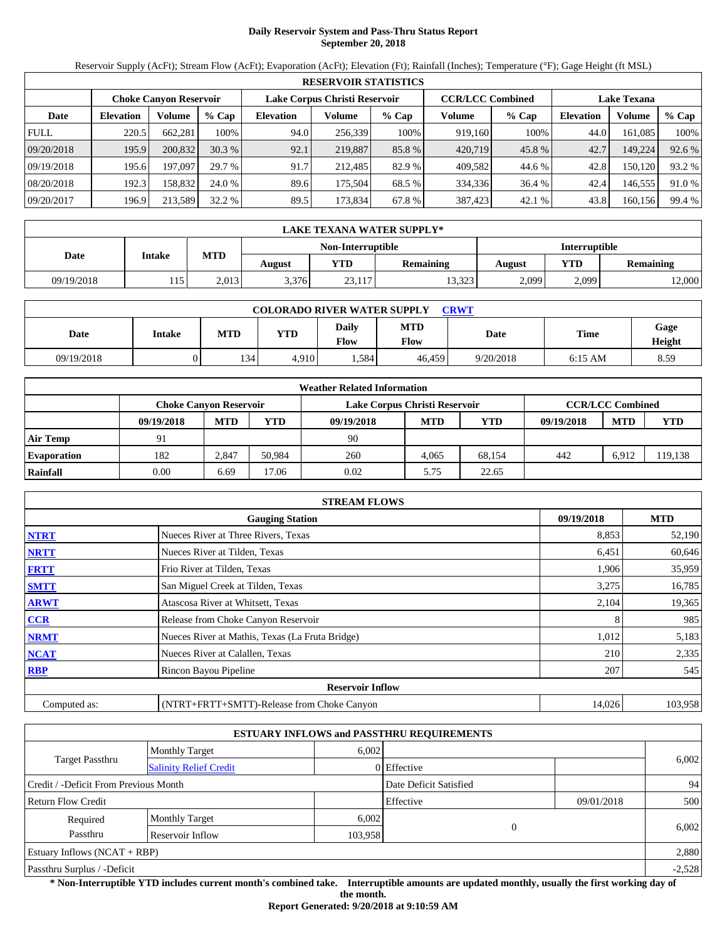# **Daily Reservoir System and Pass-Thru Status Report September 20, 2018**

Reservoir Supply (AcFt); Stream Flow (AcFt); Evaporation (AcFt); Elevation (Ft); Rainfall (Inches); Temperature (°F); Gage Height (ft MSL)

|             | <b>RESERVOIR STATISTICS</b> |                               |         |                               |         |         |                         |         |                    |         |        |  |
|-------------|-----------------------------|-------------------------------|---------|-------------------------------|---------|---------|-------------------------|---------|--------------------|---------|--------|--|
|             |                             | <b>Choke Canyon Reservoir</b> |         | Lake Corpus Christi Reservoir |         |         | <b>CCR/LCC Combined</b> |         | <b>Lake Texana</b> |         |        |  |
| Date        | <b>Elevation</b>            | Volume                        | $%$ Cap | <b>Elevation</b>              | Volume  | $%$ Cap | Volume                  | $%$ Cap | <b>Elevation</b>   | Volume  | % Cap  |  |
| <b>FULL</b> | 220.5                       | 662.281                       | 100%    | 94.0                          | 256,339 | 100%    | 919,160                 | 100%    | 44.0               | 161.085 | 100%   |  |
| 09/20/2018  | 195.9                       | 200,832                       | 30.3%   | 92.1                          | 219,887 | 85.8 %  | 420,719                 | 45.8%   | 42.7               | 149,224 | 92.6 % |  |
| 09/19/2018  | 195.6                       | 197.097                       | 29.7 %  | 91.7                          | 212.485 | 82.9 %  | 409.582                 | 44.6 %  | 42.8               | 150.120 | 93.2 % |  |
| 08/20/2018  | 192.3                       | 158.832                       | 24.0 %  | 89.6                          | 175.504 | 68.5 %  | 334,336                 | 36.4 %  | 42.4               | 146.555 | 91.0 % |  |
| 09/20/2017  | 196.9                       | 213.589                       | 32.2 %  | 89.5                          | 173,834 | 67.8 %  | 387,423                 | 42.1 %  | 43.8               | 160,156 | 99.4 % |  |

|            | LAKE TEXANA WATER SUPPLY* |            |        |                   |                  |               |       |                  |  |  |
|------------|---------------------------|------------|--------|-------------------|------------------|---------------|-------|------------------|--|--|
|            | <b>Intake</b>             |            |        | Non-Interruptible |                  | Interruptible |       |                  |  |  |
| Date       |                           | <b>MTD</b> | August | YTD               | <b>Remaining</b> | August        | YTD   | <b>Remaining</b> |  |  |
| 09/19/2018 | 15<br>1 I J               | 2.013      | 3.376  | 23,117            | 13,323           | 2,099         | 2,099 | 2,000            |  |  |

| <b>COLORADO RIVER WATER SUPPLY</b><br>CRWT |        |            |            |                      |                    |           |           |                |  |  |
|--------------------------------------------|--------|------------|------------|----------------------|--------------------|-----------|-----------|----------------|--|--|
| Date                                       | Intake | <b>MTD</b> | <b>YTD</b> | Daily<br><b>Flow</b> | <b>MTD</b><br>Flow | Date      | Time      | Gage<br>Height |  |  |
| 09/19/2018                                 |        | 134        | 4.910      | .584                 | 46.459             | 9/20/2018 | $6:15$ AM | 8.59           |  |  |

|                    |                        |            |        | <b>Weather Related Information</b> |                         |            |            |            |            |
|--------------------|------------------------|------------|--------|------------------------------------|-------------------------|------------|------------|------------|------------|
|                    | Choke Canvon Reservoir |            |        | Lake Corpus Christi Reservoir      | <b>CCR/LCC Combined</b> |            |            |            |            |
|                    | 09/19/2018             | <b>MTD</b> | YTD    | 09/19/2018                         | <b>MTD</b>              | <b>YTD</b> | 09/19/2018 | <b>MTD</b> | <b>YTD</b> |
| <b>Air Temp</b>    | 91                     |            |        | 90                                 |                         |            |            |            |            |
| <b>Evaporation</b> | 182                    | 2.847      | 50.984 | 260                                | 4.065                   | 68.154     | 442        | 6.912      | 119,138    |
| Rainfall           | 0.00                   | 6.69       | 7.06   | 0.02                               | 5.75                    | 22.65      |            |            |            |

|              | <b>STREAM FLOWS</b>                             |            |            |
|--------------|-------------------------------------------------|------------|------------|
|              | <b>Gauging Station</b>                          | 09/19/2018 | <b>MTD</b> |
| <b>NTRT</b>  | Nueces River at Three Rivers, Texas             | 8,853      | 52,190     |
| <b>NRTT</b>  | Nueces River at Tilden, Texas                   | 6,451      | 60,646     |
| <b>FRTT</b>  | Frio River at Tilden, Texas                     | 1,906      | 35,959     |
| <b>SMTT</b>  | San Miguel Creek at Tilden, Texas               | 3,275      | 16,785     |
| <b>ARWT</b>  | Atascosa River at Whitsett, Texas               | 2,104      | 19,365     |
| CCR          | Release from Choke Canyon Reservoir             |            | 985        |
| <b>NRMT</b>  | Nueces River at Mathis, Texas (La Fruta Bridge) | 1,012      | 5,183      |
| <b>NCAT</b>  | Nueces River at Calallen, Texas                 | 210        | 2,335      |
| <b>RBP</b>   | Rincon Bayou Pipeline                           | 207        | 545        |
|              | <b>Reservoir Inflow</b>                         |            |            |
| Computed as: | (NTRT+FRTT+SMTT)-Release from Choke Canyon      | 14,026     | 103,958    |

|                                       |                               |         | <b>ESTUARY INFLOWS and PASSTHRU REQUIREMENTS</b> |            |          |  |
|---------------------------------------|-------------------------------|---------|--------------------------------------------------|------------|----------|--|
|                                       | <b>Monthly Target</b>         | 6,002   |                                                  |            |          |  |
| <b>Target Passthru</b>                | <b>Salinity Relief Credit</b> |         | $0$ Effective                                    |            | 6,002    |  |
| Credit / -Deficit From Previous Month |                               |         | Date Deficit Satisfied                           |            | 94       |  |
| <b>Return Flow Credit</b>             |                               |         | Effective                                        | 09/01/2018 | 500      |  |
| Required                              | <b>Monthly Target</b>         | 6,002   |                                                  |            |          |  |
| Passthru                              | Reservoir Inflow              | 103,958 | $\overline{0}$                                   |            | 6,002    |  |
| Estuary Inflows $(NCAT + RBP)$        |                               |         |                                                  |            | 2,880    |  |
| Passthru Surplus / -Deficit           |                               |         |                                                  |            | $-2,528$ |  |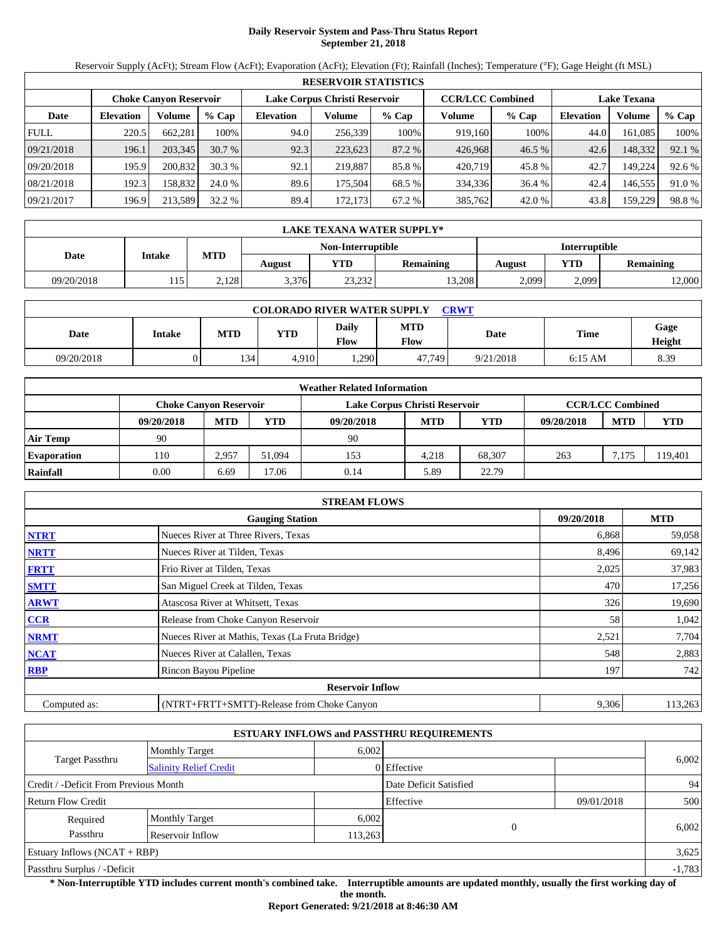# **Daily Reservoir System and Pass-Thru Status Report September 21, 2018**

Reservoir Supply (AcFt); Stream Flow (AcFt); Evaporation (AcFt); Elevation (Ft); Rainfall (Inches); Temperature (°F); Gage Height (ft MSL)

|             | <b>RESERVOIR STATISTICS</b> |                        |         |                               |         |         |                         |        |                    |         |        |  |  |
|-------------|-----------------------------|------------------------|---------|-------------------------------|---------|---------|-------------------------|--------|--------------------|---------|--------|--|--|
|             |                             | Choke Canvon Reservoir |         | Lake Corpus Christi Reservoir |         |         | <b>CCR/LCC Combined</b> |        | <b>Lake Texana</b> |         |        |  |  |
| Date        | <b>Elevation</b>            | Volume                 | $%$ Cap | <b>Elevation</b>              | Volume  | $%$ Cap | Volume                  | % Cap  | <b>Elevation</b>   | Volume  | % Cap  |  |  |
| <b>FULL</b> | 220.5                       | 662,281                | 100%    | 94.0                          | 256.339 | 100%    | 919,160                 | 100%   | 44.0               | 161,085 | 100%   |  |  |
| 09/21/2018  | 196.1                       | 203.345                | 30.7%   | 92.3                          | 223,623 | 87.2 %  | 426,968                 | 46.5 % | 42.6               | 148,332 | 92.1 % |  |  |
| 09/20/2018  | 195.9                       | 200.832                | 30.3%   | 92.1                          | 219.887 | 85.8%   | 420,719                 | 45.8%  | 42.7               | 149.224 | 92.6 % |  |  |
| 08/21/2018  | 192.3                       | 158.832                | 24.0 %  | 89.6                          | 175.504 | 68.5 %  | 334.336                 | 36.4 % | 42.4               | 146.555 | 91.0 % |  |  |
| 09/21/2017  | 196.9                       | 213.589                | 32.2%   | 89.4                          | 172.173 | 67.2 %  | 385,762                 | 42.0 % | 43.8               | 159.229 | 98.8%  |  |  |

|                   | <b>LAKE TEXANA WATER SUPPLY*</b> |            |        |            |                  |        |       |                      |  |  |  |
|-------------------|----------------------------------|------------|--------|------------|------------------|--------|-------|----------------------|--|--|--|
| Non-Interruptible |                                  |            |        |            |                  |        |       | <b>Interruptible</b> |  |  |  |
| Date              | Intake                           | <b>MTD</b> | August | <b>YTD</b> | <b>Remaining</b> | August | YTD   | <b>Remaining</b>     |  |  |  |
| 09/20/2018        | 115                              | 2,128      | 3.376  | 23,232     | 13.208           | 2,099  | 2,099 | 12,000               |  |  |  |

| <b>COLORADO RIVER WATER SUPPLY</b><br>CRWT |        |            |            |                      |                    |           |           |                |  |  |  |
|--------------------------------------------|--------|------------|------------|----------------------|--------------------|-----------|-----------|----------------|--|--|--|
| Date                                       | Intake | <b>MTD</b> | <b>YTD</b> | Daily<br><b>Flow</b> | <b>MTD</b><br>Flow | Date      | Time      | Gage<br>Height |  |  |  |
| 09/20/2018                                 |        | 134        | 4.910      | .290                 | 47.749             | 9/21/2018 | $6:15$ AM | 8.39           |  |  |  |

|                    | <b>Weather Related Information</b> |            |        |                               |            |            |            |                         |            |  |  |  |
|--------------------|------------------------------------|------------|--------|-------------------------------|------------|------------|------------|-------------------------|------------|--|--|--|
|                    | Choke Canvon Reservoir             |            |        | Lake Corpus Christi Reservoir |            |            |            | <b>CCR/LCC Combined</b> |            |  |  |  |
|                    | 09/20/2018                         | <b>MTD</b> | YTD    | 09/20/2018                    | <b>MTD</b> | <b>YTD</b> | 09/20/2018 | <b>MTD</b>              | <b>YTD</b> |  |  |  |
| <b>Air Temp</b>    | 90                                 |            |        | 90                            |            |            |            |                         |            |  |  |  |
| <b>Evaporation</b> | 110                                | 2.957      | 51.094 | 153                           | 4.218      | 68.307     | 263        | 7.175                   | 119,401    |  |  |  |
| Rainfall           | 0.00                               | 6.69       | 7.06   | 0.14                          | 5.89       | 22.79      |            |                         |            |  |  |  |

|              | <b>STREAM FLOWS</b>                             |            |            |
|--------------|-------------------------------------------------|------------|------------|
|              | <b>Gauging Station</b>                          | 09/20/2018 | <b>MTD</b> |
| <b>NTRT</b>  | Nueces River at Three Rivers, Texas             | 6,868      | 59,058     |
| <b>NRTT</b>  | Nueces River at Tilden, Texas                   | 8,496      | 69,142     |
| <b>FRTT</b>  | Frio River at Tilden, Texas                     | 2,025      | 37,983     |
| <b>SMTT</b>  | San Miguel Creek at Tilden, Texas               | 470        | 17,256     |
| <b>ARWT</b>  | Atascosa River at Whitsett, Texas               | 326        | 19,690     |
| CCR          | Release from Choke Canyon Reservoir             | 58         | 1,042      |
| <b>NRMT</b>  | Nueces River at Mathis, Texas (La Fruta Bridge) | 2,521      | 7,704      |
| <b>NCAT</b>  | Nueces River at Calallen, Texas                 | 548        | 2,883      |
| <b>RBP</b>   | Rincon Bayou Pipeline                           | 197        | 742        |
|              | <b>Reservoir Inflow</b>                         |            |            |
| Computed as: | (NTRT+FRTT+SMTT)-Release from Choke Canyon      | 9,306      | 113,263    |

|                                       |                               |         | <b>ESTUARY INFLOWS and PASSTHRU REQUIREMENTS</b> |            |          |
|---------------------------------------|-------------------------------|---------|--------------------------------------------------|------------|----------|
|                                       | <b>Monthly Target</b>         | 6,002   |                                                  |            |          |
| <b>Target Passthru</b>                | <b>Salinity Relief Credit</b> |         | $0$ Effective                                    |            | 6,002    |
| Credit / -Deficit From Previous Month |                               |         | Date Deficit Satisfied                           |            | 94       |
| <b>Return Flow Credit</b>             |                               |         | Effective                                        | 09/01/2018 | 500      |
| Required                              | <b>Monthly Target</b>         | 6,002   |                                                  |            |          |
| Passthru                              | Reservoir Inflow              | 113,263 |                                                  | 0          | 6,002    |
| Estuary Inflows $(NCAT + RBP)$        |                               |         |                                                  |            | 3,625    |
| Passthru Surplus / -Deficit           |                               |         |                                                  |            | $-1,783$ |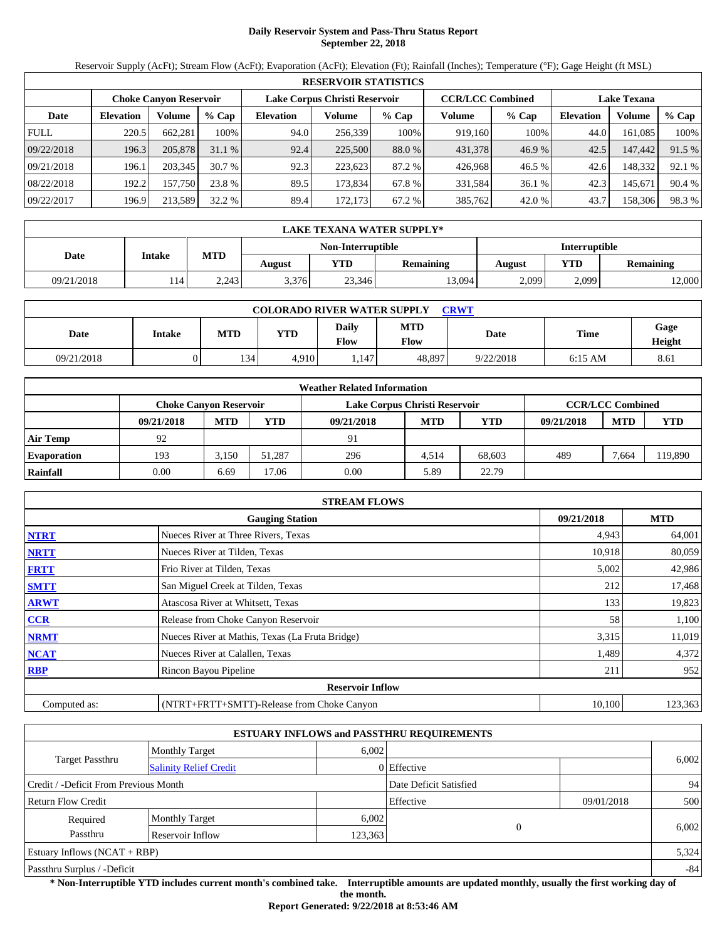# **Daily Reservoir System and Pass-Thru Status Report September 22, 2018**

Reservoir Supply (AcFt); Stream Flow (AcFt); Evaporation (AcFt); Elevation (Ft); Rainfall (Inches); Temperature (°F); Gage Height (ft MSL)

|             | <b>RESERVOIR STATISTICS</b> |                               |         |                               |         |         |                         |         |                    |         |        |  |  |
|-------------|-----------------------------|-------------------------------|---------|-------------------------------|---------|---------|-------------------------|---------|--------------------|---------|--------|--|--|
|             |                             | <b>Choke Canyon Reservoir</b> |         | Lake Corpus Christi Reservoir |         |         | <b>CCR/LCC Combined</b> |         | <b>Lake Texana</b> |         |        |  |  |
| Date        | <b>Elevation</b>            | Volume                        | $%$ Cap | <b>Elevation</b>              | Volume  | $%$ Cap | Volume                  | $%$ Cap | <b>Elevation</b>   | Volume  | % Cap  |  |  |
| <b>FULL</b> | 220.5                       | 662.281                       | 100%    | 94.0                          | 256,339 | 100%    | 919,160                 | 100%    | 44.0               | 161.085 | 100%   |  |  |
| 09/22/2018  | 196.3                       | 205,878                       | 31.1%   | 92.4                          | 225,500 | 88.0 %  | 431,378                 | 46.9%   | 42.5               | 147,442 | 91.5 % |  |  |
| 09/21/2018  | 196.1                       | 203,345                       | 30.7%   | 92.3                          | 223.623 | 87.2 %  | 426.968                 | 46.5 %  | 42.6               | 148,332 | 92.1 % |  |  |
| 08/22/2018  | 192.2                       | 157,750                       | 23.8 %  | 89.5                          | 173,834 | 67.8 %  | 331,584                 | 36.1 %  | 42.3               | 145,671 | 90.4 % |  |  |
| 09/22/2017  | 196.9                       | 213,589                       | 32.2 %  | 89.4                          | 172,173 | 67.2 %  | 385,762                 | 42.0 %  | 43.7               | 158,306 | 98.3%  |  |  |

|            | LAKE TEXANA WATER SUPPLY* |            |        |                   |                  |        |       |                  |  |  |  |
|------------|---------------------------|------------|--------|-------------------|------------------|--------|-------|------------------|--|--|--|
|            |                           |            |        | Non-Interruptible | Interruptible    |        |       |                  |  |  |  |
| Date       | <b>Intake</b>             | <b>MTD</b> | August | YTD               | <b>Remaining</b> | August | YTD   | <b>Remaining</b> |  |  |  |
| 09/21/2018 | 114'                      | 2,243      | 3.376  | 23,346            | 13.094           | 2,099  | 2,099 | 2,000            |  |  |  |

| <b>COLORADO RIVER WATER SUPPLY</b><br><b>CRWT</b> |        |            |            |                      |                    |           |           |                |  |  |  |
|---------------------------------------------------|--------|------------|------------|----------------------|--------------------|-----------|-----------|----------------|--|--|--|
| Date                                              | Intake | <b>MTD</b> | <b>YTD</b> | Daily<br><b>Flow</b> | <b>MTD</b><br>Flow | Date      | Time      | Gage<br>Height |  |  |  |
| 09/21/2018                                        |        | 134        | 4.910      | .147                 | 48.897             | 9/22/2018 | $6:15$ AM | 8.61           |  |  |  |

|                    |                               |            |        | <b>Weather Related Information</b> |            |            |            |                         |            |
|--------------------|-------------------------------|------------|--------|------------------------------------|------------|------------|------------|-------------------------|------------|
|                    | <b>Choke Canvon Reservoir</b> |            |        | Lake Corpus Christi Reservoir      |            |            |            | <b>CCR/LCC Combined</b> |            |
|                    | 09/21/2018                    | <b>MTD</b> | YTD    | 09/21/2018                         | <b>MTD</b> | <b>YTD</b> | 09/21/2018 | <b>MTD</b>              | <b>YTD</b> |
| <b>Air Temp</b>    | 92                            |            |        | 91                                 |            |            |            |                         |            |
| <b>Evaporation</b> | 193                           | 3.150      | 51.287 | 296                                | 4.514      | 68.603     | 489        | 7.664                   | 119,890    |
| Rainfall           | 0.00                          | 6.69       | 17.06  | 0.00                               | 5.89       | 22.79      |            |                         |            |

|              | <b>STREAM FLOWS</b>                             |            |            |
|--------------|-------------------------------------------------|------------|------------|
|              | <b>Gauging Station</b>                          | 09/21/2018 | <b>MTD</b> |
| <b>NTRT</b>  | Nueces River at Three Rivers, Texas             | 4,943      | 64,001     |
| <b>NRTT</b>  | Nueces River at Tilden, Texas                   | 10,918     | 80,059     |
| <b>FRTT</b>  | Frio River at Tilden, Texas                     | 5,002      | 42,986     |
| <b>SMTT</b>  | San Miguel Creek at Tilden, Texas               | 212        | 17,468     |
| <b>ARWT</b>  | Atascosa River at Whitsett, Texas               | 133        | 19,823     |
| <b>CCR</b>   | Release from Choke Canyon Reservoir             | 58         | 1,100      |
| <b>NRMT</b>  | Nueces River at Mathis, Texas (La Fruta Bridge) | 3,315      | 11,019     |
| <b>NCAT</b>  | Nueces River at Calallen, Texas                 | 1,489      | 4,372      |
| <b>RBP</b>   | Rincon Bayou Pipeline                           | 211        | 952        |
|              | <b>Reservoir Inflow</b>                         |            |            |
| Computed as: | (NTRT+FRTT+SMTT)-Release from Choke Canyon      | 10,100     | 123,363    |

|                                       |                               |         | <b>ESTUARY INFLOWS and PASSTHRU REQUIREMENTS</b> |            |       |
|---------------------------------------|-------------------------------|---------|--------------------------------------------------|------------|-------|
|                                       | <b>Monthly Target</b>         | 6,002   |                                                  |            |       |
| <b>Target Passthru</b>                | <b>Salinity Relief Credit</b> |         | 0 Effective                                      |            | 6,002 |
| Credit / -Deficit From Previous Month |                               |         | Date Deficit Satisfied                           |            | 94    |
| <b>Return Flow Credit</b>             |                               |         | Effective                                        | 09/01/2018 | 500   |
| Required                              | <b>Monthly Target</b>         | 6,002   |                                                  |            |       |
| Passthru                              | Reservoir Inflow              | 123,363 | $\theta$                                         |            | 6,002 |
| Estuary Inflows $(NCAT + RBP)$        |                               |         |                                                  |            | 5,324 |
| Passthru Surplus / -Deficit           |                               |         |                                                  |            | $-84$ |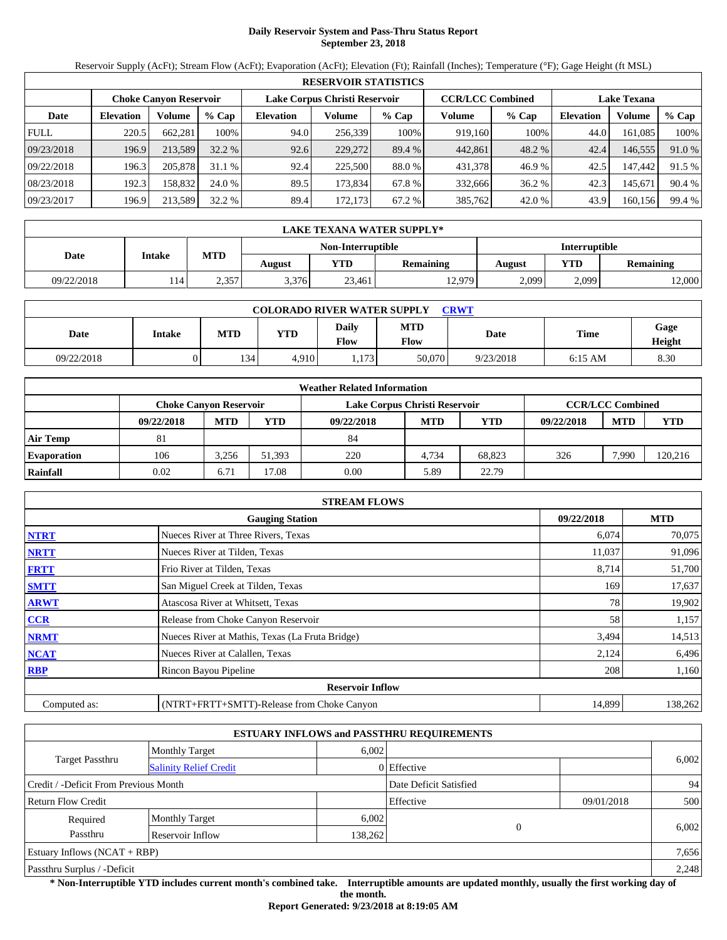# **Daily Reservoir System and Pass-Thru Status Report September 23, 2018**

Reservoir Supply (AcFt); Stream Flow (AcFt); Evaporation (AcFt); Elevation (Ft); Rainfall (Inches); Temperature (°F); Gage Height (ft MSL)

|             | <b>RESERVOIR STATISTICS</b> |                               |          |                               |         |         |                         |         |                    |         |        |  |  |
|-------------|-----------------------------|-------------------------------|----------|-------------------------------|---------|---------|-------------------------|---------|--------------------|---------|--------|--|--|
|             |                             | <b>Choke Canyon Reservoir</b> |          | Lake Corpus Christi Reservoir |         |         | <b>CCR/LCC Combined</b> |         | <b>Lake Texana</b> |         |        |  |  |
| Date        | <b>Elevation</b>            | Volume                        | $%$ Cap  | <b>Elevation</b>              | Volume  | $%$ Cap | Volume                  | $%$ Cap | <b>Elevation</b>   | Volume  | % Cap  |  |  |
| <b>FULL</b> | 220.5                       | 662.281                       | 100%     | 94.0                          | 256,339 | 100%    | 919,160                 | 100%    | 44.0               | 161.085 | 100%   |  |  |
| 09/23/2018  | 196.9                       | 213.589                       | $32.2\%$ | 92.6                          | 229,272 | 89.4 %  | 442,861                 | 48.2 %  | 42.4               | 146,555 | 91.0 % |  |  |
| 09/22/2018  | 196.3                       | 205,878                       | 31.1%    | 92.4                          | 225,500 | 88.0 %  | 431,378                 | 46.9%   | 42.5               | 147.442 | 91.5 % |  |  |
| 08/23/2018  | 192.3                       | 158.832                       | 24.0 %   | 89.5                          | 173.834 | 67.8 %  | 332.666                 | 36.2 %  | 42.3               | 145.671 | 90.4 % |  |  |
| 09/23/2017  | 196.9                       | 213.589                       | 32.2 %   | 89.4                          | 172,173 | 67.2 %  | 385,762                 | 42.0 %  | 43.9               | 160,156 | 99.4 % |  |  |

|            | LAKE TEXANA WATER SUPPLY* |            |        |                   |                  |               |       |                  |  |  |
|------------|---------------------------|------------|--------|-------------------|------------------|---------------|-------|------------------|--|--|
|            |                           | <b>MTD</b> |        | Non-Interruptible |                  | Interruptible |       |                  |  |  |
|            | <b>Intake</b><br>Date     |            | August | <b>YTD</b>        | <b>Remaining</b> | August        | YTD   | <b>Remaining</b> |  |  |
| 09/22/2018 | 114'                      | 2.357      | 3.376  | 23,461            | 12,979           | 2,099         | 2,099 | 2,000            |  |  |

| <b>COLORADO RIVER WATER SUPPLY</b><br>CRWT |        |            |            |                      |                    |           |           |                |  |  |
|--------------------------------------------|--------|------------|------------|----------------------|--------------------|-----------|-----------|----------------|--|--|
| Date                                       | Intake | <b>MTD</b> | <b>YTD</b> | Daily<br><b>Flow</b> | <b>MTD</b><br>Flow | Date      | Time      | Gage<br>Height |  |  |
| 09/22/2018                                 |        | 134        | 4.910      | .173                 | 50,070             | 9/23/2018 | $6:15$ AM | 8.30           |  |  |

|                    |                               |            |        | <b>Weather Related Information</b> |            |        |            |                         |         |
|--------------------|-------------------------------|------------|--------|------------------------------------|------------|--------|------------|-------------------------|---------|
|                    | <b>Choke Canvon Reservoir</b> |            |        | Lake Corpus Christi Reservoir      |            |        |            | <b>CCR/LCC Combined</b> |         |
|                    | 09/22/2018                    | <b>MTD</b> | YTD    | 09/22/2018                         | <b>MTD</b> | YTD    | 09/22/2018 | <b>MTD</b>              | YTD     |
| <b>Air Temp</b>    | 81                            |            |        | 84                                 |            |        |            |                         |         |
| <b>Evaporation</b> | 106                           | 3.256      | 51.393 | 220                                | 4.734      | 68.823 | 326        | 7.990                   | 120,216 |
| Rainfall           | 0.02                          | 6.71       | 7.08   | 0.00                               | 5.89       | 22.79  |            |                         |         |

|              | <b>STREAM FLOWS</b>                             |            |            |
|--------------|-------------------------------------------------|------------|------------|
|              | <b>Gauging Station</b>                          | 09/22/2018 | <b>MTD</b> |
| <b>NTRT</b>  | Nueces River at Three Rivers, Texas             | 6,074      | 70,075     |
| <b>NRTT</b>  | Nueces River at Tilden, Texas                   | 11,037     | 91,096     |
| <b>FRTT</b>  | Frio River at Tilden, Texas                     | 8,714      | 51,700     |
| <b>SMTT</b>  | San Miguel Creek at Tilden, Texas               | 169        | 17,637     |
| <b>ARWT</b>  | Atascosa River at Whitsett, Texas               | 78         | 19,902     |
| <b>CCR</b>   | Release from Choke Canyon Reservoir             | 58         | 1,157      |
| <b>NRMT</b>  | Nueces River at Mathis, Texas (La Fruta Bridge) | 3,494      | 14,513     |
| <b>NCAT</b>  | Nueces River at Calallen, Texas                 | 2,124      | 6,496      |
| <b>RBP</b>   | Rincon Bayou Pipeline                           | 208        | 1,160      |
|              | <b>Reservoir Inflow</b>                         |            |            |
| Computed as: | (NTRT+FRTT+SMTT)-Release from Choke Canyon      | 14,899     | 138,262    |

|                                       |                               |         | <b>ESTUARY INFLOWS and PASSTHRU REQUIREMENTS</b> |            |       |  |
|---------------------------------------|-------------------------------|---------|--------------------------------------------------|------------|-------|--|
|                                       | <b>Monthly Target</b>         | 6,002   |                                                  |            |       |  |
| Target Passthru                       | <b>Salinity Relief Credit</b> |         | 0 Effective                                      |            | 6,002 |  |
| Credit / -Deficit From Previous Month |                               |         | Date Deficit Satisfied                           |            | 94    |  |
| <b>Return Flow Credit</b>             |                               |         | Effective                                        | 09/01/2018 | 500   |  |
| Required                              | <b>Monthly Target</b>         | 6,002   |                                                  |            |       |  |
| Passthru                              | Reservoir Inflow              | 138,262 | $\Omega$                                         |            | 6,002 |  |
| Estuary Inflows $(NCAT + RBP)$        |                               |         |                                                  |            | 7,656 |  |
| Passthru Surplus / -Deficit           |                               |         |                                                  |            | 2,248 |  |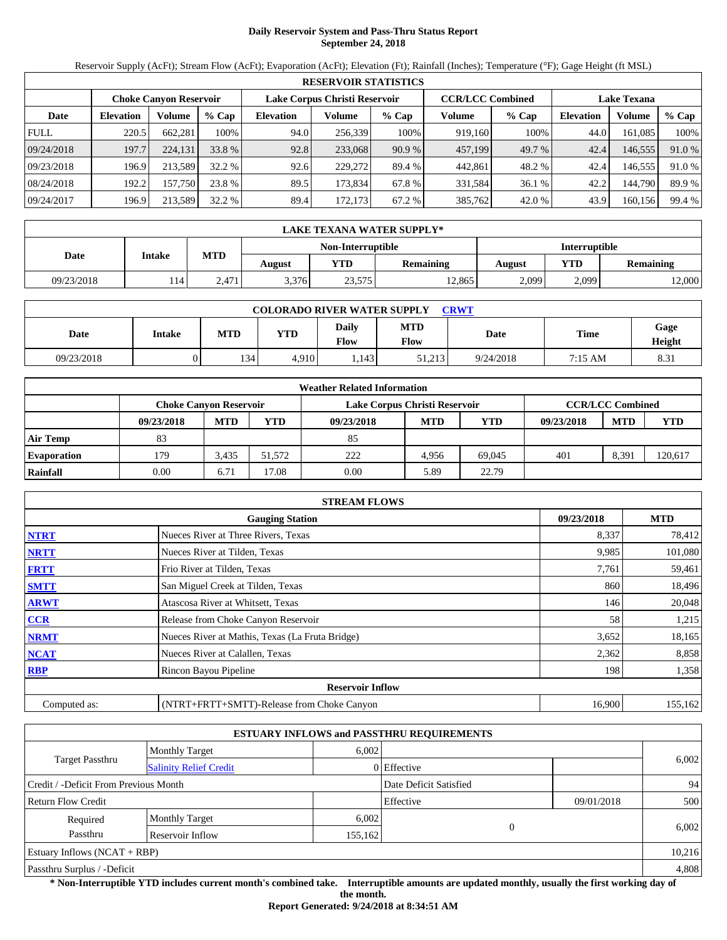# **Daily Reservoir System and Pass-Thru Status Report September 24, 2018**

Reservoir Supply (AcFt); Stream Flow (AcFt); Evaporation (AcFt); Elevation (Ft); Rainfall (Inches); Temperature (°F); Gage Height (ft MSL)

|             | <b>RESERVOIR STATISTICS</b> |                               |         |                               |         |         |                         |         |                    |         |        |  |  |
|-------------|-----------------------------|-------------------------------|---------|-------------------------------|---------|---------|-------------------------|---------|--------------------|---------|--------|--|--|
|             |                             | <b>Choke Canyon Reservoir</b> |         | Lake Corpus Christi Reservoir |         |         | <b>CCR/LCC Combined</b> |         | <b>Lake Texana</b> |         |        |  |  |
| Date        | <b>Elevation</b>            | Volume                        | $%$ Cap | <b>Elevation</b>              | Volume  | $%$ Cap | Volume                  | $%$ Cap | <b>Elevation</b>   | Volume  | % Cap  |  |  |
| <b>FULL</b> | 220.5                       | 662.281                       | 100%    | 94.0                          | 256,339 | 100%    | 919,160                 | 100%    | 44.0               | 161.085 | 100%   |  |  |
| 09/24/2018  | 197.7                       | 224,131                       | 33.8 %  | 92.8                          | 233,068 | 90.9%   | 457,199                 | 49.7 %  | 42.4               | 146,555 | 91.0 % |  |  |
| 09/23/2018  | 196.9                       | 213.589                       | 32.2 %  | 92.6                          | 229,272 | 89.4 %  | 442,861                 | 48.2 %  | 42.4               | 146.555 | 91.0 % |  |  |
| 08/24/2018  | 192.2                       | 157.750                       | 23.8 %  | 89.5                          | 173.834 | 67.8 %  | 331.584                 | 36.1 %  | 42.2               | 144.790 | 89.9%  |  |  |
| 09/24/2017  | 196.9                       | 213.589                       | 32.2 %  | 89.4                          | 172,173 | 67.2 %  | 385,762                 | 42.0 %  | 43.9               | 160,156 | 99.4 % |  |  |

|            | LAKE TEXANA WATER SUPPLY* |                                                 |       |                   |        |                  |       |       |  |  |
|------------|---------------------------|-------------------------------------------------|-------|-------------------|--------|------------------|-------|-------|--|--|
|            |                           |                                                 |       | Non-Interruptible |        | Interruptible    |       |       |  |  |
| Date       | <b>Intake</b>             | <b>MTD</b><br>YTD<br><b>Remaining</b><br>August |       | August            | YTD    | <b>Remaining</b> |       |       |  |  |
| 09/23/2018 | 114'                      | 2.471                                           | 3.376 | 23,575            | 12.865 | 2,099            | 2,099 | 2,000 |  |  |

| <b>COLORADO RIVER WATER SUPPLY</b><br><b>CRWT</b> |        |            |            |                      |                    |           |         |                |  |  |
|---------------------------------------------------|--------|------------|------------|----------------------|--------------------|-----------|---------|----------------|--|--|
| Date                                              | Intake | <b>MTD</b> | <b>YTD</b> | Daily<br><b>Flow</b> | <b>MTD</b><br>Flow | Date      | Time    | Gage<br>Height |  |  |
| 09/23/2018                                        |        | 134        | 4.910      | .143                 | 51.213             | 9/24/2018 | 7:15 AM | 8.31           |  |  |

|                    | <b>Weather Related Information</b> |                               |        |                               |            |            |            |                         |            |  |  |
|--------------------|------------------------------------|-------------------------------|--------|-------------------------------|------------|------------|------------|-------------------------|------------|--|--|
|                    |                                    | <b>Choke Canvon Reservoir</b> |        | Lake Corpus Christi Reservoir |            |            |            | <b>CCR/LCC Combined</b> |            |  |  |
|                    | 09/23/2018                         | <b>MTD</b>                    | YTD    | 09/23/2018                    | <b>MTD</b> | <b>YTD</b> | 09/23/2018 | <b>MTD</b>              | <b>YTD</b> |  |  |
| <b>Air Temp</b>    | 83                                 |                               |        | 85                            |            |            |            |                         |            |  |  |
| <b>Evaporation</b> | 179                                | 3.435                         | 51.572 | 222                           | 4.956      | 69.045     | 401        | 8,391                   | 120,617    |  |  |
| Rainfall           | 0.00                               | 6.71                          | 7.08   | 0.00                          | 5.89       | 22.79      |            |                         |            |  |  |

|              | <b>STREAM FLOWS</b>                             |            |            |
|--------------|-------------------------------------------------|------------|------------|
|              | <b>Gauging Station</b>                          | 09/23/2018 | <b>MTD</b> |
| <b>NTRT</b>  | Nueces River at Three Rivers, Texas             | 8,337      | 78,412     |
| <b>NRTT</b>  | Nueces River at Tilden, Texas                   | 9,985      | 101,080    |
| <b>FRTT</b>  | Frio River at Tilden, Texas                     | 7,761      | 59,461     |
| <b>SMTT</b>  | San Miguel Creek at Tilden, Texas               | 860        | 18,496     |
| <b>ARWT</b>  | Atascosa River at Whitsett, Texas               | 146        | 20,048     |
| CCR          | Release from Choke Canyon Reservoir             | 58         | 1,215      |
| <b>NRMT</b>  | Nueces River at Mathis, Texas (La Fruta Bridge) | 3,652      | 18,165     |
| <b>NCAT</b>  | Nueces River at Calallen, Texas                 | 2,362      | 8,858      |
| <b>RBP</b>   | Rincon Bayou Pipeline                           | 198        | 1,358      |
|              | <b>Reservoir Inflow</b>                         |            |            |
| Computed as: | (NTRT+FRTT+SMTT)-Release from Choke Canyon      | 16,900     | 155,162    |

|                                       |                               |         | <b>ESTUARY INFLOWS and PASSTHRU REQUIREMENTS</b> |            |        |  |
|---------------------------------------|-------------------------------|---------|--------------------------------------------------|------------|--------|--|
|                                       | <b>Monthly Target</b>         | 6.002   |                                                  |            |        |  |
| <b>Target Passthru</b>                | <b>Salinity Relief Credit</b> |         | 0 Effective                                      |            | 6,002  |  |
| Credit / -Deficit From Previous Month |                               |         | Date Deficit Satisfied                           |            | 94     |  |
| <b>Return Flow Credit</b>             |                               |         | Effective                                        | 09/01/2018 | 500    |  |
| Required                              | <b>Monthly Target</b>         | 6,002   |                                                  |            |        |  |
| Passthru                              | Reservoir Inflow              | 155,162 | $\Omega$                                         |            | 6,002  |  |
| Estuary Inflows $(NCAT + RBP)$        |                               |         |                                                  |            | 10,216 |  |
| Passthru Surplus / -Deficit           |                               |         |                                                  | 4,808      |        |  |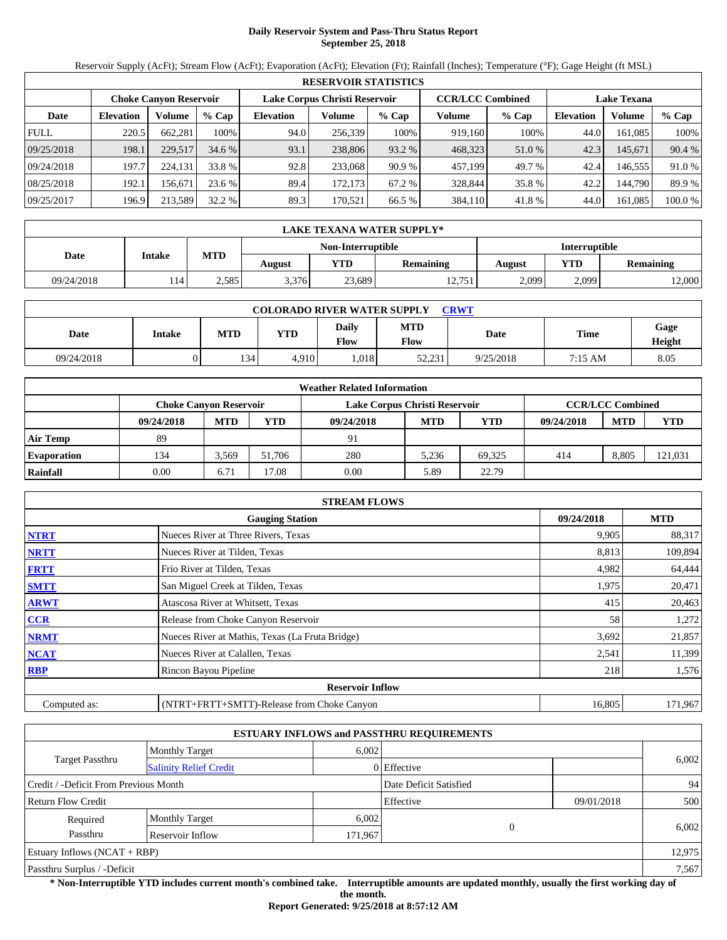# **Daily Reservoir System and Pass-Thru Status Report September 25, 2018**

Reservoir Supply (AcFt); Stream Flow (AcFt); Evaporation (AcFt); Elevation (Ft); Rainfall (Inches); Temperature (°F); Gage Height (ft MSL)

|             | <b>RESERVOIR STATISTICS</b> |                               |         |                               |         |         |                         |         |                    |         |         |  |
|-------------|-----------------------------|-------------------------------|---------|-------------------------------|---------|---------|-------------------------|---------|--------------------|---------|---------|--|
|             |                             | <b>Choke Canvon Reservoir</b> |         | Lake Corpus Christi Reservoir |         |         | <b>CCR/LCC Combined</b> |         | <b>Lake Texana</b> |         |         |  |
| Date        | <b>Elevation</b>            | Volume                        | $%$ Cap | <b>Elevation</b>              | Volume  | $%$ Cap | Volume                  | $%$ Cap | <b>Elevation</b>   | Volume  | % Cap   |  |
| <b>FULL</b> | 220.5                       | 662.281                       | 100%    | 94.0                          | 256,339 | 100%    | 919.160                 | 100%    | 44.0               | 161.085 | 100%    |  |
| 09/25/2018  | 198.1                       | 229,517                       | 34.6 %  | 93.1                          | 238,806 | 93.2 %  | 468,323                 | 51.0 %  | 42.3               | 145.671 | 90.4 %  |  |
| 09/24/2018  | 197.7                       | 224.131                       | 33.8 %  | 92.8                          | 233,068 | 90.9%   | 457,199                 | 49.7 %  | 42.4               | 146.555 | 91.0 %  |  |
| 08/25/2018  | 192.1                       | 156.671                       | 23.6 %  | 89.4                          | 172.173 | 67.2 %  | 328,844                 | 35.8 %  | 42.2               | 144.790 | 89.9 %  |  |
| 09/25/2017  | 196.9                       | 213,589                       | 32.2 %  | 89.3                          | 170.521 | 66.5 %  | 384,110                 | 41.8 %  | 44.0               | 161.085 | 100.0 % |  |

|            | LAKE TEXANA WATER SUPPLY* |            |        |                   |                  |               |       |           |  |  |  |
|------------|---------------------------|------------|--------|-------------------|------------------|---------------|-------|-----------|--|--|--|
|            | <b>Intake</b>             |            |        | Non-Interruptible |                  | Interruptible |       |           |  |  |  |
| Date       |                           | <b>MTD</b> | August | YTD               | <b>Remaining</b> | August        | YTD   | Remaining |  |  |  |
| 09/24/2018 | 14                        | 2,585      | 3,376  | 23,689            | 12,751           | 2,099         | 2,099 | 2,000     |  |  |  |

| <b>COLORADO RIVER WATER SUPPLY</b><br>CRWT |        |            |            |                      |                    |           |         |                |  |  |  |
|--------------------------------------------|--------|------------|------------|----------------------|--------------------|-----------|---------|----------------|--|--|--|
| Date                                       | Intake | <b>MTD</b> | <b>YTD</b> | Daily<br><b>Flow</b> | <b>MTD</b><br>Flow | Date      | Time    | Gage<br>Height |  |  |  |
| 09/24/2018                                 |        | 134        | 4.910      | .018                 | 52.231             | 9/25/2018 | 7:15 AM | 8.05           |  |  |  |

|                    | <b>Weather Related Information</b> |            |        |                               |            |        |            |                         |         |  |  |  |
|--------------------|------------------------------------|------------|--------|-------------------------------|------------|--------|------------|-------------------------|---------|--|--|--|
|                    | Choke Canvon Reservoir             |            |        | Lake Corpus Christi Reservoir |            |        |            | <b>CCR/LCC Combined</b> |         |  |  |  |
|                    | 09/24/2018                         | <b>MTD</b> | YTD    | 09/24/2018                    | <b>MTD</b> | YTD    | 09/24/2018 | <b>MTD</b>              | YTD     |  |  |  |
| <b>Air Temp</b>    | 89                                 |            |        | 91                            |            |        |            |                         |         |  |  |  |
| <b>Evaporation</b> | 134                                | 3,569      | 51.706 | 280                           | 5.236      | 69.325 | 414        | 8,805                   | 121,031 |  |  |  |
| Rainfall           | 0.00                               | 6.71       | 7.08   | 0.00                          | 5.89       | 22.79  |            |                         |         |  |  |  |

|              | <b>STREAM FLOWS</b>                             |            |            |
|--------------|-------------------------------------------------|------------|------------|
|              | <b>Gauging Station</b>                          | 09/24/2018 | <b>MTD</b> |
| <b>NTRT</b>  | Nueces River at Three Rivers, Texas             | 9,905      | 88,317     |
| <b>NRTT</b>  | Nueces River at Tilden, Texas                   | 8,813      | 109,894    |
| <b>FRTT</b>  | Frio River at Tilden, Texas                     | 4,982      | 64,444     |
| <b>SMTT</b>  | San Miguel Creek at Tilden, Texas               | 1,975      | 20,471     |
| <b>ARWT</b>  | Atascosa River at Whitsett, Texas               | 415        | 20,463     |
| CCR          | Release from Choke Canyon Reservoir             | 58         | 1,272      |
| <b>NRMT</b>  | Nueces River at Mathis, Texas (La Fruta Bridge) | 3,692      | 21,857     |
| <b>NCAT</b>  | Nueces River at Calallen, Texas                 | 2,541      | 11,399     |
| <b>RBP</b>   | Rincon Bayou Pipeline                           | 218        | 1,576      |
|              | <b>Reservoir Inflow</b>                         |            |            |
| Computed as: | (NTRT+FRTT+SMTT)-Release from Choke Canyon      | 16,805     | 171,967    |

|                                                  |                       |       | <b>ESTUARY INFLOWS and PASSTHRU REQUIREMENTS</b> |            |        |  |  |
|--------------------------------------------------|-----------------------|-------|--------------------------------------------------|------------|--------|--|--|
|                                                  | <b>Monthly Target</b> | 6.002 |                                                  |            |        |  |  |
| Target Passthru<br><b>Salinity Relief Credit</b> |                       |       | 0 Effective                                      |            | 6,002  |  |  |
| Credit / -Deficit From Previous Month            |                       |       | Date Deficit Satisfied                           |            | 94     |  |  |
| <b>Return Flow Credit</b>                        |                       |       | Effective                                        | 09/01/2018 | 500    |  |  |
| Required                                         | <b>Monthly Target</b> | 6,002 |                                                  |            |        |  |  |
| Passthru<br>Reservoir Inflow                     |                       |       | $\Omega$<br>171,967                              |            | 6,002  |  |  |
| Estuary Inflows $(NCAT + RBP)$                   |                       |       |                                                  |            | 12,975 |  |  |
| Passthru Surplus / -Deficit                      |                       |       |                                                  |            |        |  |  |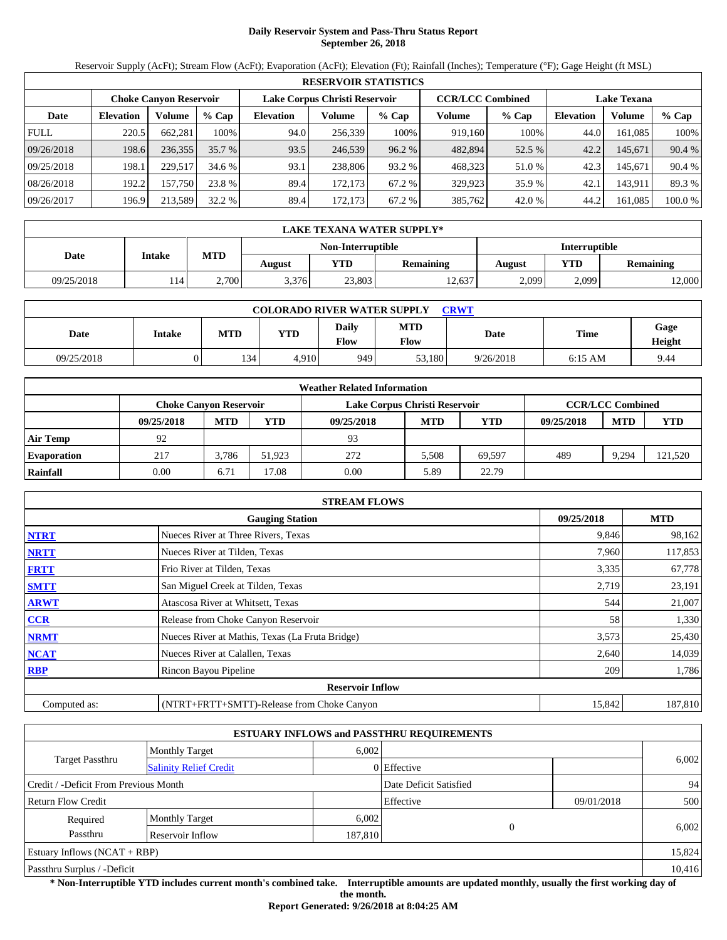# **Daily Reservoir System and Pass-Thru Status Report September 26, 2018**

Reservoir Supply (AcFt); Stream Flow (AcFt); Evaporation (AcFt); Elevation (Ft); Rainfall (Inches); Temperature (°F); Gage Height (ft MSL)

|             | <b>RESERVOIR STATISTICS</b> |                        |         |                               |         |         |                         |         |                    |               |         |  |
|-------------|-----------------------------|------------------------|---------|-------------------------------|---------|---------|-------------------------|---------|--------------------|---------------|---------|--|
|             |                             | Choke Canvon Reservoir |         | Lake Corpus Christi Reservoir |         |         | <b>CCR/LCC Combined</b> |         | <b>Lake Texana</b> |               |         |  |
| Date        | <b>Elevation</b>            | Volume                 | $%$ Cap | <b>Elevation</b>              | Volume  | $%$ Cap | Volume                  | $%$ Cap | <b>Elevation</b>   | <b>Volume</b> | % Cap   |  |
| <b>FULL</b> | 220.5                       | 662,281                | 100%    | 94.0                          | 256,339 | 100%    | 919,160                 | 100%    | 44.0               | 161.085       | 100%    |  |
| 09/26/2018  | 198.6                       | 236,355                | 35.7 %  | 93.5                          | 246,539 | 96.2%   | 482,894                 | 52.5 %  | 42.2               | 145.671       | 90.4 %  |  |
| 09/25/2018  | 198.1                       | 229,517                | 34.6 %  | 93.1                          | 238,806 | 93.2 %  | 468,323                 | 51.0 %  | 42.3               | 145.671       | 90.4 %  |  |
| 08/26/2018  | 192.2                       | 157,750                | 23.8 %  | 89.4                          | 172.173 | 67.2 %  | 329,923                 | 35.9 %  | 42.1               | 143,911       | 89.3%   |  |
| 09/26/2017  | 196.9                       | 213,589                | 32.2 %  | 89.4                          | 172,173 | 67.2 %  | 385,762                 | 42.0 %  | 44.2               | 161,085       | 100.0 % |  |

|            | LAKE TEXANA WATER SUPPLY* |            |        |                   |                  |                      |       |           |  |  |  |
|------------|---------------------------|------------|--------|-------------------|------------------|----------------------|-------|-----------|--|--|--|
|            | <b>Intake</b>             |            |        | Non-Interruptible |                  | <b>Interruptible</b> |       |           |  |  |  |
| Date       |                           | <b>MTD</b> | August | YTD.              | <b>Remaining</b> | August               | YTD   | Remaining |  |  |  |
| 09/25/2018 | 14                        | 2.700      | 3,376  | 23,803            | 12,637           | 2,099                | 2,099 | 2,000     |  |  |  |

| <b>COLORADO RIVER WATER SUPPLY</b><br>CRWT |        |            |            |               |                           |           |             |                |  |  |
|--------------------------------------------|--------|------------|------------|---------------|---------------------------|-----------|-------------|----------------|--|--|
| Date                                       | Intake | <b>MTD</b> | <b>YTD</b> | Daily<br>Flow | <b>MTD</b><br><b>Flow</b> | Date      | <b>Time</b> | Gage<br>Height |  |  |
| 09/25/2018                                 |        | 134        | 4.910      | 949           | 53.180                    | 9/26/2018 | $6:15$ AM   | 9.44           |  |  |

|                    | <b>Weather Related Information</b> |            |        |                               |            |            |            |                         |            |  |  |  |
|--------------------|------------------------------------|------------|--------|-------------------------------|------------|------------|------------|-------------------------|------------|--|--|--|
|                    | Choke Canvon Reservoir             |            |        | Lake Corpus Christi Reservoir |            |            |            | <b>CCR/LCC Combined</b> |            |  |  |  |
|                    | 09/25/2018                         | <b>MTD</b> | YTD    | 09/25/2018                    | <b>MTD</b> | <b>YTD</b> | 09/25/2018 | <b>MTD</b>              | <b>YTD</b> |  |  |  |
| <b>Air Temp</b>    | 92                                 |            |        | 93                            |            |            |            |                         |            |  |  |  |
| <b>Evaporation</b> | 217                                | 3.786      | 51.923 | 272                           | 5.508      | 69.597     | 489        | 9,294                   | 121,520    |  |  |  |
| Rainfall           | 0.00                               | 6.71       | 7.08   | 0.00                          | 5.89       | 22.79      |            |                         |            |  |  |  |

|              | <b>STREAM FLOWS</b>                             |            |            |
|--------------|-------------------------------------------------|------------|------------|
|              | <b>Gauging Station</b>                          | 09/25/2018 | <b>MTD</b> |
| <b>NTRT</b>  | Nueces River at Three Rivers, Texas             | 9,846      | 98,162     |
| <b>NRTT</b>  | Nueces River at Tilden, Texas                   | 7,960      | 117,853    |
| <b>FRTT</b>  | Frio River at Tilden, Texas                     | 3,335      | 67,778     |
| <b>SMTT</b>  | San Miguel Creek at Tilden, Texas               | 2,719      | 23,191     |
| <b>ARWT</b>  | Atascosa River at Whitsett, Texas               | 544        | 21,007     |
| <b>CCR</b>   | Release from Choke Canyon Reservoir             | 58         | 1,330      |
| <b>NRMT</b>  | Nueces River at Mathis, Texas (La Fruta Bridge) | 3,573      | 25,430     |
| <b>NCAT</b>  | Nueces River at Calallen, Texas                 | 2,640      | 14,039     |
| <b>RBP</b>   | Rincon Bayou Pipeline                           | 209        | 1,786      |
|              | <b>Reservoir Inflow</b>                         |            |            |
| Computed as: | (NTRT+FRTT+SMTT)-Release from Choke Canyon      | 15,842     | 187,810    |

|                                       |                               |         | <b>ESTUARY INFLOWS and PASSTHRU REQUIREMENTS</b> |            |        |
|---------------------------------------|-------------------------------|---------|--------------------------------------------------|------------|--------|
|                                       | <b>Monthly Target</b>         | 6.002   |                                                  |            |        |
| <b>Target Passthru</b>                | <b>Salinity Relief Credit</b> |         | 0 Effective                                      |            | 6,002  |
| Credit / -Deficit From Previous Month |                               |         | Date Deficit Satisfied                           |            | 94     |
| <b>Return Flow Credit</b>             |                               |         | Effective                                        | 09/01/2018 | 500    |
| Required                              | <b>Monthly Target</b>         | 6,002   |                                                  |            |        |
| Passthru                              | Reservoir Inflow              | 187,810 | $\Omega$                                         |            | 6,002  |
| Estuary Inflows $(NCAT + RBP)$        |                               |         |                                                  |            | 15,824 |
| Passthru Surplus / -Deficit           |                               |         |                                                  | 10,416     |        |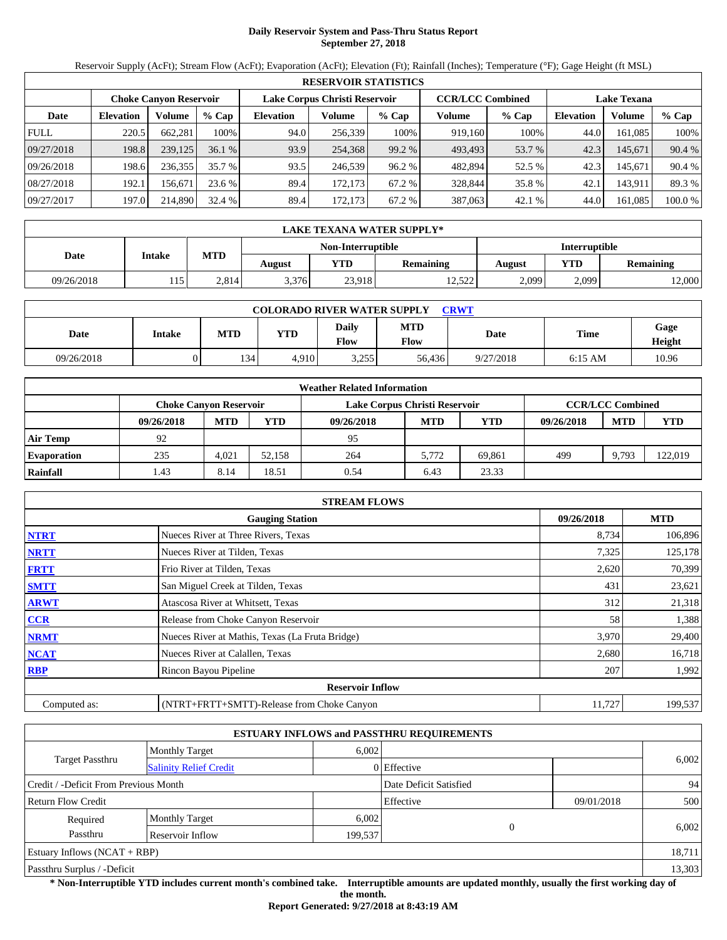# **Daily Reservoir System and Pass-Thru Status Report September 27, 2018**

Reservoir Supply (AcFt); Stream Flow (AcFt); Evaporation (AcFt); Elevation (Ft); Rainfall (Inches); Temperature (°F); Gage Height (ft MSL)

|             | <b>RESERVOIR STATISTICS</b> |                               |         |                               |         |         |                         |         |                    |         |         |  |  |
|-------------|-----------------------------|-------------------------------|---------|-------------------------------|---------|---------|-------------------------|---------|--------------------|---------|---------|--|--|
|             |                             | <b>Choke Canvon Reservoir</b> |         | Lake Corpus Christi Reservoir |         |         | <b>CCR/LCC Combined</b> |         | <b>Lake Texana</b> |         |         |  |  |
| Date        | <b>Elevation</b>            | Volume                        | $%$ Cap | <b>Elevation</b>              | Volume  | $%$ Cap | Volume                  | $%$ Cap | <b>Elevation</b>   | Volume  | % Cap   |  |  |
| <b>FULL</b> | 220.5                       | 662.281                       | 100%    | 94.0                          | 256,339 | 100%    | 919.160                 | 100%    | 44.0               | 161.085 | 100%    |  |  |
| 09/27/2018  | 198.8                       | 239,125                       | 36.1%   | 93.9                          | 254.368 | 99.2 %  | 493.493                 | 53.7 %  | 42.3               | 145.671 | 90.4 %  |  |  |
| 09/26/2018  | 198.6                       | 236,355                       | 35.7 %  | 93.5                          | 246.539 | 96.2%   | 482,894                 | 52.5 %  | 42.3               | 145.671 | 90.4 %  |  |  |
| 08/27/2018  | 192.1                       | 156.671                       | 23.6 %  | 89.4                          | 172.173 | 67.2 %  | 328,844                 | 35.8 %  | 42.1               | 143.911 | 89.3 %  |  |  |
| 09/27/2017  | 197.0                       | 214,890                       | 32.4 %  | 89.4                          | 172.173 | 67.2 %  | 387,063                 | 42.1%   | 44.0               | 161.085 | 100.0 % |  |  |

|            | LAKE TEXANA WATER SUPPLY* |            |        |                   |                  |               |       |           |  |  |  |
|------------|---------------------------|------------|--------|-------------------|------------------|---------------|-------|-----------|--|--|--|
|            | <b>Intake</b>             |            |        | Non-Interruptible |                  | Interruptible |       |           |  |  |  |
| Date       |                           | <b>MTD</b> | August | YTD               | <b>Remaining</b> | August        | YTD   | Remaining |  |  |  |
| 09/26/2018 | 115                       | 2.814      | 3,376  | 23,918            | 12,522           | 2,099         | 2,099 | 2,000     |  |  |  |

| <b>COLORADO RIVER WATER SUPPLY</b><br>CRWT |        |            |            |                      |                    |           |             |                |  |  |
|--------------------------------------------|--------|------------|------------|----------------------|--------------------|-----------|-------------|----------------|--|--|
| Date                                       | Intake | <b>MTD</b> | <b>YTD</b> | Daily<br><b>Flow</b> | <b>MTD</b><br>Flow | Date      | <b>Time</b> | Gage<br>Height |  |  |
| 09/26/2018                                 |        | 134        | 4.910      | 3.255<br>ر رے د      | 56.436             | 9/27/2018 | $6:15$ AM   | 10.96          |  |  |

|                    | <b>Weather Related Information</b> |            |        |                               |            |        |            |                         |            |  |  |  |
|--------------------|------------------------------------|------------|--------|-------------------------------|------------|--------|------------|-------------------------|------------|--|--|--|
|                    | <b>Choke Canvon Reservoir</b>      |            |        | Lake Corpus Christi Reservoir |            |        |            | <b>CCR/LCC Combined</b> |            |  |  |  |
|                    | 09/26/2018                         | <b>MTD</b> | YTD    | 09/26/2018                    | <b>MTD</b> | YTD    | 09/26/2018 | <b>MTD</b>              | <b>YTD</b> |  |  |  |
| <b>Air Temp</b>    | 92                                 |            |        | 95                            |            |        |            |                         |            |  |  |  |
| <b>Evaporation</b> | 235                                | 4.021      | 52,158 | 264                           | 5.772      | 69.861 | 499        | 9,793                   | 122,019    |  |  |  |
| Rainfall           | 1.43                               | 8.14       | 18.51  | 0.54                          | 6.43       | 23.33  |            |                         |            |  |  |  |

|              | <b>STREAM FLOWS</b>                             |            |            |
|--------------|-------------------------------------------------|------------|------------|
|              | <b>Gauging Station</b>                          | 09/26/2018 | <b>MTD</b> |
| <b>NTRT</b>  | Nueces River at Three Rivers, Texas             | 8,734      | 106,896    |
| <b>NRTT</b>  | Nueces River at Tilden, Texas                   | 7,325      | 125,178    |
| <b>FRTT</b>  | Frio River at Tilden, Texas                     | 2,620      | 70,399     |
| <b>SMTT</b>  | San Miguel Creek at Tilden, Texas               | 431        | 23,621     |
| <b>ARWT</b>  | Atascosa River at Whitsett, Texas               | 312        | 21,318     |
| <b>CCR</b>   | Release from Choke Canyon Reservoir             | 58         | 1,388      |
| <b>NRMT</b>  | Nueces River at Mathis, Texas (La Fruta Bridge) | 3,970      | 29,400     |
| <b>NCAT</b>  | Nueces River at Calallen, Texas                 | 2,680      | 16,718     |
| <b>RBP</b>   | Rincon Bayou Pipeline                           | 207        | 1,992      |
|              | <b>Reservoir Inflow</b>                         |            |            |
| Computed as: | (NTRT+FRTT+SMTT)-Release from Choke Canyon      | 11,727     | 199,537    |

|                                       |                               |         | <b>ESTUARY INFLOWS and PASSTHRU REQUIREMENTS</b> |            |        |  |  |
|---------------------------------------|-------------------------------|---------|--------------------------------------------------|------------|--------|--|--|
|                                       | <b>Monthly Target</b>         | 6.002   |                                                  |            |        |  |  |
| <b>Target Passthru</b>                | <b>Salinity Relief Credit</b> |         | 0 Effective                                      |            | 6,002  |  |  |
| Credit / -Deficit From Previous Month |                               |         | Date Deficit Satisfied                           |            | 94     |  |  |
| <b>Return Flow Credit</b>             |                               |         | Effective                                        | 09/01/2018 | 500    |  |  |
| Required                              | <b>Monthly Target</b>         | 6,002   |                                                  |            |        |  |  |
| Passthru                              | Reservoir Inflow              | 199,537 | $\Omega$                                         |            | 6,002  |  |  |
| Estuary Inflows $(NCAT + RBP)$        |                               |         |                                                  |            | 18,711 |  |  |
| Passthru Surplus / -Deficit           |                               |         |                                                  |            |        |  |  |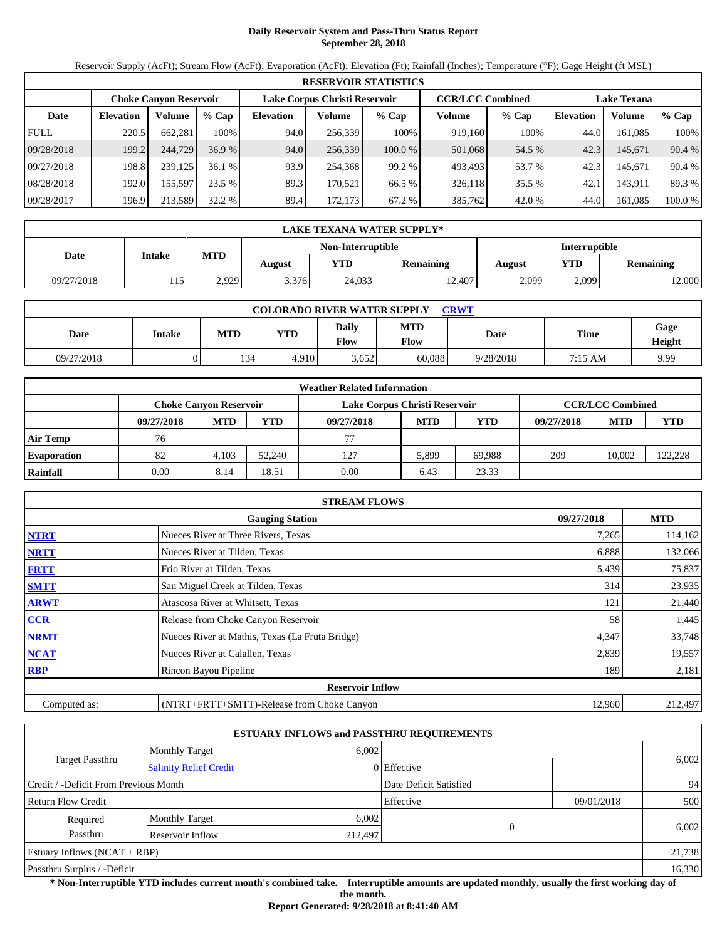# **Daily Reservoir System and Pass-Thru Status Report September 28, 2018**

Reservoir Supply (AcFt); Stream Flow (AcFt); Evaporation (AcFt); Elevation (Ft); Rainfall (Inches); Temperature (°F); Gage Height (ft MSL)

|             | <b>RESERVOIR STATISTICS</b> |                               |         |                  |                               |         |                         |        |                    |         |         |  |  |
|-------------|-----------------------------|-------------------------------|---------|------------------|-------------------------------|---------|-------------------------|--------|--------------------|---------|---------|--|--|
|             |                             | <b>Choke Canvon Reservoir</b> |         |                  | Lake Corpus Christi Reservoir |         | <b>CCR/LCC Combined</b> |        | <b>Lake Texana</b> |         |         |  |  |
| Date        | <b>Elevation</b>            | Volume                        | $%$ Cap | <b>Elevation</b> | Volume                        | $%$ Cap | Volume                  | % Cap  | <b>Elevation</b>   | Volume  | % Cap   |  |  |
| <b>FULL</b> | 220.5                       | 662.281                       | 100%    | 94.0             | 256,339                       | 100%    | 919,160                 | 100%   | 44.0               | 161.085 | 100%    |  |  |
| 09/28/2018  | 199.2                       | 244,729                       | 36.9%   | 94.0             | 256,339                       | 100.0 % | 501,068                 | 54.5 % | 42.3               | 145,671 | 90.4 %  |  |  |
| 09/27/2018  | 198.8                       | 239,125                       | 36.1%   | 93.9             | 254.368                       | 99.2 %  | 493.493                 | 53.7 % | 42.3               | 145.671 | 90.4 %  |  |  |
| 08/28/2018  | 192.0                       | 155,597                       | 23.5 %  | 89.3             | 170.521                       | 66.5 %  | 326,118                 | 35.5 % | 42.1               | 143,911 | 89.3 %  |  |  |
| 09/28/2017  | 196.9                       | 213,589                       | 32.2 %  | 89.4             | 172,173                       | 67.2 %  | 385,762                 | 42.0 % | 44.0               | 161,085 | 100.0 % |  |  |

|            | LAKE TEXANA WATER SUPPLY* |            |        |                   |           |                      |       |           |  |  |  |
|------------|---------------------------|------------|--------|-------------------|-----------|----------------------|-------|-----------|--|--|--|
|            | <b>Intake</b>             |            |        | Non-Interruptible |           | <b>Interruptible</b> |       |           |  |  |  |
| Date       |                           | <b>MTD</b> | August | YTD.              | Remaining | August               | YTD   | Remaining |  |  |  |
| 09/27/2018 | 115                       | 2.929      | 3,376  | 24,033            | 12,407    | 2,099                | 2,099 | 2,000     |  |  |  |

| <b>COLORADO RIVER WATER SUPPLY</b><br><b>CRWT</b> |        |            |            |                             |                    |           |             |                |  |  |
|---------------------------------------------------|--------|------------|------------|-----------------------------|--------------------|-----------|-------------|----------------|--|--|
| Date                                              | Intake | <b>MTD</b> | <b>YTD</b> | <b>Daily</b><br><b>Flow</b> | <b>MTD</b><br>Flow | Date      | <b>Time</b> | Gage<br>Height |  |  |
| 09/27/2018                                        |        | 134        | 4.910      | 3,652                       | 60.088             | 9/28/2018 | 7:15 AM     | 9.99           |  |  |

|                    | <b>Weather Related Information</b> |            |        |                               |            |        |            |                         |         |  |  |
|--------------------|------------------------------------|------------|--------|-------------------------------|------------|--------|------------|-------------------------|---------|--|--|
|                    | <b>Choke Canyon Reservoir</b>      |            |        | Lake Corpus Christi Reservoir |            |        |            | <b>CCR/LCC Combined</b> |         |  |  |
|                    | 09/27/2018                         | <b>MTD</b> | YTD    | 09/27/2018                    | <b>MTD</b> | YTD    | 09/27/2018 | <b>MTD</b>              | YTD     |  |  |
| <b>Air Temp</b>    | 76                                 |            |        | 77                            |            |        |            |                         |         |  |  |
| <b>Evaporation</b> | 82                                 | 4.103      | 52,240 | 127                           | 5,899      | 69.988 | 209        | 10.002                  | 122,228 |  |  |
| Rainfall           | 0.00                               | 8.14       | 18.51  | 0.00                          | 6.43       | 23.33  |            |                         |         |  |  |

|              | <b>STREAM FLOWS</b>                             |            |            |
|--------------|-------------------------------------------------|------------|------------|
|              | <b>Gauging Station</b>                          | 09/27/2018 | <b>MTD</b> |
| <b>NTRT</b>  | Nueces River at Three Rivers, Texas             | 7,265      | 114,162    |
| <b>NRTT</b>  | Nueces River at Tilden, Texas                   | 6,888      | 132,066    |
| <b>FRTT</b>  | Frio River at Tilden, Texas                     | 5,439      | 75,837     |
| <b>SMTT</b>  | San Miguel Creek at Tilden, Texas               | 314        | 23,935     |
| <b>ARWT</b>  | Atascosa River at Whitsett, Texas               | 121        | 21,440     |
| <b>CCR</b>   | Release from Choke Canyon Reservoir             | 58         | 1,445      |
| <b>NRMT</b>  | Nueces River at Mathis, Texas (La Fruta Bridge) | 4,347      | 33,748     |
| <b>NCAT</b>  | Nueces River at Calallen, Texas                 | 2,839      | 19,557     |
| <b>RBP</b>   | Rincon Bayou Pipeline                           | 189        | 2,181      |
|              | <b>Reservoir Inflow</b>                         |            |            |
| Computed as: | (NTRT+FRTT+SMTT)-Release from Choke Canyon      | 12,960     | 212,497    |

|                                                  |                       |         | <b>ESTUARY INFLOWS and PASSTHRU REQUIREMENTS</b> |            |        |  |
|--------------------------------------------------|-----------------------|---------|--------------------------------------------------|------------|--------|--|
|                                                  | <b>Monthly Target</b> | 6,002   |                                                  |            |        |  |
| Target Passthru<br><b>Salinity Relief Credit</b> |                       |         | 0 Effective                                      |            | 6,002  |  |
| Credit / -Deficit From Previous Month            |                       |         | Date Deficit Satisfied                           |            | 94     |  |
| <b>Return Flow Credit</b>                        |                       |         | Effective                                        | 09/01/2018 | 500    |  |
| Required                                         | <b>Monthly Target</b> | 6,002   |                                                  |            |        |  |
| Passthru                                         | Reservoir Inflow      | 212,497 | $\Omega$                                         |            | 6,002  |  |
| Estuary Inflows $(NCAT + RBP)$                   |                       |         |                                                  | 21,738     |        |  |
| Passthru Surplus / -Deficit                      |                       |         |                                                  |            | 16,330 |  |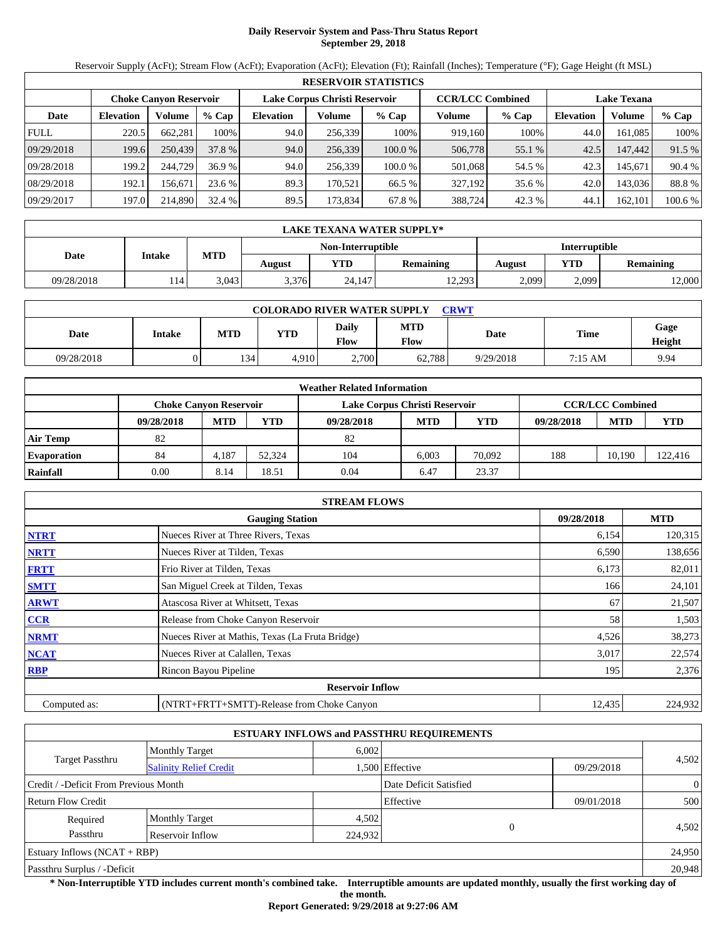# **Daily Reservoir System and Pass-Thru Status Report September 29, 2018**

Reservoir Supply (AcFt); Stream Flow (AcFt); Evaporation (AcFt); Elevation (Ft); Rainfall (Inches); Temperature (°F); Gage Height (ft MSL)

|             | <b>RESERVOIR STATISTICS</b> |                               |         |                  |                               |           |                         |         |                    |         |         |  |  |
|-------------|-----------------------------|-------------------------------|---------|------------------|-------------------------------|-----------|-------------------------|---------|--------------------|---------|---------|--|--|
|             |                             | <b>Choke Canvon Reservoir</b> |         |                  | Lake Corpus Christi Reservoir |           | <b>CCR/LCC Combined</b> |         | <b>Lake Texana</b> |         |         |  |  |
| Date        | <b>Elevation</b>            | Volume                        | $%$ Cap | <b>Elevation</b> | Volume                        | $%$ Cap   | Volume                  | $%$ Cap | <b>Elevation</b>   | Volume  | $%$ Cap |  |  |
| <b>FULL</b> | 220.5                       | 662.281                       | 100%    | 94.0             | 256,339                       | 100%      | 919,160                 | 100%    | 44.0               | 161.085 | 100%    |  |  |
| 09/29/2018  | 199.6                       | 250,439                       | 37.8 %  | 94.0             | 256,339                       | $100.0\%$ | 506,778                 | 55.1 %  | 42.5               | 147,442 | 91.5 %  |  |  |
| 09/28/2018  | 199.2                       | 244,729                       | 36.9%   | 94.0             | 256.339                       | 100.0%    | 501,068                 | 54.5 %  | 42.3               | 145.671 | 90.4 %  |  |  |
| 08/29/2018  | 192.1                       | 156.671                       | 23.6 %  | 89.3             | 170.521                       | 66.5 %    | 327,192                 | 35.6 %  | 42.0               | 143,036 | 88.8%   |  |  |
| 09/29/2017  | 197.0                       | 214,890                       | 32.4 %  | 89.5             | 173,834                       | 67.8 %    | 388,724                 | 42.3 %  | 44.1               | 162,101 | 100.6 % |  |  |

|            | LAKE TEXANA WATER SUPPLY* |            |        |                   |                  |               |                  |       |  |  |
|------------|---------------------------|------------|--------|-------------------|------------------|---------------|------------------|-------|--|--|
|            |                           |            |        | Non-Interruptible |                  | Interruptible |                  |       |  |  |
| Date       | <b>Intake</b>             | <b>MTD</b> | August | YTD               | <b>Remaining</b> | <b>August</b> | <b>Remaining</b> |       |  |  |
| 09/28/2018 | 14                        | 3.043      | 3,376  | 24,147            | 12,293           | 2,099         | 2,099            | 2,000 |  |  |

| <b>COLORADO RIVER WATER SUPPLY</b><br>CRWT |        |            |            |                      |                    |           |         |                |  |  |
|--------------------------------------------|--------|------------|------------|----------------------|--------------------|-----------|---------|----------------|--|--|
| Date                                       | Intake | <b>MTD</b> | <b>YTD</b> | Daily<br><b>Flow</b> | <b>MTD</b><br>Flow | Date      | Time    | Gage<br>Height |  |  |
| 09/28/2018                                 |        | 134        | 4.910      | 2.700                | 62.788             | 9/29/2018 | 7:15 AM | 9.94           |  |  |

|                    |                               |            |        | <b>Weather Related Information</b> |            |        |            |                         |         |
|--------------------|-------------------------------|------------|--------|------------------------------------|------------|--------|------------|-------------------------|---------|
|                    | <b>Choke Canyon Reservoir</b> |            |        | Lake Corpus Christi Reservoir      |            |        |            | <b>CCR/LCC Combined</b> |         |
|                    | 09/28/2018                    | <b>MTD</b> | YTD    | 09/28/2018                         | <b>MTD</b> | YTD    | 09/28/2018 | <b>MTD</b>              | YTD     |
| <b>Air Temp</b>    | 82                            |            |        | 82                                 |            |        |            |                         |         |
| <b>Evaporation</b> | 84                            | 4,187      | 52.324 | 104                                | 6.003      | 70.092 | 188        | 10.190                  | 122,416 |
| Rainfall           | 0.00                          | 8.14       | 18.51  | 0.04                               | 6.47       | 23.37  |            |                         |         |

|              | <b>STREAM FLOWS</b>                             |        |         |  |  |  |  |
|--------------|-------------------------------------------------|--------|---------|--|--|--|--|
|              | <b>Gauging Station</b>                          |        |         |  |  |  |  |
| <b>NTRT</b>  | Nueces River at Three Rivers, Texas             | 6,154  | 120,315 |  |  |  |  |
| <b>NRTT</b>  | Nueces River at Tilden, Texas                   | 6,590  | 138,656 |  |  |  |  |
| <b>FRTT</b>  | Frio River at Tilden, Texas                     | 6,173  | 82,011  |  |  |  |  |
| <b>SMTT</b>  | San Miguel Creek at Tilden, Texas               | 166    | 24,101  |  |  |  |  |
| <b>ARWT</b>  | Atascosa River at Whitsett, Texas               | 67     | 21,507  |  |  |  |  |
| <b>CCR</b>   | Release from Choke Canyon Reservoir             | 58     | 1,503   |  |  |  |  |
| <b>NRMT</b>  | Nueces River at Mathis, Texas (La Fruta Bridge) | 4,526  | 38,273  |  |  |  |  |
| <b>NCAT</b>  | Nueces River at Calallen, Texas                 | 3,017  | 22,574  |  |  |  |  |
| <b>RBP</b>   | Rincon Bayou Pipeline                           | 195    | 2,376   |  |  |  |  |
|              | <b>Reservoir Inflow</b>                         |        |         |  |  |  |  |
| Computed as: | (NTRT+FRTT+SMTT)-Release from Choke Canyon      | 12,435 | 224,932 |  |  |  |  |

|                                       |                               |         | <b>ESTUARY INFLOWS and PASSTHRU REQUIREMENTS</b> |            |                |
|---------------------------------------|-------------------------------|---------|--------------------------------------------------|------------|----------------|
|                                       | <b>Monthly Target</b>         | 6,002   |                                                  |            |                |
| <b>Target Passthru</b>                | <b>Salinity Relief Credit</b> |         | 1,500 Effective                                  | 09/29/2018 | 4,502          |
| Credit / -Deficit From Previous Month |                               |         | Date Deficit Satisfied                           |            | $\overline{0}$ |
| <b>Return Flow Credit</b>             |                               |         | Effective                                        | 09/01/2018 | 500            |
| Required                              | <b>Monthly Target</b>         | 4,502   |                                                  |            |                |
| Passthru                              | Reservoir Inflow              | 224,932 | $\theta$                                         |            | 4,502          |
| Estuary Inflows $(NCAT + RBP)$        |                               |         |                                                  |            | 24,950         |
| Passthru Surplus / -Deficit           |                               |         |                                                  |            | 20,948         |